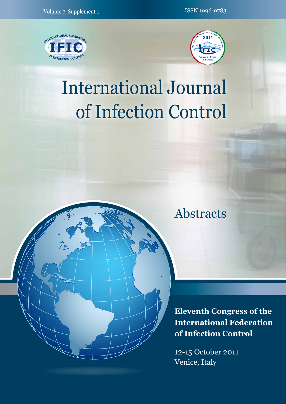



# International Journal of Infection Control

# Abstracts

**Eleventh Congress of the International Federation of Infection Control**

12-15 October 2011 Venice, Italy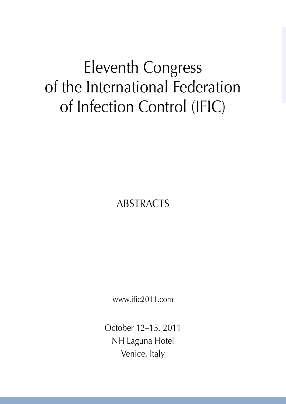# Eleventh Congress of the International Federation of Infection Control (IFIC)

ABSTRACTS

www.ific2011.com

October 12–15, 2011 NH Laguna Hotel Venice, Italy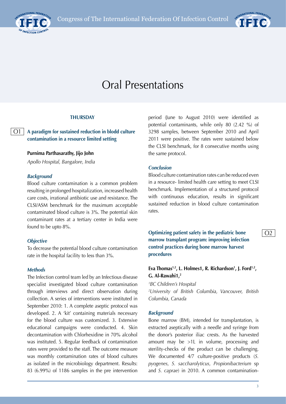



# Oral Presentations

#### **THURSDAY**

**A paradigm for sustained reduction in blodd culture contamination in a resource limited setting**  $O1$ 

#### **Purnima Parthasarathy, Jijo John**

*Apollo Hospital, Bangalore, India*

#### *Background*

Blood culture contamination is a common problem resulting in prolonged hospitalization, increased health care costs, irrational antibiotic use and resistance. The CLSI/ASM benchmark for the maximum acceptable contaminated blood culture is 3%. The potential skin contaminant rates at a tertiary center in India were found to be upto 8%.

#### *Objective*

To decrease the potential blood culture contamination rate in the hospital facility to less than 3%.

#### *Methods*

The Infection control team led by an Infectious disease specialist investigated blood culture contamination through interviews and direct observation during collection. A series of interventions were instituted in September 2010: 1. A complete aseptic protocol was developed. 2. A 'kit' containing materials necessary for the blood culture was customized. 3. Extensive educational campaigns were conducted. 4. Skin decontamination with Chlorhexidine in 70% alcohol was instituted. 5. Regular feedback of contamination rates were provided to the staff. The outcome measure was monthly contamination rates of blood cultures as isolated in the microbiology department. Results: 83 (6.99%) of 1186 samples in the pre intervention period (June to August 2010) were identified as potential contaminants, while only 80 (2.42 %) of 3298 samples, between September 2010 and April 2011 were positive. The rates were sustained below the CLSI benchmark, for 8 consecutive months using the same protocol.

#### *Conclusion*

Blood culture contamination rates can be reduced even in a resource- limited health care setting to meet CLSI benchmark. Implementation of a structured protocol with continuous education, results in significant sustained reduction in blood culture contamination rates.

**Optimizing patient safety in the pediatric bone marrow transplant program: improving infection control practices during bone marrow harvest procedures**

Eva Thomas<sup>1,2</sup>, L. Holmes1, R. Richardson<sup>1</sup>, J. Ford<sup>1,2</sup>, **G. Al-Rawahi1,2**

*1 BC Children's Hospital 2 University of British Columbia, Vancouver, British Columbia, Canada*

#### *Background*

Bone marrow (BM), intended for transplantation, is extracted aseptically with a needle and syringe from the donor's posterior iliac crests. As the harvested amount may be >1L in volume, processing and sterility-checks of the product can be challenging. We documented 4/7 culture-positive products (*S. pyogenes, S. saccharolyticus, Propionibacterium* sp and *S. caprae*) in 2010. A common contamination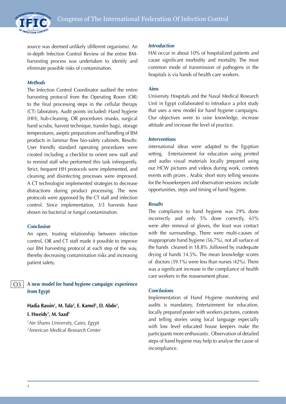INTERNATIONAL FEDERATION OF INFECTION CONTROL

source was deemed unlikely (different organisms). An in-depth Infection Control Review of the entire BMharvesting process was undertaken to identify and eliminate possible risks of contamination.

#### *Methods*

The Infection Control Coordinator audited the entire harvesting protocol from the Operating Room (OR) to the final processing steps in the cellular therapy (CT) laboratory. Audit points included: Hand hygiene (HH), hub-cleaning, OR procedures (masks, surgical hand scrubs, harvest technique, transfer bags), storage temperatures, aseptic preparations and handling of BM products in laminar flow bio-safety cabinets. Results: User friendly standard operating procedures were created including a checklist to orient new staff and to remind staff who performed this task infrequently. Strict, frequent HH protocols were implemented, and cleaning and disinfecting processes were improved. A CT technologist implemented strategies to decrease distractions during product processing. The new protocols were approved by the CT staff and infection control. Since implementation, 3/3 harvests have shown no bacterial or fungal contamination.

#### *Conclusion*

An open, trusting relationship between infection control, OR and CT staff made it possible to improve our BM harvesting protocol at each step of the way, thereby decreasing contamination risks and increasing patient safety.

#### **A new model for hand hygiene campaign: experience from Egypt** O3

Hadia Bassin<sup>1</sup>, M. Tala<sup>2</sup>, E. Kamel<sup>1</sup>, D. Abdo<sup>1</sup>, **I. Hweidy1 , M. Saad1**

*1 Ain Shams University, Cairo, Egypt 2 American Medical Research Center*

#### *Introduction*

HAI occur in about 10% of hospitalized patients and cause significant morbidity and mortality. The most common mode of transmission of pathogens in the hospitals is via hands of health care workers.

#### *Aims*

University Hospitals and the Naval Medical Research Unit in Egypt collaborated to introduce a pilot study that uses a new model for hand hygiene campaigns. Our objectives were to raise knowledge, increase attitude and increase the level of practice.

#### *Interventions*

international ideas were adapted to the Egyptian setting. Entertainment for education using printed and audio visual materials locally prepared using our HCW pictures and videos during work, contests events with prizes , Arabic short story telling sessions for the housekeepers and observation sessions include opportunities, steps and timing of hand hygiene.

#### *Results*

The compliance to hand hygiene was 29% done incorrectly and only 5% done correctly, 61% were after removal of gloves, the least was contact with the surroundings. There were multi-causes of inappropriate hand hygiene (56.7%), not all surface of the hands cleaned in 18.8% ,followed by inadequate drying of hands 14.5%. The mean knowledge scores of doctors (39.1%) were less than nurses (42%). There was a significant increase in the compliance of health care workers in the reassessment phase.

#### *Conclusions*

Implementation of Hand Hygiene monitoring and audits is mandatory, Entertainment for education, locally prepared poster with workers pictures, contests and telling stories using local language especially with low level educated house keepers make the participants more enthusiastic. Observation of detailed steps of hand hygiene may help to analyse the cause of incompliance.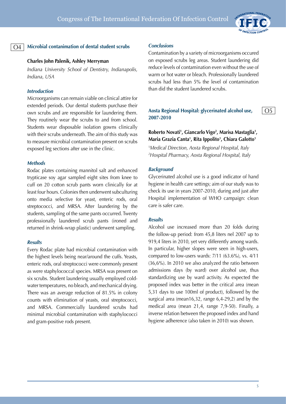

O5

#### $O<sub>4</sub>$

#### **Microbial contanimation of dental student scrubs**

#### **Charles John Palenik, Ashley Merryman**

*Indiana University School of Dentistry, Indianapolis, Indiana, USA*

#### *Introduction*

Microorganisms can remain viable on clinical attire for extended periods. Our dental students purchase their own scrubs and are responsible for laundering them. They routinely wear the scrubs to and from school. Students wear disposable isolation gowns clinically with their scrubs underneath. The aim of this study was to measure microbial contamination present on scrubs exposed leg sections after use in the clinic.

#### *Methods*

Rodac plates containing mannitol salt and enhanced trypticase soy agar sampled eight sites from knee to cuff on 20 cotton scrub pants worn clinically for at least four hours. Colonies then underwent subculturing onto media selective for yeast, enteric rods, oral streptococci, and MRSA. After laundering by the students, sampling of the same pants occurred. Twenty professionally laundered scrub pants (ironed and returned in shrink-wrap plastic) underwent sampling.

#### *Results*

Every Rodac plate had microbial contamination with the highest levels being near/around the cuffs. Yeasts, enteric rods, oral streptococci were commonly present as were staphylococcal species. MRSA was present on six scrubs. Student laundering usually employed coldwater temperatures, no bleach, and mechanical drying. There was an average reduction of 81.5% in colony counts with elimination of yeasts, oral streptococci, and MRSA. Commercially laundered scrubs had minimal microbial contamination with staphylococci and gram-positive rods present.

#### *Conclusions*

Contamination by a variety of microorganisms occured on exposed scrubs leg areas. Student laundering did reduce levels of contamination even without the use of warm or hot water or bleach. Professionally laundered scrubs had less than 5% the level of contamination than did the student laundered scrubs.

#### **Aosta Regional Hospital: glycerinated alcohol use, 2007-2010**

## Roberto Novati<sup>1</sup>, Giancarlo Vigo<sup>2</sup>, Marisa Mastaglia<sup>1</sup>, **Maria Grazia Canta1 , Rita Ippolito1 , Chiara Galotto1**

1 *Medical Direction, Aosta Regional Hospital, Italy 2 Hospital Pharmacy, Aosta Regional Hospital, Italy*

#### *Background*

Glycerinated alcohol use is a good indicator of hand hygiene in health care settings; aim of our study was to check its use in years 2007-2010, during and just after Hospital implementation of WHO campaign: clean care is safer care.

#### *Results*

Alcohol use increased more than 20 folds during the follow-up period: from 45,8 liters nel 2007 up to 919,4 liters in 2010, yet very differently among wards. In particular, higher slopes were seen in high-users, compared to low-users wards: 7/11 (63.6%), vs. 4/11 (36,6%). In 2010 we also analyzed the ratio between admissions days (by ward) over alcohol use, thus standardizing use by ward activity. As expected the proposed index was better in the critical area (mean 5,31 days to use 100ml of product), followed by the surgical area (mean16,32, range 6,4-29,2) and by the medical area (mean 21,4, range 7,9-50). Finally, a inverse relation between the proposed index and hand hygiene adherence (also taken in 2010) was shown.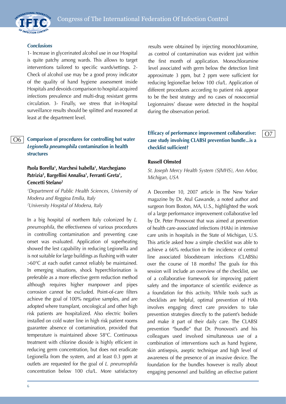

#### *Conclusions*

1- Increase in glycerinated alcohol use in our Hospital is quite patchy among wards. This allows to target interventions tailored to specific wards/settings. 2- Check of alcohol use may be a good proxy indicator of the quality of hand hygiene assessment inside Hospitals and devoids comparison to hospital acquired infections prevalence and multi-drug resistant germs circulation. 3- Finally, we stress that in-Hospital surveillance results should be splitted and reasoned at least at the department level.

#### **Comparison of procedures for controlling hot water**  *Legionella pneumophila* **contamination in health structures** O6

### **Paola Borella1 , Marchesi Isabella1 , Marchegiano Patrizia2 , Bargellini Annalisa1 , Ferranti Greta1 , Cencetti Stefano2**

*1 Department of Public Health Sciences, University of Modena and Reggioa Emilia, Italy 2 University Hospital of Modena, Italy*

In a big hospital of northern Italy colonized by *L. pneumophila*, the effectiveness of various procedures in controlling contamination and preventing case onset was evaluated. Application of superheating showed the lest capability in reducing Legionella and is not suitable for large buildings as flushing with water >60°C at each outlet cannot reliably be maintained. In emerging situations, shock hyperchlorination is preferable as a more effective germ reduction method although requires higher manpower and pipes corrosion cannot be excluded. Point-of-care filters achieve the goal of 100% negative samples, and are adopted where transplant, oncological and other high risk patients are hospitalized. Also electric boilers installed on cold water line in high risk patient rooms guarantee absence of contamination, provided that temperature is maintained above 58°C. Continuous treatment with chlorine dioxide is highly efficient in reducing germ concentration, but does not eradicate Legionella from the system, and at least 0.3 ppm at outlets are requested for the goal of *L. pneumophila*  concentration below 100 cfu/L. More satisfactory

6

results were obtained by injecting monochloramine, as control of contamination was evident just within the first month of application. Monochloramine level associated with germ below the detection limit approximate 3 ppm, but 2 ppm were sufficient for reducing legionellae below 100 cfu/L. Application of different procedures according to patient risk appear to be the best strategy and no cases of nosocomial Legionnaires' disease were detected in the hospital during the observation period.

## **Efficacy of performance improvement collaborative: case study involving CLABSI prevention bundle...is a checklist sufficient?**

O7

#### **Russell Olmsted**

*St. Joseph Mercy Health System (SJMHS), Ann Arbor, Michigan, USA*

A December 10, 2007 article in The New Yorker magazine by Dr. Atul Gawande, a noted author and surgeon from Boston, MA, U.S., highlighted the work of a large performance improvement collaborative led by Dr. Peter Pronovost that was aimed at prevention of health care-associated infections (HAIs) in intensive care units in hospitals in the State of Michigan, U.S. This article asked how a simple checklist was able to achieve a 66% reduction in the incidence of central line associated bloodstream infections (CLABSIs) over the course of 18 months? The goals for this session will include an overview of the checklist, use of a collaborative framework for improving patient safety and the importance of scientific evidence as a foundation for this activity. While tools such as checklists are helpful, optimal prevention of HAIs involves engaging direct care providers to take prevention strategies directly to the patient's bedside and make it part of their daily care. The CLABSI prevention "bundle" that Dr. Pronovost's and his colleagues used involved simultaneous use of a combination of interventions such as hand hygiene, skin antisepsis, aseptic technique and high level of awareness of the presence of an invasive device. The foundation for the bundles however is really about engaging personnel and building an effective patient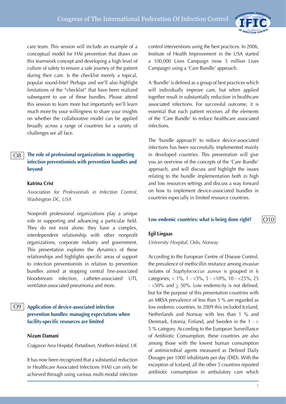

care team. This session will include an example of a conceptual model for HAI prevention that draws on this teamwork concept and developing a high level of culture of safety to ensure a safe journey of the patient during their care. Is the checklist merely a topical, popular sound-bite? Perhaps and we'll also highlight limitations of the "checklist" that have been realized subsequent to use of these bundles. Please attend this session to learn more but importantly we'll learn much more by your willingness to share your insights on whether the collaborative model can be applied broadly across a range of countries for a variety of challenges we all face.

#### **The role of professional organizations in supporting infection preventionists with prevention bundles and beyond** O8

#### **Katrina Crist**

*Association for Professionals in Infection Control, Washington DC, USA*

Nonprofit professional organizations play a unique role in supporting and advancing a particular field. They do not exist alone; they have a complex, interdependent relationship with other nonprofit organizations, corporate industry and government. This presentation explores the dynamics of these relationships and highlights specific areas of support to infection preventionists in relation to prevention bundles aimed at stopping central line-associated bloodstream infection, catheter-associated UTI, ventilator-associated pneumonia and more.

## **Application of device-associated infection prevention bundles: managing expectations when facility-specific resources are limited**

#### **Nizam Damani**

O9

*Craigavon Area Hospital, Portadown, Northern Ireland, UK*

It has now been recognized that a substantial reduction in Healthcare Associated Infections (HAI) can only be achieved through using various multi-modal infection

control interventions using the best practices. In 2006, Institute of Health Improvement in the USA started a 100,000 Lives Campaign (now 5 million Lives Campaign) using a 'Care Bundle' approach.

A 'Bundle' is defined as a group of best practices which will individually improve care, but when applied together result in substantially reduction in healthcare associated infections. For successful outcome, it is essential that each patient receives *all* the elements of the 'Care Bundle' to reduce healthcare associated infections.

The 'bundle approach' to reduce device-associated infections has been successfully implemented mainly in developed countries. This presentation will give you an overview of the concepts of the 'Care Bundle' approach, and will discuss and highlight the issues relating to the bundle implementation both in high and low resources settings and discuss a way forward on how to implement device-associated bundles in countries especially in limited resource countries.

#### **Low endemic countries: what is being done right?**

#### **Egil Lingaas**

*University Hospital, Oslo, Norway*

According to the European Centre of Disease Control, the prevalence of methicillin resitance among invasive isolates of *Staphylococcus aureus* is grouped in 6 categories; < 1%, 1 - <5%, 5 - <10%, 10 - <25%, 25  $-$  <50% and  $\geq$  50%. Low endemicity is not defined, but for the purpose of this presentation countries with an MRSA prevalence of less than 5 % are regarded as low endemic countries. In 2009 this included Iceland, Netherlands and Norway with less than 1 % and Denmark, Estonia, Finland, and Sweden in the 1 - > 5 % category. According to the European Surveillance of Antibiotic Consumption, these countries are also among those with the lowest human consumption of antimicrobial agents measured as Defined Daily Dosages per 1000 inhabitants per day (DID). With the exception of Iceland, all the other 5 countries reported antibiotic consumption in ambulatory care which

 $|O10$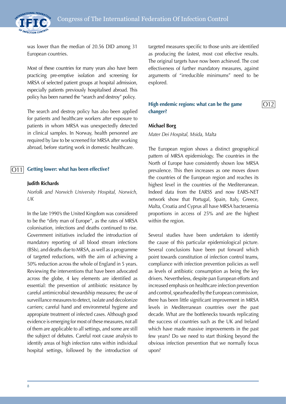

was lower than the median of 20.56 DID among 31 European countries.

Most of these countries for many years also have been practicing pre-emptive isolation and screening for MRSA of selected patient groups at hospital admission, especially patients previously hospitalised abroad. This policy has been named the "search and destroy" policy.

The search and destroy policy has also been applied for patients and healthcare workers after exposure to patients in whom MRSA was unexpectedly detected in clinical samples. In Norway, health personnel are required by law to be screened for MRSA after working abroad, before starting work in domestic healthcare.

#### **Getting lower: what has been effective?** O11

#### **Judith Richards**

*Norfolk and Norwich University Hospital, Norwich, UK*

In the late 1990's the United Kingdom was considered to be the "dirty man of Europe", as the rates of MRSA colonisation, infections and deaths continued to rise. Government initiatives included the introduction of mandatory reporting of all blood stream infections (BSIs), and deaths due to MRSA, as well as a programme of targeted reductions, with the aim of achieving a 50% reduction across the whole of England in 5 years. Reviewing the interventions that have been advocated across the globe, 4 key elements are identified as essential: the prevention of antibiotic resistance by careful antimicrobial stewardship measures; the use of surveillance measures to detect, isolate and decolonize carriers; careful hand and environmetal hygiene and appropiate treatment of infected cases. Although good evidence is emerging for most of these measures, not all of them are applicable to all settings, and some are still the subject of debates. Careful root cause analysis to identify areas of high infection rates within individual hospital settings, followed by the introduction of targeted measures specific to those units are identified as producing the fastest, most cost effective results. The original targets have now been achieved. The cost effectiveness of further mandatory measures, against arguments of "irreducible minimums" need to be explored.

#### **High endemic regions: what can be the game changer?**

 $|O12$ 

#### **Michael Borg**

*Mater Dei Hospital, Msida, Malta*

The European region shows a distinct geographical pattern of MRSA epidemiology. The countries in the North of Europe have consistently shown low MRSA prevalence. This then increases as one moves down the countries of the European region and reaches its highest level in the countries of the Mediterranean. Indeed data from the EARSS and now EARS-NET network show that Portugal, Spain, Italy, Greece, Malta, Croatia and Cyprus all have MRSA bacteraemia proportions in access of 25% and are the highest within the region.

Several studies have been undertaken to identify the cause of this particular epidemiological picture. Several conclusions have been put forward which point towards constitution of infection control teams, compliance with infection prevention policies as well as levels of antibiotic consumption as being the key drivers. Nevertheless, despite pan European efforts and increased emphasis on healthcare infection prevention and control, spearheaded by the European commission, there has been little significant improvement in MRSA levels in Mediterranean countries over the past decade. What are the bottlenecks towards replicating the success of countries such as the UK and Ireland which have made massive improvements in the past few years? Do we need to start thinking beyond the obvious infection prevention that we normally focus upon?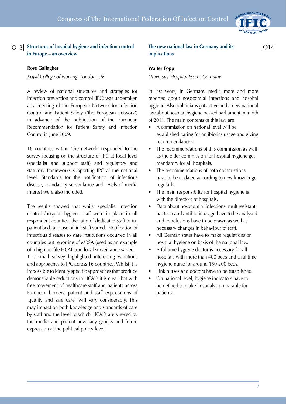

## **Structures of hospital hygiene and infection control**  O13 O14**in Europe – an overview**

#### **Rose Gallagher**

*Royal College of Nursing, London, UK*

A review of national structures and strategies for infection prevention and control (IPC) was undertaken at a meeting of the European Network for Infection Control and Patient Safety ('the European network') in advance of the publication of the European Recommendation for Patient Safety and Infection Control in June 2009.

16 countries within 'the network' responded to the survey focusing on the structure of IPC at local level (specialist and support staff) and regulatory and statutory frameworks supporting IPC at the national level. Standards for the notification of infectious disease, mandatory surveillance and levels of media interest were also included.

The results showed that whilst specialist infection control /hospital hygiene staff were in place in all respondent counties, the ratio of dedicated staff to inpatient beds and use of link staff varied. Notification of infectious diseases to state institutions occurred in all countries but reporting of MRSA (used as an example of a high profile HCAI) and local surveillance varied. This small survey highlighted interesting variations and approaches to IPC across 16 countries. Whilst it is impossible to identify specific approaches that produce demonstrable reductions in HCAI's it is clear that with free movement of healthcare staff and patients across European borders, patient and staff expectations of 'quality and safe care' will vary considerably. This may impact on both knowledge and standards of care by staff and the level to which HCAI's are viewed by the media and patient advocacy groups and future expression at the political policy level.

#### **The new national law in Germany and its implications**

#### **Walter Popp**

*University Hospital Essen, Germany*

In last years, in Germany media more and more reported about nosocomial infections and hospital hygiene. Also politicians got active and a new national law about hospital hygiene passed parliament in midth of 2011. The main contents of this law are:

- A commission on national level will be established caring for antibiotics usage and giving recommendations.
- The recommendations of this commission as well as the elder commission for hospital hygiene get mandatory for all hospitals.
- The recommendations of both commissions have to be updated according to new knowledge regularly.
- The main responsibilty for hospital hygiene is with the directors of hospitals.
- Data about nosocomial infections, multiresistant bacteria and antibiotic usage have to be analysed and conclusions have to be drawn as well as necessary changes in behaviour of staff.
- All German states have to make regulations on hospital hygiene on basis of the national law.
- A fulltime hygiene doctor is necessary for all hospitals with more than 400 beds and a fulltime hygiene nurse for around 150-200 beds.
- Link nurses and doctors have to be established.
- On national level, hygiene indicators have to be defined to make hospitals comparable for patients.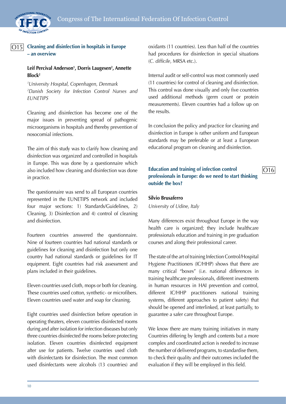

 $\overline{O15}$ 

### **Cleaning and disinfection in hospitals in Europe – an overview**

## Leif Percival Anderson<sup>1</sup>, Dorris Laugesen<sup>2</sup>, Annette **Block2**

*1 University Hospital, Copenhagen, Denmark 2 Danish Society for Infection Control Nurses and EUNETIPS*

Cleaning and disinfection has become one of the major issues in preventing spread of pathogenic microorganisms in hospitals and thereby prevention of nosocomial infections.

The aim of this study was to clarify how cleaning and disinfection was organized and controlled in hospitals in Europe. This was done by a questionnaire which also included how cleaning and disinfection was done in practice.

The questionnaire was send to all European countries represented in the EUNETIPS network and included four major sections: 1) Standards/Guidelines, 2) Cleaning, 3) Disinfection and 4) control of cleaning and disinfection.

Fourteen countries answered the questionnaire. Nine of fourteen countries had national standards or guidelines for cleaning and disinfection but only one country had national standards or guidelines for IT equipment. Eight countries had risk assessment and plans included in their guidelines.

Eleven countries used cloth, mops or both for cleaning. These countries used cotton, synthetic- or microfibers. Eleven countries used water and soap for cleaning.

Eight countries used disinfection before operation in operating theaters, eleven countries disinfected rooms during and after isolation for infection diseases but only three countries disinfected the rooms before protecting isolation. Eleven countries disinfected equipment after use for patients. Twelve countries used cloth with disinfectants for disinfection. The most common used disinfectants were alcohols (13 countries) and

oxidants (11 countries). Less than half of the countries had procedures for disinfection in special situations (*C. difficile*, MRSA etc.).

Internal audit or self-control was most commonly used (11 countries) for control of cleaning and disinfection. This control was done visually and only five countries used additional methods (germ count or protein measurements). Eleven countries had a follow up on the results.

In conclusion the policy and practice for cleaning and disinfection in Europe is rather uniform and European standards may be preferable or at least a European educational program on cleaning and disinfection.

## **Education and training of infection control professionals in Europe: do we need to start thinking outside the box?**

O16

#### **Silvio Brusaferro**

*University of Udine, Italy*

Many differences exist throughout Europe in the way health care is organized; they include healthcare professionals education and training in pre graduation courses and along their professional career.

The state of the art of training Infection Control/Hospital Hygiene Practitioners (IC/HHP) shows that there are many critical "boxes" (i.e. national differences in training healthcare professionals, different investments in human resources in HAI prevention and control, different IC/HHP practitioners national training systems, different approaches to patient safety) that should be opened and interlinked, at least partially, to guarantee a safer care throughout Europe.

We know there are many training initiatives in many Countries differing by length and contents but a more complex and coordinated action is needed to increase the number of delivered programs, to standardise them, to check their quality and their outcomes included the evaluation if they will be employed in this field.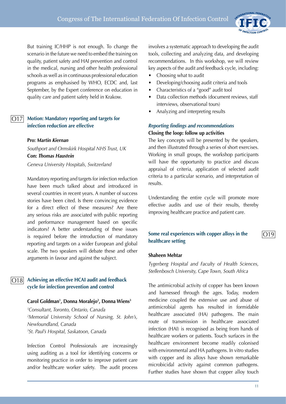

But training IC/HHP is not enough. To change the scenario in the future we need to embed the training on quality, patient safety and HAI prevention and control in the medical, nursing and other health professional schools as well as in continuous professional education programs as emphasised by WHO, ECDC and, last September, by the Expert conference on education in quality care and patient safety held in Krakow.

#### **Motion: Mandatory reporting and targets for infection reduction are effective** O17

#### **Pro:** *Martin Kiernan*

*Southport and Ormskirk Hospital NHS Trust, UK* **Con:** *Thomas Haustein Geneva University Hospitals, Switzerland*

Mandatory reporting and targets for infection reduction have been much talked about and introduced in several countries in recent years. A number of success stories have been cited. Is there convincing evidence for a direct effect of these measures? Are there any serious risks are associated with public reporting and performance management based on specific indicators? A better understanding of these issues is required before the introduction of mandatory reporting and targets on a wider European and global scale. The two speakers will debate these and other arguments in favour and against the subject.

#### **Achieving an effective HCAI audit and feedback cycle for infection prevention and control**  $|O18|$

#### **Carol Goldman1 , Donna Moralejo2 , Donna Wiens3**

 *Consultant, Toronto, Ontario, Canada Memorial University School of Nursing, St. John's, Newfoundland, Canada St. Paul's Hospital, Saskatoon, Canada*

Infection Control Professionals are increasingly using auditing as a tool for identifying concerns or monitoring practice in order to improve patient care and/or healthcare worker safety. The audit process involves a systematic approach to developing the audit tools, collecting and analyzing data, and developing recommendations. In this workshop, we will review key aspects of the audit and feedback cycle, including:

- Choosing what to audit
- Developing/choosing audit criteria and tools
- Characteristics of a "good" audit tool
- Data collection methods (document reviews, staff interviews, observational tours)
- Analyzing and interpreting results

## *Reporting findings and recommendations* **Closing the loop: follow up activities**

The key concepts will be presented by the speakers, and then illustrated through a series of short exercises. Working in small groups, the workshop participants will have the opportunity to practice and discuss appraisal of criteria, application of selected audit criteria to a particular scenario, and interpretation of results.

Understanding the entire cycle will promote more effective audits and use of their results, thereby improving healthcare practice and patient care.

#### **Some real experiences with copper alloys in the healthcare setting**

#### **Shaheen Mehtar**

*Tygerberg Hospital and Faculty of Health Sciences, Stellenbosch University, Cape Town, South Africa*

The antimicrobial activity of copper has been known and harnessed through the ages. Today, modern medicine coupled the extensive use and abuse of antimicrobial agents has resulted in formidable healthcare associated (HA) pathogens. The main route of transmission in healthcare associated infection (HAI) is recognised as being from hands of healthcare workers or patients. Touch surfaces in the healthcare environment become readily colonised with environmental and HA pathogens. In vitro studies with copper and its alloys have shown remarkable microbicidal activity against common pathogens. Further studies have shown that copper alloy touch

 $|O19$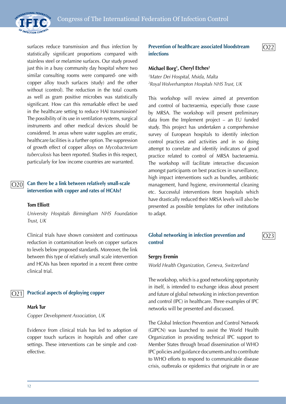

surfaces reduce transmission and thus infection by statistically significant proportions compared with stainless steel or melamine surfaces. Our study proved just this in a busy community day hospital where two similar consulting rooms were compared- one with copper alloy touch surfaces (study) and the other without (control). The reduction in the total counts as well as gram positive microbes was statistically significant. How can this remarkable effect be used in the healthcare setting to reduce HAI transmission? The possibility of its use in ventilation systems, surgical instruments and other medical devices should be considered. In areas where water supplies are erratic, healthcare facilities is a further option. The suppression of growth effect of copper alloys on *Mycobacterium tuberculosis* has been reported. Studies in this respect, particularly for low income countries are warranted.

#### **Can there be a link between relatively small-scale intervention with copper and rates of HCAIs?** O20

#### **Tom Elliott**

*University Hospitals Birmingham NHS Foundation Trust, UK*

Clinical trials have shown consistent and continuous reduction in contamination levels on copper surfaces to levels below proposed standards. Moreover, the link between this type of relatively small scale intervention and HCAIs has been reported in a recent three centre clinical trial.

#### **Practical aspects of deploying copper** O21

#### **Mark Tur**

*Copper Development Association, UK*

Evidence from clinical trials has led to adoption of copper touch surfaces in hospitals and other care settings. These interventions can be simple and costeffective.

**Prevention of healthcare associated bloodstream infections**

 $O22$ 

 $|O23$ 

#### **Michael Borg1 , Cheryl Etches2**

*1 Mater Dei Hospital, Msida, Malta 2 Royal Wolverhampton Hospitals NHS Trust, UK*

This workshop will review aimed at prevention and control of bacteraemia, especially those cause by MRSA. The workshop will present preliminary data from the Implement project – an EU funded study. This project has undertaken a comprehensive survey of European hospitals to identify infection control practices and activities and in so doing attempt to correlate and identify indicators of good practice related to control of MRSA bacteraemia. The workshop will facilitate interactive discussion amongst participants on best practices in surveillance, high impact interventions such as bundles, antibiotic management, hand hygiene, environmental cleaning etc. Successful interventions from hospitals which have drastically reduced their MRSA levels will also be presented as possible templates for other institutions to adapt.

#### **Global networking in infection prevention and control**

#### **Sergey Eremin**

*World Health Organization, Geneva, Switzerland*

The workshop, which is a good networking opportunity in itself, is intended to exchange ideas about present and future of global networking in infection prevention and control (IPC) in healthcare. Three examples of IPC networks will be presented and discussed.

The Global Infection Prevention and Control Network (GIPCN) was launched to assist the World Health Organization in providing technical IPC support to Member States through broad dissemination of WHO IPC policies and guidance documents and to contribute to WHO efforts to respond to communicable disease crisis, outbreaks or epidemics that originate in or are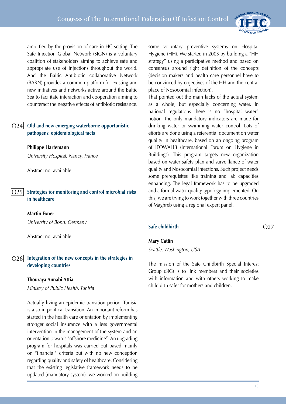

amplified by the provision of care in HC setting. The Safe Injection Global Network (SIGN) is a voluntary coalition of stakeholders aiming to achieve safe and appropriate use of injections throughout the world. And the Baltic Antibiotic collaborative Network (BARN) provides a common platform for existing and new initiatives and networks active around the Baltic Sea to facilitate interaction and cooperation aiming to counteract the negative effects of antibiotic resistance.

#### **Old and new emerging waterborne opportunistic pathogens: epidemiological facts** O24

#### **Philippe Hartemann**

*University Hospital, Nancy, France*

Abstract not available

#### **Strategies for monitoring and control microbial risks in healthcare**  $\overline{O25}$

#### **Martin Exner**

*University of Bonn, Germany*

Abstract not available

#### **Integration of the new concepts in the strategies in developing countries** O26

#### **Thouraya Annabi Attia**

*Ministry of Public Health, Tunisia*

Actually living an epidemic transition period, Tunisia is also in political transition. An important reform has started in the health care orientation by implementing stronger social insurance with a less governmental intervention in the management of the system and an orientation towards "offshore medicine". An upgrading program for hospitals was carried out based mainly on "financial" criteria but with no new conception regarding quality and safety of healthcare. Considering that the existing legislative framework needs to be updated (mandatory system), we worked on building

some voluntary preventive systems on Hospital Hygiene (HH). We started in 2005 by building a "HH strategy" using a participative method and based on consensus around right definition of the concepts (decision makers and health care personnel have to be convinced by objectives of the HH and the central place of Nosocomial infection).

That pointed out the main lacks of the actual system as a whole, but especially concerning water. In national regulations there is no "hospital water" notion, the only mandatory indicators are made for drinking water or swimming water control. Lots of efforts are done using a referential document on water quality in healthcare, based on an ongoing program of IFOWAHB (International Forum on Hygiene in Buildings). This program targets new organization based on water safety plan and surveillance of water quality and Nosocomial infections. Such project needs some prerequisites like training and lab capacities enhancing. The legal framework has to be upgraded and a formal water quality typology implemented. On this, we are trying to work together with three countries of Maghreb using a regional expert panel.

#### **Safe childbirth**

## $\overline{O27}$

#### **Mary Catlin**

*Seattle, Washington, USA*

The mission of the Safe Childbirth Special Interest Group (SIG) is to link members and their societies with information and with others working to make childbirth safer for mothers and children.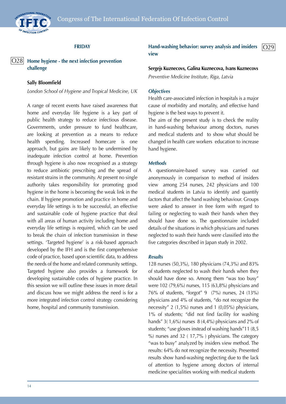

#### **FRIDAY**

#### **Home hygiene - the next infection prevention challenge**  $|O28|$

#### **Sally Bloomfield**

*London School of Hygiene and Tropical Medicine, UK*

A range of recent events have raised awareness that home and everyday life hygiene is a key part of public health strategy to reduce infectious disease. Governments, under pressure to fund healthcare, are looking at prevention as a means to reduce health spending. Increased homecare is one approach, but gains are likely to be undermined by inadequate infection control at home. Prevention through hygiene is also now recognised as a strategy to reduce antibiotic prescribing and the spread of resistant strains in the community. At present no single authority takes responsibility for promoting good hygiene in the home is becoming the weak link in the chain. If hygiene promotion and practice in home and everyday life settings is to be successful, an effective and sustainable code of hygiene practice that deal with all areas of human activity including home and everyday life settings is required, which can be used to break the chain of infection transmission in these settings. 'Targeted hygiene' is a risk-based approach developed by the IFH and is the first comprehensive code of practice, based upon scientific data, to address the needs of the home and related community settings. Targeted hygiene also provides a framework for developing sustainable codes of hygiene practice. In this session we will outline these issues in more detail and discuss how we might address the need is for a more integrated infection control strategy considering home, hospital and community transmission.

**Hand-washing behavior: survey analysis and insiders view**  $\overline{O29}$ 

**Sergejs Kuznecovs, Galina Kuznecova, Ivans Kuznecovs** *Preventive Medicine Institute, Riga, Latvia*

#### *Objectives*

Health care-associated infection in hospitals is a major cause of morbidity and mortality, and effective hand hygiene is the best ways to prevent it.

The aim of the present study is to check the reality in hand-washing behaviour among doctors, nurses and medical students and to show what should be changed in health care workers education to increase hand hygiene.

#### *Methods*

A questionnaire-based survey was carried out anonymously in comparison to method of insiders view among 254 nurses, 242 physicians and 100 medical students in Latvia to identify and quantify factors that affect the hand washing behaviour. Groups were asked to answer in free form with regard to failing or neglecting to wash their hands when they should have done so. The questionnaire included details of the situations in which physicians and nurses neglected to wash their hands were classified into the five categories described in Japan study in 2002.

#### *Results*

128 nurses (50,3%), 180 physicians (74,3%) and 83% of students neglected to wash their hands when they should have done so. Among them "was too busy" were 102 (79,6%) nurses, 115 (63,8%) physicians and 76% of students, "forgot" 9 (7%) nurses, 24 (13%) physicians and 4% of students, "do not recognize the necessity" 2 (1,5%) nurses and 1 (0,05%) physicians, 1% of students; "did not find facility for washing hands" 3(1,6%) nurses 8 (4,4%) physicians and 2% of students; "use gloves instead of washing hands"11 (8,5 %) nurses and 32 ( 17,7% ) physicians. The category "was to busy" analyzed by insiders view method. The results: 64% do not recognize the necessity. Presented results show hand-washing neglecting due to the lack of attention to hygiene among doctors of internal medicine specialities working with medical students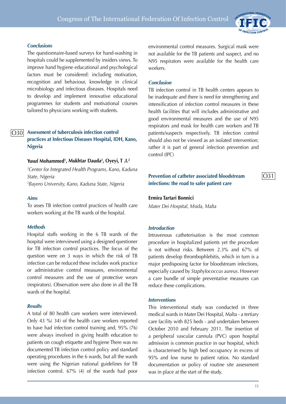

 $\overline{O31}$ 

#### *Conclusions*

The questionnaire-based surveys for hand-washing in hospitals could be supplemented by insiders views. To improve hand hygiene educational and psychological factors must be considered: including motivation, recognition and behaviour, knowledge in clinical microbiology and infectious diseases. Hospitals need to develop and implement innovative educational programmes for students and motivational courses tailored to physicians working with students.

#### **Assessment of tuberculosis infection control practices at Infectious Diseases Hospital, IDH, Kano, Nigeria** O30

#### **Yusuf Mohammed1 , Mukhtar Dauda2 , Oyeyi, T .I.2**

*1 Center for Integrated Health Programs, Kano, Kaduna State, Nigeria 2 Bayero University, Kano, Kaduna State, Nigeria*

#### *Aims*

To asses TB infection control practices of health care workers working at the TB wards of the hospital.

#### *Methods*

Hospital staffs working in the 6 TB wards of the hospital were interviewed using a designed questioner for TB infection control practices. The focus of the question were on 3 ways in which the risk of TB infection can be reduced these includes work practice or administrative control measures, environmental control measures and the use of protective wears (respirators). Observation were also done in all the TB wards of the hospital.

#### *Results*

A total of 80 health care workers were interviewed. Only 43 %( 34) of the health care workers reported to have had infection control training and, 95% (76) were always involved in giving health education to patients on cough etiquette and hygiene There was no documented TB infection control policy and standard operating procedures in the 6 wards, but all the wards were using the Nigerian national guidelines for TB infection control. 67% (4) of the wards had poor environmental control measures. Surgical mask were not available for the TB patients and suspect, and no N95 respirators were available for the health care workers.

#### *Conclusion*

TB infection control in TB health centers appears to be inadequate and there is need for strengthening and intensification of infection control measures in these health facilities that will includes administrative and good environmental measures and the use of N95 respirators and mask for health care workers and TB patients/suspects respectively. TB infection control should also not be viewed as an isolated intervention; rather it is part of general infection prevention and control (IPC)

### **Prevention of catheter associated bloodstream infections: the road to safer patient care**

#### **Ermira Tartari Bonnici**

*Mater Dei Hospital, Msida, Malta*

#### *Introduction*

Intravenous catheterisation is the most common procedure in hospitalized patients yet the procedure is not without risks. Between 2.3% and 67% of patients develop thrombophlebitis, which in turn is a major predisposing factor for bloodstream infections, especially caused by *Staphylococcus aureus*. However a care bundle of simple preventative measures can reduce these complications.

#### *Interventions*

This interventional study was conducted in three medical wards in Mater Dei Hospital, Malta - a tertiary care facility with 825 beds - and undertaken between October 2010 and February 2011. The insertion of a peripheral vascular cannula (PVC) upon hospital admission is common practice in our hospital, which is characterised by high bed occupancy in excess of 95% and low nurse to patient ratios. No standard documentation or policy of routine site assessment was in place at the start of the study.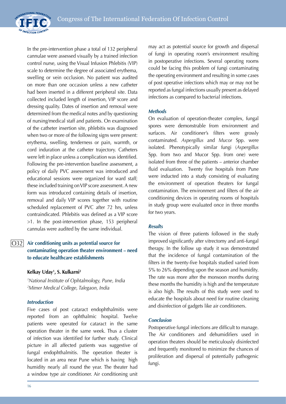

In the pre-intervention phase a total of 132 peripheral cannulae were assessed visually by a trained infection control nurse, using the Visual Infusion Phlebitis (VIP) scale to determine the degree of associated erythema, swelling or vein occlusion. No patient was audited on more than one occasion unless a new catheter had been inserted in a different peripheral site. Data collected included length of insertion, VIP score and dressing quality. Dates of insertion and removal were determined from the medical notes and by questioning of nursing/medical staff and patients. On examination of the catheter insertion site, phlebitis was diagnosed when two or more of the following signs were present: erythema, swelling, tenderness or pain, warmth, or cord induration at the catheter trajectory. Catheters were left in place unless a complication was identified. Following the pre-intervention baseline assessment, a policy of daily PVC assessment was introduced and educational sessions were organized for ward staff; these included training on VIP score assessment. A new form was introduced containing details of insertion, removal and daily VIP scores together with routine scheduled replacement of PVC after 72 hrs, unless contraindicated. Phlebitis was defined as a VIP score >1. In the post-intervention phase, 153 peripheral cannulas were audited by the same individual.

#### **Air conditioning units as potential source for contaminating operation theater environment – need to educate healthcare establishments**  $|O32|$

#### **Kelkay Uday1 , S. Kulkarni2**

*1 National Institute of Ophtalmology, Pune, India 2 Mimer Medical College, Talegaon, India*

## *Introduction*

Five cases of post cataract endophthalmitis were reported from an ophthalmic hospital. Twelve patients were operated for cataract in the same operation theater in the same week. Thus a cluster of infection was identified for further study. Clinical picture in all affected patients was suggestive of fungal endophthalmitis. The operation theater is located in an area near Pune which is having high humidity nearly all round the year. The theater had a window type air conditioner. Air conditioning unit

may act as potential source for growth and dispersal of fungi in operating room's environment resulting in postoperative infections. Several operating rooms could be facing this problem of fungi contaminating the operating environment and resulting in some cases of post operative infections which may or may not be reported as fungal infections usually present as delayed infections as compared to bacterial infections.

#### *Methods*

On evaluation of operation-theater complex, fungal spores were demonstrable from environment and surfaces. Air conditioner's filters were grossly contaminated. *Aspergillus* and *Mucor* Spp. were isolated. Phenotypically similar fungi (*Aspergillus* Spp. from two and Mucor Spp. from one) were isolated from three of the patients – anterior chamber fluid evaluation. Twenty five hospitals from Pune were inducted into a study consisting of evaluating the environment of operation theaters for fungal contamination. The environment and filters of the air conditioning devices in operating rooms of hospitals in study group were evaluated once in three months for two years.

## *Results*

The vision of three patients followed in the study improved significantly after vitrectomy and anti-fungal therapy. In the follow up study it was demonstrated that the incidence of fungal contamination of the filters in the twenty-five hospitals studied varied from 5% to 26% depending upon the season and humidity. The rate was more after the monsoon months during these months the humidity is high and the temperature is also high. The results of this study were used to educate the hospitals about need for routine cleaning and disinfection of gadgets like air conditioners.

## *Conclusion*

Postoperative fungal infections are difficult to manage. The Air conditioners and dehumidifiers used in operation theaters should be meticulously disinfected and frequently monitored to minimize the chances of proliferation and dispersal of potentially pathogenic fungi.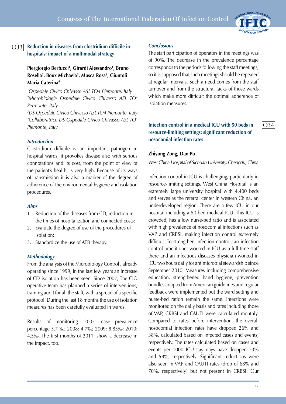

 $\bigcap$ 34

#### **Reduction in diseases from clostridium difficile in hospitals: impact of a multimodal strategy**  $|O33|$

## **Piergiorgio Bertucci1 , Girardi Alessandro1 , Bruno Rosella2 , Boux Michaela3 , Musca Rosa3 , Giuntoli Maria Caterina4**

*1 Ospedale Civico Chivasso ASL TO4 Piemonte, Italy 2 Microbiologia Ospedale Civico Chivasso ASL TO4 Permonte, Italy*

*3 DS Ospedale Civico Chivasso ASL TO4 Piemonte, Italy 4 Collaboratrice DS Ospedale Civico Chivasso ASL TO4 Piemonte, Italy*

#### *Introduction*

Clostridium difficile is an important pathogen in hospital wards, it provokes disease also with serious connotations and its cost, from the point of view of the patient's health, is very high. Because of its ways of transmission it is also a marker of the degree of adherence of the environmental hygiene and isolation procedures.

#### *Aims*

- 1. Reduction of the diseases from CD, reduction in the times of hospitalization and connected costs;
- 2. Evaluate the degree of use of the procedures of isolation;
- 3. Standardize the use of ATB therapy.

#### *Methodology*

From the analysis of the Microbiology Control , already operating since 1999, in the last few years an increase of CD isolation has been seen. Since 2007, The CIO operative team has planned a series of interventions, training audit for all the staff, with a spread of a specific protocol. During the last 18 months the use of isolation measures has been carefully evaluated in wards.

Results of monitoring: 2007: case prevalence percentage 5.7 ‰; 2008: 4.7‰; 2009: 8.85‰; 2010: 4.5‰. The first months of 2011, show a decrease in the impact, too.

#### *Conclusions*

The staff participation of operators in the meetings was of 90%. The decrease in the prevalence percentage corresponds to the periods following the staff meetings, so it is supposed that such meetings should be repeated at regular intervals. Such a need comes from the staff turnover and from the structural lacks of those wards which make more difficult the optimal adherence of isolation measures.

### **Infection control in a medical ICU with 50 beds in resource-limiting settings: significant reduction of nosocomial infection rates**

#### **Zhiyong Zong, Dan Pu**

*West China Hospital of Sichuan University, Chengdu, China*

Infection control in ICU is challenging, particularly in resource-limiting settings. West China Hospital is an extremely large university hospital with 4,400 beds and serves as the referral center in western China, an underdeveloped region. There are a few ICU in our hospital including a 50-bed medical ICU. This ICU is crowded, has a low nurse-bed ratio and is associated with high prevalence of nosocomial infections such as VAP and CRBSI, making infection control extremely difficult. To strengthen infection control, an infection control practitioner worked in ICU as a full-time staff there and an infectious diseases physician worked in ICU two hours daily for antimicrobial stewardship since September 2010. Measures including comprehensive education, strengthened hand hygiene, prevention bundles adapted from American guidelines and regular feedback were implemented but the ward setting and nurse-bed ration remain the same. Infections were monitored on the daily basis and rates including those of VAP, CRBSI and CAUTI were calculated monthly. Compared to rates before intervention, the overall nosocomial infection rates have dropped 26% and 38%, calculated based on infected cases and events, respectively. The rates calculated based on cases and events per 1000 ICU-stay days have dropped 53% and 58%, respectively. Significant reductions were also seen in VAP and CAUTI rates (drop of 68% and 70%, respectively) but not present in CRBSI. Our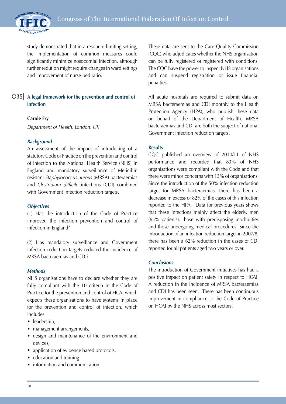

study demonstrated that in a resource-limiting setting, the implementation of common measures could significantly minimize nosocomial infection, although further redution might require changes in ward settings and improvement of nurse-bed ratio.

## $|O35|$

**A legal framework for the prevention and control of infection**

#### **Carole Fry**

*Department of Health, London, UK*

#### *Background*

An assessment of the impact of introducing of a statutory Code of Practice on the prevention and control of infection to the National Health Service (NHS) in England and mandatory surveillance of Meticillin resistant *Staphylococcus aureus* (MRSA) bacteraemias and *Clostridium difficile* infections (CDI) combined with Government infection reduction targets.

#### *Objectives*

(1) Has the introduction of the Code of Practice improved the infection prevention and control of infection in England?

(2) Has mandatory surveillance and Government infection reduction targets reduced the incidence of MRSA bacteraemias and CDI?

#### *Methods*

NHS organisations have to declare whether they are fully compliant with the 10 criteria in the Code of Practice for the prevention and control of HCAI which expects these organisations to have systems in place for the prevention and control of infection, which includes:

- leadership,
- management arrangements,
- design and maintenance of the environment and devices,
- application of evidence based protocols,
- education and training
- information and communication.

These data are sent to the Care Quality Commission (CQC) who adjudicates whether the NHS organisation can be fully registered or registered with conditions. The CQC have the power to inspect NHS organisations and can suspend registration or issue financial penalties.

All acute hospitals are required to submit data on MRSA bacteraemias and CDI monthly to the Health Protection Agency (HPA), who publish these data on behalf of the Department of Health. MRSA bacteraemias and CDI are both the subject of national Government infection reduction targets.

#### **Results**

CQC published an overview of 2010/11 of NHS performance and recorded that 83% of NHS organisations were compliant with the Code and that there were minor concerns with 13% of organisations. Since the introduction of the 50% infection reduction target for MRSA bacteraemias, there has been a decrease in excess of 82% of the cases of this infection reported to the HPA. Data for previous years shows that these infections mainly affect the elderly, men (65% patients), those with predisposing morbidities and those undergoing medical procedures. Since the introduction of an infection reduction target in 2007/8, there has been a 62% reduction in the cases of CDI reported for all patients aged two years or over.

#### *Conclusions*

The introduction of Government initiatives has had a positive impact on patient safety in respect to HCAI. A reduction in the incidence of MRSA bacteraemias and CDI has been seen. There has been continuous improvement in compliance to the Code of Practice on HCAI by the NHS across most sectors.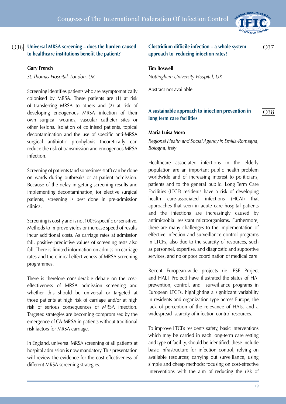

 $|O37$ 

O38

## $|O36|$

**Universal MRSA screening – does the burden caused to healthcare institutions benefit the patient?**

#### **Gary French**

*St. Thomas Hospital, London, UK*

Screening identifies patients who are asymptomatically colonised by MRSA. These patients are (1) at risk of transferring MRSA to others and (2) at risk of developing endogenous MRSA infection of their own surgical wounds, vascular catheter sites or other lesions. Isolation of colinised patients, topical decontamination and the use of specific anti-MRSA surgical antibiotic prophylaxis theoretically can reduce the risk of transmission and endogenous MRSA infection.

Screening of patients (and sometimes staff) can be done on wards during outbreaks or at patient admission. Because of the delay in getting screening results and implementing decontamination, for elective surgical patients, screening is best done in pre-admission clinics.

Screening is costly and is not 100% specific or sensitive. Methods to improve yields or increase speed of results incur additional costs. As carriage rates at admission fall, positive predictive values of screening tests also fall. There is limited information on admission carriage rates and the clinical effectiveness of MRSA screening programmes.

There is therefore considerable debate on the costeffectiveness of MRSA admission screening and whether this should be universal or targeted at those patients at high risk of carriage and/or at high risk of serious consequences of MRSA infection. Targeted strategies are becoming compromised by the emergence of CA-MRSA in patients without traditional risk factors for MRSA carriage.

In England, universal MRSA screening of all patients at hospital admission is now mandatory. This presentation will review the evidence for the cost effectiveness of different MRSA screening strategies.

## **Clostridium difficile infection – a whole system approach to reducing infection rates?**

#### **Tim Boswell**

*Nottingham University Hospital, UK*

Abstract not available

## **A sustainable approach to infection prevention in long term care facilities**

#### **Maria Luisa Moro**

*Regional Health and Social Agency in Emilia-Romagna, Bologna, Italy*

Healthcare associated infections in the elderly population are an important public health problem worldwide and of increasing interest to politicians, patients and to the general public. Long Term Care Facilities (LTCF) residents have a risk of developing health care-associated infections (HCAI) that approaches that seen in acute care hospital patients and the infections are increasingly caused by antimicrobial resistant microorganisms. Furthermore, there are many challenges to the implementation of effective infection and surveillance control programs in LTCFs, also due to the scarcity of resources, such as personnel, expertise, and diagnostic and supportive services, and no or poor coordination of medical care.

Recent European-wide projects (ie IPSE Project and HALT Project) have illustrated the status of HAI prevention, control, and surveillance programs in European LTCFs, highlighting a significant variability in residents and organization type across Europe, the lack of perception of the relevance of HAIs, and a widespread scarcity of infection control resources.

To improve LTCFs residents safety, basic interventions which may be carried in each long-term care setting and type of facility, should be identified: these include basic infrastructure for infection control, relying on available resources; carrying out surveillance, using simple and cheap methods; focusing on cost-effective interventions with the aim of reducing the risk of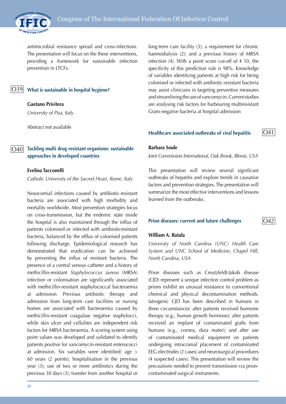

antimicrobial resistance spread and cross-infections. The presentation will focus on the these interventions, providing a framework for sustainable infection prevention in LTCFs.

 $|O39|$ 

#### **What is sustainable in hospital hygiene?**

**Gaetano Privitera** *University of Pisa, Italy*

Abstract not available

#### **Tackling multi drug resistant organisms: sustainable approaches in developed countries** O40

#### **Evelina Tacconelli**

*Catholic University of the Sacred Heart, Rome, Italy*

Nosocomial infections caused by antibiotic-resistant bacteria are associated with high morbidity and mortality worldwide. Most prevention strategies focus on cross-transmission, but the endemic state inside the hospital is also maintained through the influx of patients colonised or infected with antibioticresistant bacteria, balanced by the efflux of colonised patients following discharge. Epidemiological research has demonstrated that eradication can be achieved by preventing the influx of resistant bacteria. The presence of a central venous catheter and a history of methicillin-resistant *Staphylococcus aureus* (MRSA) infection or colonisation are significantly associated with methicillin-resistant staphylococcal bacteraemia at admission. Previous antibiotic therapy and admission from long-term care facilities or nursing homes are associated with bacteraemia caused by methicillin-resistant coagulase negative staphylocci, while skin ulcer and cellulites are independent risk factors for MRSA bacteraemia. A scoring system using point values was developed and validated to identify patients positive for vancomycin-resistant enterococci at admission. Six variables were identified: age > 60 years (2 points); hospitalisation in the previous year (3); use of two or more antibiotics during the previous 30 days (3); transfer from another hospital or

20

long-term care facility (3); a requirement for chronic haemodialysis (2); and a previous history of MRSA infection (4). With a point score cut-off of  $\pm$  10, the specificity of this prediction rule is 98%. Knowledge of variables identifying patients at high risk for being colonised or infected with antibiotic-resistant bacteria may assist clinicians in targeting preventive measures and streamlining the use of vancomycin. Current studies are analysing risk factors for harbouring multiresistant Gram-negative bacteria at hospital admission

#### **Healthcare associated outbreaks of viral hepatitis**

#### **Barbara Soule**

*Joint Commission International, Oak Brook, Illinois, USA*

This presentation will review several significant outbreaks of hepatitis and explore trends in causative factors and prevention strategies. The presentation will summarize the most effective interventions and lessons learned from the outbreaks.

#### **Prion diseases: current and future challenges**

#### **William A. Rutala**

*University of North Carolina (UNC) Health Care System and UNC School of Medicine, Chapel Hill, North Carolina, USA*

Prion diseases such as Creutzfeldt-Jakob disease (CJD) represent a unique infection control problem as prions exhibit an unusual resistance to conventional chemical and physical decontamination methods. Iatrogenic CJD has been described in humans in three circumstances: after patients received hormone therapy (e.g., human growth hormone); after patients received an implant of contaminated grafts from humans (e.g., cornea, dura mater); and after use of contaminated medical equipment on patients undergoing intracranial placement of contaminated EEG electrodes (2 cases) and neurosurgical procedures (4 suspected cases). This presentation will review the precautions needed to prevent transmission via prioncontaminated surgical instruments.

 $\bigcap$ 42

O41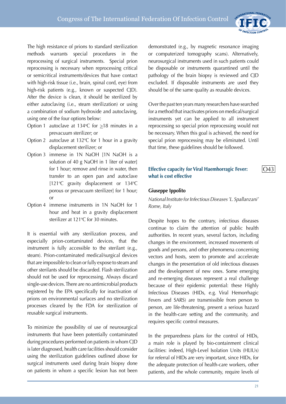

 $|O43$ 

The high resistance of prions to standard sterilization methods warrants special procedures in the reprocessing of surgical instruments. Special prion reprocessing is necessary when reprocessing critical or semicritical instruments/devices that have contact with high-risk tissue (i.e., brain, spinal cord, eye) from high-risk patients (e.g., known or suspected CJD). After the device is clean, it should be sterilized by either autoclaving (i.e., steam sterilization) or using a combination of sodium hydroxide and autoclaving, using one of the four options below:

- Option 1 autoclave at 134 °C for  $\geq$ 18 minutes in a prevacuum sterilizer; or
- Option 2 autoclave at  $132^{\circ}$ C for 1 hour in a gravity displacement sterilizer; or
- Option 3 immerse in 1N NaOH [1N NaOH is a solution of 40 g NaOH in 1 liter of water] for 1 hour; remove and rinse in water, then transfer to an open pan and autoclave [121 $\degree$ C gravity displacement or 134 $\degree$ C porous or prevacuum sterilizer] for 1 hour; or
- Option 4 immerse instruments in 1N NaOH for 1 hour and heat in a gravity displacement sterilizer at 121°C for 30 minutes.

It is essential with any sterilization process, and especially prion-contaminated devices, that the instrument is fully accessible to the sterilant (e.g., steam). Prion-contaminated medical/surgical devices that are impossible to clean or fully expose to steam and other sterilants should be discarded. Flash sterilization should not be used for reprocessing. Always discard single-use devices. There are no antimicrobial products registered by the EPA specifically for inactivation of prions on environmental surfaces and no sterilization processes cleared by the FDA for sterilization of reusable surgical instruments.

To minimize the possibility of use of neurosurgical instruments that have been potentially contaminated during procedures performed on patients in whom CJD is later diagnosed, health care facilities should consider using the sterilization guidelines outlined above for surgical instruments used during brain biopsy done on patients in whom a specific lesion has not been

demonstrated (e.g., by magnetic resonance imaging or computerized tomography scans). Alternatively, neurosurgical instruments used in such patients could be disposable or instruments quarantined until the pathology of the brain biopsy is reviewed and CJD excluded. If disposable instruments are used they should be of the same quality as reusable devices.

Over the past ten years many researchers have searched for a method that inactivates prions on medical/surgical instruments yet can be applied to all instrument reprocessing so special prion reprocessing would not be necessary. When this goal is achieved, the need for special prion reprocessing may be eliminated. Until that time, these guidelines should be followed.

## **Effective capacity for Viral Haemhorragic Fever: what is cost effective**

#### **Giuseppe Ippolito**

*National Institute for Infectious Diseases 'L. Spallanzani' Rome, Italy*

Despite hopes to the contrary, infectious diseases continue to claim the attention of public health authorities. In recent years, several factors, including changes in the environment, increased movements of goods and persons, and other phenomena concerning vectors and hosts, seem to promote and accelerate changes in the presentation of old infectious diseases and the development of new ones. Some emerging and re-emerging diseases represent a real challenge because of their epidemic potential: these Highly Infectious Diseases (HIDs, e.g. Viral Hemorrhagic Fevers and SARS) are transmissible from person to person, are life-threatening, present a serious hazard in the health-care setting and the community, and requires specific control measures.

In the preparedness plans for the control of HIDs, a main role is played by bio-containment clinical facilities: indeed, High-Level Isolation Units (HLIUs) for referral of HIDs are very important, since HIDs, for the adequate protection of health-care workers, other patients, and the whole community, require levels of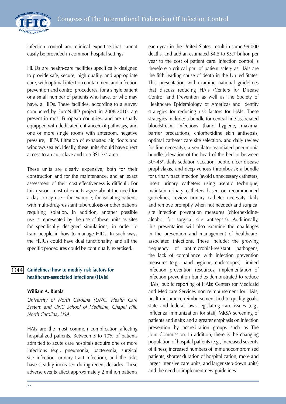

infection control and clinical expertise that cannot easily be provided in common hospital settings.

HLIUs are health-care facilities specifically designed to provide safe, secure, high-quality, and appropriate care, with optimal infection containment and infection prevention and control procedures, for a single patient or a small number of patients who have, or who may have, a HIDs. These facilities, according to a survey conducted by EuroNHID project in 2008-2010, are present in most European countries, and are usually equipped with dedicated entrance/exit pathways, and one or more single rooms with anteroom, negative pressure, HEPA filtration of exhausted air, doors and windows sealed. Ideally, these units should have direct access to an autoclave and to a BSL 3/4 area.

These units are clearly expensive, both for their construction and for the maintenance, and an exact assessment of their cost-effectiveness is difficult. For this reason, most of experts agree about the need for a day-to-day use - for example, for isolating patients with multi-drug-resistant tuberculosis or other patients requiring isolation. In addition, another possible use is represented by the use of these units as sites for specifically designed simulations, in order to train people in how to manage HIDs. In such ways the HLIUs could have dual functionality, and all the specific procedures could be continually exercised.

#### **Guidelines: how to modify risk factors for healthcare-associated infections (HAIs)** O44

#### **William A. Rutala**

*University of North Carolina (UNC) Health Care System and UNC School of Medicine, Chapel Hill, North Carolina, USA*

HAIs are the most common complication affecting hospitalized patients. Between 5 to 10% of patients admitted to acute care hospitals acquire one or more infections (e.g., pneumonia, bacteremia, surgical site infection, urinary tract infection), and the risks have steadily increased during recent decades. These adverse events affect approximately 2 million patients deaths, and add an estimated \$4.5 to \$5.7 billion per year to the cost of patient care. Infection control is therefore a critical part of patient safety as HAIs are the fifth leading cause of death in the United States. This presentation will examine national guidelines that discuss reducing HAIs (Centers for Disease Control and Prevention as well as The Society of Healthcare Epidemiology of America) and identify strategies for reducing risk factors for HAIs. These strategies include: a bundle for central line-associated bloodstream infections (hand hygiene, maximal barrier precautions, chlorhexidine skin antisepsis, optimal catheter care site selection, and daily review for line necessity); a ventilator-associated pneumonia bundle (elevation of the head of the bed to between 30°-45°, daily sedation vacation, peptic ulcer disease prophylaxis, and deep venous thrombosis); a bundle for urinary tract infection (avoid unnecessary catheters, insert urinary catheters using aseptic technique, maintain urinary catheters based on recommended guidelines, review urinary catheter necessity daily and remove promptly when not needed) and surgical site infection prevention measures (chlorhexidinealcohol for surgical site antisepsis). Additionally, this presentation will also examine the challenges in the prevention and management of healthcareassociated infections. These include: the growing frequency of antimicrobial-resistant pathogens; the lack of compliance with infection prevention measures (e.g., hand hygiene, endoscopes); limited infection prevention resources; implementation of infection prevention bundles demonstrated to reduce HAIs; public reporting of HAIs; Centers for Medicaid and Medicare Services non-reimbursement for HAIs; health insurance reimbursement tied to quality goals; state and federal laws legislating care issues (e.g., influenza immunization for staff, MRSA screening of patients and staff); and a greater emphasis on infection prevention by accreditation groups such as The Joint Commission. In addition, there is the changing population of hospital patients (e.g., increased severity of illness; increased numbers of immunocompromised patients; shorter duration of hospitalization; more and larger intensive care units; and larger step-down units) and the need to implement new guidelines.

each year in the United States, result in some 99,000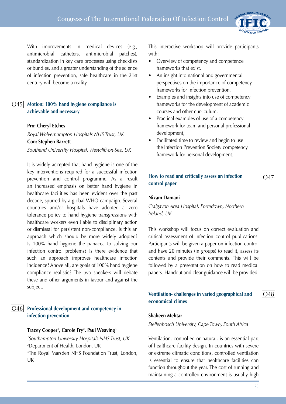

#### **Motion: 100% hand hygiene compliance is achievable and necessary** O45

#### **Pro: Cheryl Etches**

*Royal Wolverhampton Hospitals NHS Trust, UK* **Con: Stephen Barrett** *Southend University Hospital, Westcliff-on-Sea, UK*

It is widely accepted that hand hygiene is one of the key interventions required for a successful infection prevention and control programme. As a result an increased emphasis on better hand hygiene in healthcare facilities has been evident over the past decade, spurred by a global WHO campaign. Several countries and/or hospitals have adopted a zero tolerance policy to hand hygiene transgressions with healthcare workers even liable to disciplinary action or dismissal for persistent non-compliance. Is this an approach which should be more widely adopted? Is 100% hand hygiene the panacea to solving our infection control problems? Is there evidence that such an approach improves healthcare infection incidence? Above all, are goals of 100% hand hygiene compliance realistic? The two speakers will debate these and other arguments in favour and against the subject.

#### **Professional development and competency in infection prevention** O46

#### **Tracey Cooper1 , Carole Fry2 , Paul Weaving3**

 *Southampton University Hospitals NHS Trust, UK* Department of Health, London, UK The Royal Marsden NHS Foundation Trust, London, UK

This interactive workshop will provide participants with:

- Overview of competency and competence frameworks that exist,
- An insight into national and governmental perspectives on the importance of competency frameworks for infection prevention,
- Examples and insights into use of competency frameworks for the development of academic courses and other curriculum,
- Practical examples of use of a competency framework for team and personal professional development,
- Facilitated time to review and begin to use the Infection Prevention Society competency framework for personal development.

#### **How to read and critically assess an infection control paper**

#### **Nizam Damani**

*Craigavon Area Hospital, Portadown, Northern Ireland, UK*

This workshop will focus on correct evaluation and critical assessment of infection control publications. Participants will be given a paper on infection control and have 20 minutes (in groups) to read it, assess its contents and provide their comments. This will be followed by a presentation on how to read medical papers. Handout and clear guidance will be provided.

#### **Ventilation- challenges in varied geographical and economical climes**

#### **Shaheen Mehtar**

#### *Stellenbosch University, Cape Town, South Africa*

Ventilation, controlled or natural, is an essential part of healthcare facility design. In countries with severe or extreme climatic conditions, controlled ventilation is essential to ensure that healthcare facilities can function throughout the year. The cost of running and maintaining a controlled environment is usually high

O47

INTERNATIONAL FEDERATIO

 $\bigcap$ 48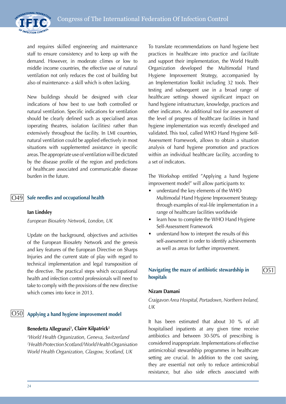

and requires skilled engineering and maintenance staff to ensure consistency and to keep up with the demand. However, in moderate climes or low to middle income countries, the effective use of natural ventilation not only reduces the cost of building but also of maintenance- a skill which is often lacking.

New buildings should be designed with clear indications of how best to use both controlled or natural ventilation. Specific indications for ventilation should be clearly defined such as specialised areas (operating theatres, isolation facilities) rather than extensively throughout the facility. In LMI countries, natural ventilation could be applied effectively in most situations with supplemented assistance in specific areas. The appropriate use of ventilation will be dictated by the disease profile of the region and predictions of healthcare associated and communicable disease burden in the future.

#### **Safe needles and occupational health** O49

#### **Ian Lindsley**

*European Biosafety Network, London, UK*

Update on the background, objectives and activities of the European Biosafety Network and the genesis and key features of the European Directive on Sharps Injuries and the current state of play with regard to technical implementation and legal transposition of the directive. The practical steps which occupational health and infection control professionals will need to take to comply with the provisions of the new directive which comes into force in 2013.

## **Applying a hand hygiene improvement model** O50

#### **Benedetta Allegranzi1 , Claire Kilpatrick2**

*1 World Health Organization, Geneva, Switzerland 2 Health Protection Scotland/World Health Organisation World Health Organization, Glasgow, Scotland, UK*

To translate recommendations on hand hygiene best practices in healthcare into practice and facilitate and support their implementation, the World Health Organization developed the Multimodal Hand Hygiene Improvement Strategy, accompanied by an Implementation Toolkit including 32 tools. Their testing and subsequent use in a broad range of healthcare settings showed significant impact on hand hygiene infrastructure, knowledge, practices and other indicators. An additional tool for assessment of the level of progress of healthcare facilities in hand hygiene implementation was recently developed and validated. This tool, called WHO Hand Hygiene Self-Assessment Framework, allows to obtain a situation analysis of hand hygiene promotion and practices within an individual healthcare facility, according to a set of indicators.

The Workshop entitled "Applying a hand hygiene improvement model" will allow participants to:

- understand the key elements of the WHO Multimodal Hand Hygiene Improvement Strategy through examples of real-life implementation in a range of healthcare facilities worldwide
- learn how to complete the WHO Hand Hygiene Self-Assessment Framework
- understand how to interpret the results of this self-assessment in order to identify achievements as well as areas for further improvement.

## **Navigating the maze of antibiotic stewardship in hospitals**

## $|O51$

#### **Nizam Damani**

*Craigavon Area Hospital, Portadown, Northern Ireland, UK*

It has been estimated that about 30 % of all hospitalised inpatients at any given time receive antibiotics and between 30-50% of prescribing is considered inappropriate. Implementations of effective antimicrobial stewardship programmes in healthcare setting are crucial. In addition to the cost saving, they are essential not only to reduce antimicrobial resistance, but also side effects associated with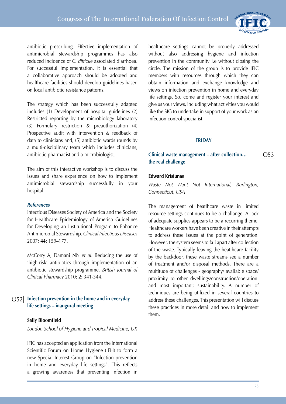

O53

antibiotic prescribing. Effective implementation of antimicrobial stewardship programmes has also reduced incidence of *C. difficile* associated diarrhoea. For successful implementation, it is essential that a collaborative approach should be adopted and healthcare facilities should develop guidelines based on local antibiotic resistance patterns.

The strategy which has been successfully adapted includes (1) Development of hospital guidelines (2) Restricted reporting by the microbiology laboratory (3) Formulary restriction & preauthorization (4) Prospective audit with intervention & feedback of data to clinicians and, (5) antibiotic wards rounds by a multi-disciplinary team which includes clinicians, antibiotic pharmacist and a microbiologist.

The aim of this interactive workshop is to discuss the issues and share experience on how to implement antimicrobial stewardship successfully in your hospital.

#### *References*

Infectious Diseases Society of America and the Society for Healthcare Epidemiology of America Guidelines for Developing an Institutional Program to Enhance Antimicrobial Stewardship. *Clinical Infectious Diseases* 2007; **44**: 159–177.

McCorry A, Damani NN *et al*. Reducing the use of 'high-risk' antibiotics through implementation of an antibiotic stewardship programme. *British Journal of Clinical Pharmacy* 2010; **2**: 341-344.

#### **Infection prevention in the home and in everyday life settings – inaugural meeting** O52

#### **Sally Bloomfield**

*London School of Hygiene and Tropical Medicine, UK*

IFIC has accepted an application from the International Scientific Forum on Home Hygiene (IFH) to form a new Special Interest Group on "Infection prevention in home and everyday life settings". This reflects a growing awareness that preventing infection in healthcare settings cannot be properly addressed without also addressing hygiene and infection prevention in the community i.e without closing the circle. The mission of the group is to provide IFIC members with resources through which they can obtain information and exchange knowledge and views on infection prevention in home and everyday life settings. So, come and register your interest and give us your views, including what activities you would like the SIG to undertake in support of your work as an infection control specialist.

#### **FRIDAY**

#### **Clinical waste management – after collection… the real challenge**

#### **Edward Krisiunas**

*Waste Not Want Not International, Burlington, Connecticut, USA*

The management of heatlhcare waste in limited resource settings continues to be a challange. A lack of adequate supplies appears to be a recurring theme. Healthcare workers have been creative in their attempts to address these issues at the point of generation. However, the system seems to fall apart after collection of the waste. Typically leaving the heatlhcare facility by the backdoor, these waste streams see a number of treatment and/or disposal methods. There are a multitude of challenges - geography/ available space/ proximity to other dwellings/construction/operation. and most important: sustainability. A number of techniques are being utilized in several countries to address these challenges. This presentation will discuss these practices in more detail and how to implement them.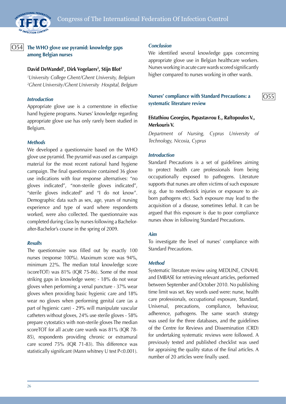

#### **The WHO glove use pyramid: knowledge gaps among Belgian nurses**  $|O54|$

#### **David DeWandel1 , Dirk Vogelaers2 , Stijn Blot2**

*1 University College Ghent/Ghent University, Belgium 2 Ghent University/Ghent University Hospital, Belgium*

#### *Introduction*

Appropriate glove use is a cornerstone in effective hand hygiene programs. Nurses' knowledge regarding appropriate glove use has only rarely been studied in Belgium.

#### *Methods*

We developed a questionnaire based on the WHO glove use pyramid. The pyramid was used as campaign material for the most recent national hand hygiene campaign. The final questionnaire contained 36 glove use indications with four response alternatives: "no gloves indicated", "non-sterile gloves indicated", "sterile gloves indicated" and "I do not know". Demographic data such as sex, age, years of nursing experience and type of ward where respondents worked, were also collected. The questionnaire was completed during class by nurses following a Bachelorafter-Bachelor's course in the spring of 2009.

#### *Results*

The questionnaire was filled out by exactly 100 nurses (response 100%). Maximum score was 94%, minimum 22%. The median total knowledge score (scoreTOT) was 81% (IQR 75-86). Some of the most striking gaps in knowledge were; - 18% do not wear gloves when performing a venal puncture - 37% wear gloves when providing basic hygienic care and 18% wear no gloves when performing genital care (as a part of hygienic care) - 29% will manipulate vascular catheters without gloves, 24% use sterile gloves - 58% prepare cytostatics with non-sterile gloves The median scoreTOT for all acute care wards was 81% (IQR 78- 85), respondents providing chronic or extramural care scored 75% (IQR 71-83). This difference was statistically significant (Mann whitney U test P<0.001).

#### *Conclusion*

We identified several knowledge gaps concerning appropriate glove use in Belgian healthcare workers. Nurses working in acute care wards scored significantly higher compared to nurses working in other wards.

#### **Nurses' compliance with Standard Precautions: a systematic literature review**

O55

### **Efstathiou Georgios, Papastavrou E., Raftopoulos V., Merkouris V.**

*Department of Nursing, Cyprus University of Technology, Nicosia, Cyprus*

#### *Introduction*

Standard Precautions is a set of guidelines aiming to protect health care professionals from being occupationally exposed to pathogens. Literature supports that nurses are often victims of such exposure (e.g. due to needlestick injuries or exposure to airborn pathogens etc). Such exposure may lead to the acquisition of a disease, sometimes lethal. It can be argued that this exposure is due to poor compliance nurses show in following Standard Precautions.

#### *Aim*

To investigate the level of nurses' compliance with Standard Precautions.

#### *Method*

Systematic literature review using MEDLINE, CINAHL and EMBASE for retrieving relevant articles, performed between September and October 2010. No publishing time limit was set. Key words used were: nurse, health care professionals, occupational exposure, Standard, Universal, precautions, compliance, behaviour, adherence, pathogens. The same search strategy was used for the three databases, and the guidelines of the Centre for Reviews and Dissemination (CRD) for undertaking systematic reviews were followed. A previously tested and published checklist was used for appraising the quality status of the final articles. A number of 20 articles were finally used.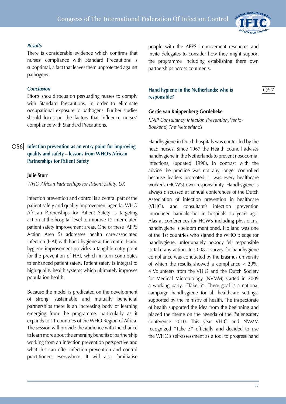

O57

#### *Results*

There is considerable evidence which confirms that nurses' compliance with Standard Precautions is suboptimal, a fact that leaves them unprotected against pathogens.

#### *Conclusion*

Efforts should focus on persuading nurses to comply with Standard Precautions, in order to eliminate occupational exposure to pathogens. Further studies should focus on the factors that influence nurses' compliance with Standard Precautions.

#### **Infection prevention as an entry point for improving quality and safety – lessons from WHO's African Partnerships for Patient Safety** O56

#### **Julie Storr**

*WHO African Partnerships for Patient Safety, UK*

Infection prevention and control is a central part of the patient safety and quality improvement agenda. WHO African Partnerships for Patient Safety is targeting action at the hospital level to improve 12 interrelated patient safety improvement areas. One of these (APPS Action Area 5) addresses health care-associated infection (HAI) with hand hygiene at the centre. Hand hygiene improvement provides a tangible entry point for the prevention of HAI, which in turn contributes to enhanced patient safety. Patient safety is integral to high quality health systems which ultimately improves population health.

Because the model is predicated on the development of strong, sustainable and mutually beneficial partnerships there is an increasing body of learning emerging from the programme, particularly as it expands to 11 countries of the WHO Region of Africa. The session will provide the audience with the chance to learn more about the emerging benefits of partnership working from an infection prevention perspective and what this can offer infection prevention and control practitioners everywhere. It will also familiarise

people with the APPS improvement resources and invite delegates to consider how they might support the programme including establishing there own partnerships across continents.

## **Hand hygiene in the Netherlands: who is responsible?**

#### **Gertie van Knippenberg-Gordebeke**

*KNIP Consultancy Infection Prevention, Venlo-Boekend, The Netherlands*

Handhygiene in Dutch hospitals was controlled by the head nurses. Since 1967 the Health council advises handhygiene in the Netherlands to prevent nosocomial infections, (updated 1990). In contrast with the advice the practice was not any longer controlled because leaders promoted: it was every healthcare worker's (HCW's) own responsibility. Handhygiene is always discussed at annual conferences of the Dutch Association of infection prevention in healthcare (VHIG), and consultant's infection prevention introduced handalcohol in hospitals 15 years ago. Alas at conferences for HCW's including physicians, handhygiene is seldom mentioned. Holland was one of the 1st countries who signed the WHO pledge for handhygiene, unfortunately nobody felt responsible to take any action. In 2008 a survey for handhygiene compliance was conducted by the Erasmus university of which the results showed a compliance  $\langle 20\% \rangle$ . 4 Volunteers from the VHIG and the Dutch Society for Medical Microbiology (NVMM) started in 2009 a working party: ''Take 5''. There goal is a national campaign handhygiene for all healthcare settings, supported by the ministry of health. The inspectorate of health supported the idea from the beginning and placed the theme on the agenda of the Patientsafety conference 2010. This year VHIG and NVMM recognized ''Take 5'' officially and decided to use the WHO's self-assessment as a tool to progress hand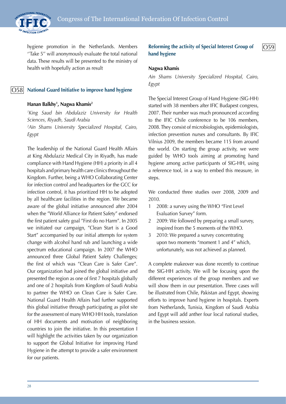

hygiene promotion in the Netherlands. Members ''Take 5'' will anonymously evaluate the total national data. These results will be presented to the ministry of health with hopefully action as result

#### O58

## **National Guard Initiative to improve hand hygiene**

#### **Hanan Balkhy1 , Nagwa Khamis2**

*1 King Saud bin Abdulaziz University for Health Sciences, Riyadh, Saudi Arabia 2 Ain Shams University Specialized Hospital, Cairo,* 

*Egypt*

The leadership of the National Guard Health Affairs at King Abdulaziz Medical City in Riyadh, has made compliance with Hand Hygiene (HH) a priority in all 4 hospitals and primary health care clinics throughout the Kingdom. Further, being a WHO Collaborating Center for infection control and headquarters for the GCC for infection control, it has prioritized HH to be adopted by all healthcare facilities in the region. We became aware of the global initiative announced after 2004 when the "World Alliance for Patient Safety" endorsed the first patient safety goal "First do no Harm". In 2005 we initiated our campaign, "Clean Start is a Good Start" accompanied by our initial attempts for system change with alcohol hand rub and launching a wide spectrum educational campaign. In 2007 the WHO announced three Global Patient Safety Challenges; the first of which was "Clean Care is Safer Care". Our organization had joined the global initiative and presented the region as one of first 7 hospitals globally and one of 2 hospitals from Kingdom of Saudi Arabia to partner the WHO on Clean Care is Safer Care. National Guard Health Affairs had further supported this global initiative through participating as pilot site for the assessment of many WHO HH tools, translation of HH documents and motivation of neighboring countries to join the initiative. In this presentation I will highlight the activities taken by our organization to support the Global Initiative for improving Hand Hygiene in the attempt to provide a safer environment for our patients.

**Reforming the activity of Special Interest Group of hand hygiene**  $|O59$ 

#### **Nagwa Khamis**

*Ain Shams University Specialized Hospital, Cairo, Egypt*

The Special Interest Group of Hand Hygiene (SIG-HH) started with 38 members after IFIC Budapest congress, 2007. Their number was much pronounced according to the IFIC Chile conference to be 106 members, 2008. They consist of microbiologists, epidemiologists, infection prevention nurses and consultants. By IFIC Vilnius 2009, the members became 115 from around the world. On starting the group activity, we were guided by WHO tools aiming at promoting hand hygiene among active participants of SIG-HH, using a reference tool, in a way to embed this measure, in steps.

We conducted three studies over 2008, 2009 and 2010.

- 1 2008: a survey using the WHO "First Level Evaluation Survey" form.
- 2 2009: We followed by preparing a small survey, inspired from the 5 moments of the WHO.
- 3 2010: We prepared a survey concentrating upon two moments "moment 1 and 4" which, unfortunately, was not achieved as planned.

A complete makeover was done recently to continue the SIG-HH activity. We will be focusing upon the different experiences of the group members and we will show them in our presentation. Three cases will be illustrated from Chile, Pakistan and Egypt, showing efforts to improve hand hygiene in hospitals. Experts from Netherlands, Tunisia, Kingdom of Saudi Arabia and Egypt will add anther four local national studies, in the business session.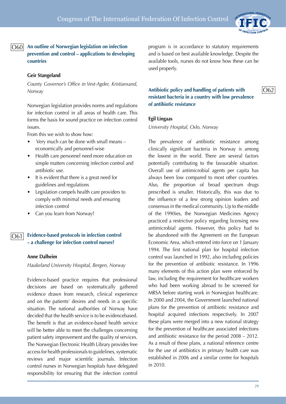

O62

**An outline of Norwegian legislation on infection**  O60**prevention and control – applications to developing countries**

#### **Geir Stangeland**

*County Governor's Office in Vest-Agder, Kristiansand, Norway*

Norwegian legislation provides norms and regulations for infection control in all areas of health care. This forms the basis for sound practice on infection control issues.

From this we wish to show how:

- Very much can be done with small means economically and personnel-wise
- Health care personnel need more education on simple matters concerning infection control and antibiotic use.
- It is evident that there is a great need for guidelines and regulations
- Legislation compels health care providers to comply with minimal needs and ensuring infection control
- Can you learn from Norway?

#### **Evidence-based protocols in infection control – a challenge for infection control nurses?** O61

#### **Anne Dalheim**

*Haukeland University Hospital, Bergen, Norway*

Evidence-based practice requires that professional decisions are based on systematically gathered evidence drawn from research, clinical experience and on the patients' desires and needs in a specific situation. The national authorities of Norway have decided that the health service is to be evidencebased. The benefit is that an evidence-based health service will be better able to meet the challenges concerning patient safety improvement and the quality of services. The Norwegian Electronic Health Library provides free access for health professionals to guidelines, systematic reviews and major scientific journals. Infection control nurses in Norwegian hospitals have delegated responsibility for ensuring that the infection control program is in accordance to statutory requirements and is based on best available knowledge. Despite the available tools, nurses do not know how these can be used properly.

#### **Antibiotic policy and handling of patients with resistant bacteria in a country with low prevalence of antibiotic resistance**

#### **Egil Lingaas**

*University Hospital, Oslo, Norway*

The prevalence of antibiotic resistance among clinically significant bacteria in Norway is among the lowest in the world. There are several factors potentially contributing to the favourable situation. Overall use of antimicrobial agents per capita has always been low compared to most other countries. Also, the proportion of broad spectrum drugs prescribed is smaller. Historically, this was due to the influence of a few strong opinion leaders and consensus in the medical community. Up to the middle of the 1990ies, the Norwegian Medicines Agency practiced a restrictive policy regarding licensing new antimicrobial agents. However, this policy had to be abandoned with the Agreement on the European Economic Area, which entered into force on 1 January 1994. The first national plan for hospital infection control was launched in 1992, also including policies for the prevention of antibiotic resistance. In 1996 many elements of this action plan were enforced by law, including the requirement for healthcare workers who had been working abroad to be screened for MRSA before starting work in Norwegian healthcare. In 2000 and 2004, the Government launched national plans for the prevention of antibiotic resistance and hospital acquired infections respectively. In 2007 these plans were merged into a new national strategy for the prevention of healthcare associated infections and antibiotic resistance for the period 2008 – 2012. As a result of these plans, a national reference centre for the use of antibiotics in primary health care was established in 2006 and a similar centre for hospitals in 2010.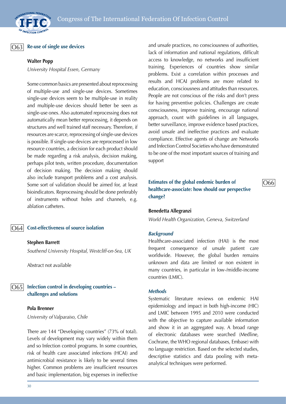#### $\vert$ O63 $\vert$

## **Re-use of single use devices**

#### **Walter Popp**

*University Hospital Essen, Germany*

Some common basics are presented about reprocessing of multiple-use and single-use devices. Sometimes single-use devices seem to be multiple-use in reality and multiple-use devices should better be seen as single-use ones. Also automated reprocessing does not automatically mean better reprocessing, it depends on structures and well trained staff necessary. Therefore, if resources are scarce, reprocessing of single-use devices is possible. If single-use devices are reprocessed in low resource countries, a decision for each product should be made regarding a risk analysis, decision making, perhaps pilot tests, written procedure, documentation of decision making. The decision making should also include transport problems and a cost analysis. Some sort of validation should be aimed for, at least bioindicators. Reprocessing should be done preferably of instruments without holes and channels, e.g. ablation catheters.

#### O64

## **Cost-effectiveness of source isolation**

#### **Stephen Barrett**

*Southend University Hospital, Westcliff-on-Sea, UK*

Abstract not available

**Infection control in developing countries – challenges and solutions** O65

#### **Pola Brenner**

*University of Valparaiso, Chile*

There are 144 "Developing countries" (73% of total). Levels of development may vary widely within them and so Infection control programs. In some countries, risk of health care associated infections (HCAI) and antimicrobial resistance is likely to be several times higher. Common problems are insufficient resources and basic implementation, big expenses in ineffective and unsafe practices, no consciousness of authorities, lack of information and national regulations, difficult access to knowledge, no networks and insufficient training. Experiences of countries show similar problems. Exist a correlation within processes and results and HCAI problems are more related to education, consciousness and attitudes than resources. People are not conscious of the risks and don't press for having preventive policies. Challenges are create consciousness, improve training, encourage national approach, count with guidelines in all languages, better surveillance, improve evidence based practices, avoid unsafe and ineffective practices and evaluate compliance. Effective agents of change are Networks and Infection Control Societies who have demonstrated to be one of the most important sources of training and support

**Estimates of the global endemic burden of healthcare-associate: how should our perspective change?**

O66

#### **Benedetta Allegranzi**

*World Health Organization, Geneva, Switzerland*

#### *Background*

Healthcare-associated infection (HAI) is the most frequent consequence of unsafe patient care worldwide. However, the global burden remains unknown and data are limited or non existent in many countries, in particular in low-/middle-income countries (LMIC).

#### *Methods*

Systematic literature reviews on endemic HAI epidemiology and impact in both high-income (HIC) and LMIC between 1995 and 2010 were conducted with the objective to capture available information and show it in an aggregated way. A broad range of electronic databases were searched (Medline, Cochrane, the WHO regional databases, Embase) with no language restriction. Based on the selected studies, descriptive statistics and data pooling with metaanalytical techniques were performed.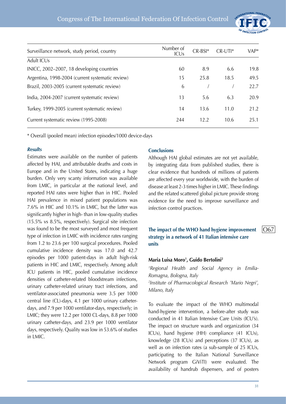

| Surveillance network, study period, country      | Number of<br><b>ICUs</b> | $CR-BSI*$ | $CR$ -UTI $*$ | VAP* |
|--------------------------------------------------|--------------------------|-----------|---------------|------|
| Adult ICUs                                       |                          |           |               |      |
| INICC, 2002-2007, 18 developing countries        | 60                       | 8.9       | 6.6           | 19.8 |
| Argentina, 1998-2004 (current systematic review) | 15                       | 25.8      | 18.5          | 49.5 |
| Brazil, 2003-2005 (current systematic review)    | 6                        |           |               | 22.7 |
| India, 2004-2007 (current systematic review)     | 13                       | 5.6       | 6.3           | 20.9 |
| Turkey, 1999-2005 (current systematic review)    | 14                       | 13.6      | 11.0          | 21.2 |
| Current systematic review (1995-2008)            | 244                      | 12.2      | 10.6          | 25.1 |

\* Overall (pooled mean) infection episodes/1000 device-days

#### *Results*

Estimates were available on the number of patients affected by HAI, and attributable deaths and costs in Europe and in the United States, indicating a huge burden. Only very scanty information was available from LMIC, in particular at the national level, and reported HAI rates were higher than in HIC. Pooled HAI prevalence in mixed patient populations was 7.6% in HIC and 10.1% in LMIC, but the latter was significantly higher in high- than in low-quality studies (15.5% vs 8.5%, respectively). Surgical site infection was found to be the most surveyed and most frequent type of infection in LMIC with incidence rates ranging from 1.2 to 23.6 per 100 surgical procedures. Pooled cumulative incidence density was 17.0 and 42.7 episodes per 1000 patient-days in adult high-risk patients in HIC and LMIC, respectively. Among adult ICU patients in HIC, pooled cumulative incidence densities of catheter-related bloodstream infections, urinary catheter-related urinary tract infections, and ventilator-associated pneumonia were 3.5 per 1000 central line (CL)-days, 4.1 per 1000 urinary catheterdays, and 7.9 per 1000 ventilator-days, respectively; in LMIC; they were 12.2 per 1000 CL-days, 8.8 per 1000 urinary catheter-days, and 23.9 per 1000 ventilator days, respectively. Quality was low in 53.6% of studies in LMIC.

## **Conclusions**

Although HAI global estimates are not yet available, by integrating data from published studies, there is clear evidence that hundreds of millions of patients are affected every year worldwide, with the burden of disease at least 2-3 times higher in LMIC. These findings and the related scattered global picture provide strong evidence for the need to improve surveillance and infection control practices.

## **The impact of the WHO hand hygiene improvement strategy in a network of 41 Italian intensive care units**

#### **Maria Luisa Moro1 , Guido Bertolini2**

*1 Regional Health and Social Agency in Emilia-Romagna, Bologna, Italy 2 Institute of Pharmacological Research 'Mario Negri', Milano, Italy*

To evaluate the impact of the WHO multimodal hand-hygiene intervention, a before-after study was conducted in 41 Italian Intensive Care Units (ICU's). The impact on structure wards and organization (34 ICUs), hand hygiene (HH) compliance (41 ICUs), knowledge (28 ICUs) and perceptions (37 ICUs), as well as on infection rates (a sub-sample of 25 ICUs, participating to the Italian National Surveillance Network program GiViTI) were evaluated. The availability of handrub dispensers, and of posters

 $\overline{O67}$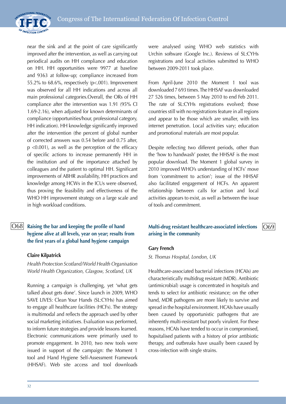

near the sink and at the point of care significantly improved after the intervention, as well as carrying out periodical audits on HH compliance and education on HH. HH opportunities were 9977 at baseline and 9363 at follow-up; compliance increased from 55.2% to 68.6%, respectively (p<.001). Improvement was observed for all HH indications and across all main professional categories.Overall, the ORs of HH compliance after the intervention was 1.91 (95% CI 1.69-2.16), when adjusted for known determinants of compliance (opportunities/hour, professional category, HH indication). HH knowledge significantly improved after the intervention (the percent of global number of corrected answers was 0.54 before and 0.75 after, p <0.001), as well as the perception of the efficacy of specific actions to increase permanently HH in the institution and of the importance attached by colleagues and the patient to optimal HH. Significant improvements of ABHR availability, HH practices and knowledge among HCWs in the ICUs were observed, thus proving the feasibility and effectiveness of the WHO HH improvement strategy on a large scale and in high workload conditions.

## **Raising the bar and keeping the profile of hand hygiene alive at all levels, year on year; results from the first years of a global hand hygiene campaign**

## **Claire Kilpatrick**

*Health Protection Scotland/World Health Organisation World Health Organization, Glasgow, Scotland, UK*

Running a campaign is challenging, yet 'what gets talked about gets done'. Since launch in 2009, WHO SAVE LIVES: Clean Your Hands (SL:CYHs) has aimed to engage all healthcare facilities (HCFs). The strategy is multimodal and reflects the approach used by other social marketing initiatives. Evaluation was performed, to inform future strategies and provide lessons learned. Electronic communications were primarily used to promote engagement. In 2010, two new tools were issued in support of the campaign: the Moment 1 tool and Hand Hygiene Self-Assessment Framework (HHSAF). Web site access and tool downloads

were analysed using WHO web statistics with Urchin software (Google Inc.). Reviews of SL:CYHs registrations and local activities submitted to WHO between 2009-2011 took place.

From April-June 2010 the Moment 1 tool was downloaded 7 693 times. The HHSAF was downloaded 27 526 times, between 5 May 2010 to end Feb 2011. The rate of SL:CYHs registrations evolved; those countries still with no registrations feature in all regions and appear to be those which are smaller, with less internet penetration. Local activities vary; education and promotional materials are most popular.

Despite reflecting two different periods, other than the 'how to handwash' poster, the HHSAF is the most popular download. The Moment 1 global survey in 2010 improved WHO's understanding of HCFs' move from 'commitment to action'; issue of the HHSAF also facilitated engagement of HCFs. An apparent relationship between calls for action and local activities appears to exist, as well as between the issue of tools and commitment.

## $\overline{\rm O68}$  Raising the bar and keeping the profile of hand **Multi-drug resistant healthcare-associated** infections  $\overline{\rm O69}$ **arising in the community**

#### **Gary French**

*St. Thomas Hospital, London, UK*

Healthcare-associated bacterial infections (HCAIs) are characteristically multidrug resistant (MDR). Antibiotic (antimicrobial) usage is concentrated in hospitals and tends to select for antibiotic resistance; on the other hand, MDR pathogens are more likely to survive and spread in the hospital environment. HCAIs have usually been caused by opportunistic pathogens that are inherently multi-resistant but poorly virulent. For these reasons, HCAIs have tended to occur in compromised, hopsitalised patients with a history of prior antibiotic therapy, and outbreaks have usually been caused by cross-infection with single strains.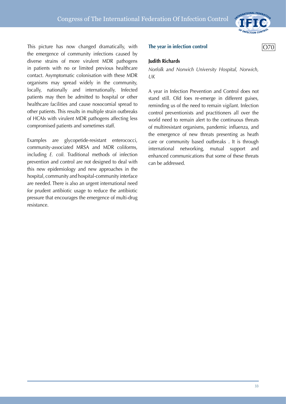

This picture has now changed dramatically, with the emergence of community infections caused by diverse strains of more virulent MDR pathogens in patients with no or limited previous healthcare contact. Asymptomatic colonisation with these MDR organisms may spread widely in the community, locally, nationally and internationally. Infected patients may then be admitted to hospital or other healthcare facilities and cause nosocomial spread to other patients. This results in multiple strain outbreaks of HCAIs with virulent MDR pathogens affecting less compromised patients and sometimes staff.

Examples are glycopetide-resistant enterococci, community-associated MRSA and MDR coliforms, including *E. coli.* Traditional methods of infection prevention and control are not designed to deal with this new epidemiology and new approaches in the hospital, community and hospital-community interface are needed. There is also an urgent international need for prudent antibiotic usage to reduce the antibiotic pressure that encourages the emergence of multi-drug resistance.

#### **The year in infection control COPS COPS COPS COPS COPS COPS COPS COPS COPS COPS COPS COPS COPS COPS COPS COPS COPS COPS COPS COPS COPS COPS COPS COPS COPS COPS COPS**

#### **Judith Richards**

*Norfolk and Norwich University Hospital, Norwich, UK*

A year in Infection Prevention and Control does not stand still. Old foes re-emerge in different guises, reminding us of the need to remain vigilant. Infection control preventionists and practitioners all over the world need to remain alert to the continuous threats of multiresistant organisms, pandemic influenza, and the emergence of new threats presenting as heath care or community based outbreaks . It is through international networking, mutual support and enhanced communications that some of these threats can be addressed.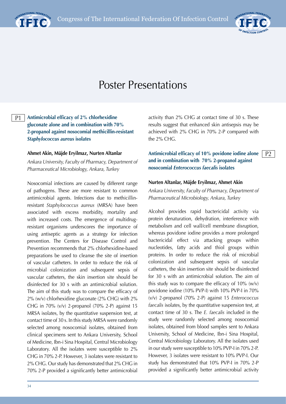



P2

## Poster Presentations

## **Antimicrobial efficacy of 2% chlorhexidine gluconate alone and in combination with 70% 2-propanol against nosocomial methicillin-resistant**  *Staphylococcus aureus* **isolates**

#### **Ahmet Akin, Müjde Eryilmaz, Nurten Altanlar**

P1

*Ankara University, Faculty of Pharmacy, Department of Pharmaceutical Microbiology, Ankara, Turkey*

Nosocomial infections are caused by different range of pathogens. These are more resistant to common antimicrobial agents. Infections due to methicillinresistant *Staphylococcus aureus* (MRSA) have been associated with excess morbidity, mortality and with increased costs. The emergence of multidrugresistant organisms underscores the importance of using antiseptic agents as a strategy for infection prevention. The Centers for Disease Control and Prevention recommends that 2% chlorhexidine-based preparations be used to cleanse the site of insertion of vascular catheters. In order to reduce the risk of microbial colonization and subsequent sepsis of vascular catheters, the skin insertion site should be disinfected for 30 s with an antimicrobial solution. The aim of this study was to compare the efficacy of 2% (w/v) chlorhexidine gluconate (2% CHG) with 2% CHG in 70% (v/v) 2-propanol (70% 2-P) against 15 MRSA isolates, by the quantitative suspension test, at contact time of 30 s. In this study MRSA were randomly selected among nosocomial isolates, obtained from clinical specimens sent to Ankara University, School of Medicine, Ibn-i Sina Hospital, Central Microbiology Laboratory. All the isolates were susceptible to 2% CHG in 70% 2-P. However, 3 isolates were resistant to 2% CHG. Our study has demonstrated that 2% CHG in 70% 2-P provided a significantly better antimicrobial

activity than 2% CHG at contact time of 30 s. These results suggest that enhanced skin antisepsis may be achieved with 2% CHG in 70% 2-P compared with the 2% CHG.

**Antimicrobial efficacy of 10% povidone iodine alone and in combination with 70% 2-propanol against nosocomial** *Enterococcus faecalis* **isolates**

#### **Nurten Altanlar, Müjde Eryilmaz, Ahmet Akin**

*Ankara University, Faculty of Pharmacy, Department of Pharmaceutical Microbiology, Ankara, Turkey*

Alcohol provides rapid bactericidal activity via protein denaturation, dehydration, interference with metabolism and cell wall/cell membrane disruption, whereas povidone iodine provides a more prolonged bactericidal effect via attacking groups within nucleotides, fatty acids and thiol groups within proteins. In order to reduce the risk of microbial colonization and subsequent sepsis of vascular catheters, the skin insertion site should be disinfected for 30 s with an antimicrobial solution. The aim of this study was to compare the efficacy of  $10\%$  (w/v) povidone iodine (10% PVP-I) with 10% PVP-I in 70% (v/v) 2-propanol (70% 2-P) against 15 *Enterococcus faecalis* isolates, by the quantitative suspension test, at contact time of 30 s. The *E. faecalis* included in the study were randomly selected among nosocomial isolates, obtained from blood samples sent to Ankara University, School of Medicine, Ibn-i Sina Hospital, Central Microbiology Laboratory. All the isolates used in our study were susceptible to 10% PVP-I in 70% 2-P. However, 3 isolates were resistant to 10% PVP-I. Our study has demonstrated that 10% PVP-I in 70% 2-P provided a significantly better antimicrobial activity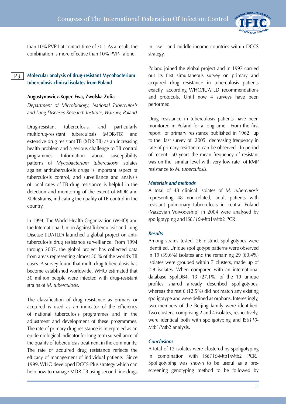

than 10% PVP-I at contact time of 30 s. As a result, the combination is more effective than 10% PVP-I alone.

#### **Molecular analysis of drug-resistant Mycobacterium tuberculosis clinical isolates from Poland**  P3

#### **Augustynowicz-Kopec Ewa, Zwolska Zofia**

*Department of Microbiology, National Tuberculosis and Lung Diseases Research Institute, Warsaw, Poland*

Drug-resistant tuberculosis, and particularly multidrug-resistant tuberculosis (MDR-TB) and extensive drug resistant TB (XDR-TB) as an increasing health problem and a serious challenge to TB control programmes. Information about susceptibility patterns of *Mycobacterium tuberculosis* isolates against antituberculosis drugs is important aspect of tuberculosis control, and surveillance and analysis of local rates of TB drug resistance is helpful in the detection and monitoring of the extent of MDR and XDR strains, indicating the quality of TB control in the country.

In 1994, The World Health Organization (WHO) and the International Union Against Tuberculosis and Lung Disease (IUATLD) launched a global project on antituberculosis drug resistance surveillance. From 1994 through 2007, the global project has collected data from areas representing almost 50 % of the world's TB cases. A survey found that multi-drug tuberculosis has become established worldwide. WHO estimated that 50 million people were infected with drug-resistant strains of *M. tuberculosis*.

The classification of drug resistance as primary or acquired is used as an indicator of the efficiency of national tuberculosis programmes and in the adjustment and development of these programmes. The rate of primary drug resistance is interpreted as an epidemiological indicator for long-term surveillance of the quality of tuberculosis treatment in the community. The rate of acquired drug resistance reflects the efficacy of management of individual patients Since 1999, WHO developed DOTS-Plus strategy which can help how to manage MDR-TB using second line drugs

in low- and middle-income countries within DOTS strategy.

Poland joined the global project and in 1997 carried out its first simultaneous survey on primary and acquired drug resistance in tuberculosis patients exactly, according WHO/IUATLD recommendations and protocols. Until now 4 surveys have been performed.

Drug resistance in tuberculosis patients have been monitored in Poland for a long time. From the first report of primary resistance published in 1962 up to the last survey of 2005 decreasing frequency in rate of primary resistance can be observed . In period of recent 50 years the mean frequency of resistant was on the similar level with very low rate of RMP resistance to *M. tuberculosis.*

#### *Materials and methods*

A total of 48 clinical isolates of *M. tuberculosis* representing 48 non-related, adult patients with resistant pulmonary tuberculosis in central Poland (Mazovian Voivodeship) in 2004 were analysed by spoligotyping and IS*6110*-Mtb1/Mtb2 PCR .

#### *Results*

Among strains tested, 26 distinct spoligotypes were identified. Unique spoligotype patterns were observed in 19 (39.6%) isolates and the remaining 29 (60.4%) isolates were grouped within 7 clusters, made up of 2-8 isolates. When compared with an international database SpolDB4, 13 (27.1%) of the 19 unique profiles shared already described spoligotypes, whereas the rest 6 (12.5%) did not match any existing spoligotype and were defined as orphans. Interestingly, two members of the Beijing family were identified. Two clusters, comprising 2 and 4 isolates, respectively, were identical both with spoligotyping and IS*6110*- Mtb1/Mtb2 analysis.

#### *Conclusions*

A total of 12 isolates were clustered by spoligotyping in combination with IS*6110*-Mtb1/Mtb2 PCR.. Spoligotyping was shown to be useful as a prescreening genotyping method to be followed by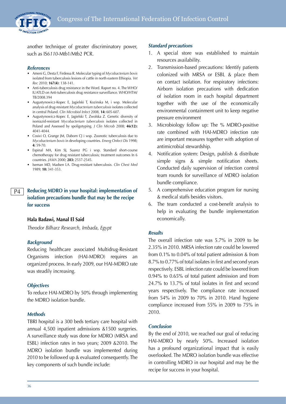

another technique of greater discriminatory power, such as IS*6110*-Mtb1/Mtb2 PCR.

#### *References*

- Ameni G, Desta F, Firdessa R. Molecular typing of *Mycobacterium bovis*  isolated from tuberculosis lesions of cattle in north eastern Ethiopia. *Vet Rec* 2010; **167(4)**: 138-141.
- Anti-tuberculosis drug resistance in the Word. Raport no. 4. The WHO/ IUATLD on Anti-tuberculosis drug resistance surveillance. WHO/HTM/ TB/2008.394
- Augustynowicz-Kopec E, Jagielski T, Kozinska M, i wsp. Molecular analysis of drug-resistant *Mycobacterium tuberculosis* isolates collected in central Poland. *Clin Microbiol Infect* 2008, **14:** 605-607.
- Augustynowicz-Kopec E, Jagielski T, Zwolska Z. Genetic diversity of isoniazid-resistant *Mycobacterium tuberculosis* isolates collected in Poland and Assessed by spoligotyping. *J Clin Microb* 2008; **46(12):** 4041-4044.
- Cosivi O, Grange JM, Daborn CJ i wsp. Zoonotic tuberculosis due to *Mycobacterium bovis* in developing countries. *Emerg Onfect Dis* 1998; **4:** 59-70.
- Espinal MA, Kim SJ, Suarez PG i wsp. Standard short-course chemotherapy for drug resistant tuberculosis; treatment outcomes In 6 countries. *JAMA* 2000; **283:** 2537-2545.
- Iseman MD, Madsen LA. Drug-resistant tuberculosis. *Clin Chest Med*  1989; **10:** 341-353.

#### **Reducing MDRO in your hospital: implementation of isolation precautions bundle that may be the recipe for success** P4

#### **Hala Badawi, Manal El Said**

*Theodor Bilharz Research, Imbada, Egypt*

#### *Background*

Reducing healthcare associated Multidrug-Resistant Organisms infection (HAI-MDRO) requires an organized process. In early 2009, our HAI-MDRO rate was steadily increasing.

#### *Objectives*

To reduce HAI-MDRO by 50% through implementing the MDRO isolation bundle.

#### *Methods*

TBRI hospital is a 300 beds tertiary care hospital with annual 4,500 inpatient admissions &1500 surgeries. A surveillance study was done for MDRO (MRSA and ESBL) infection rates in two years; 2009 &2010. The MDRO isolation bundle was implemented during 2010 to be followed up & evaluated consequently. The key components of such bundle include:

#### *Standard precautions*

- 1. A special store was established to maintain resources availability.
- 2. Transmission-based precautions: Identify patients colonized with MRSA or ESBL & place them on contact isolation. For respiratory infections: Airborn isolation precautions with dedication of isolation room in each hospital department together with the use of the economically environmental containment unit to keep negative pressure environment
- 3. Microbiology follow up: The % MDRO-positive rate combined with HAI-MDRO infection rate are important measures together with adoption of antimicrobial stewardship.
- 4. Notification system: Design, publish & distribute simple signs & simple notification sheets. Conducted daily supervision of infection control team rounds for surveillance of MDRO isolation bundle compliance.
- 5. A comprehensive education program for nursing & medical staffs besides visitors.
- 6. The team conducted a cost-benefit analysis to help in evaluating the bundle implementation economically.

#### *Results*

The overall infection rate was 5.7% in 2009 to be 2.35% in 2010. MRSA infection rate could be lowered from 0.1% to 0.04% of total patient admission & from 8.7% to 0.77% of total isolates in first and second years respectively. ESBL infection rate could be lowered from 0.94% to 0.65% of total patient admission and from 24.7% to 13.7% of total isolates in first and second years respectively. The compliance rate increased from 54% in 2009 to 70% in 2010. Hand hygiene compliance increased from 55% in 2009 to 75% in 2010.

#### *Conclusion*

By the end of 2010, we reached our goal of reducing HAI-MDRO by nearly 50%. Increased isolation has a profound organizational impact that is easily overlooked. The MDRO isolation bundle was effective in controlling MDRO in our hospital and may be the recipe for success in your hospital.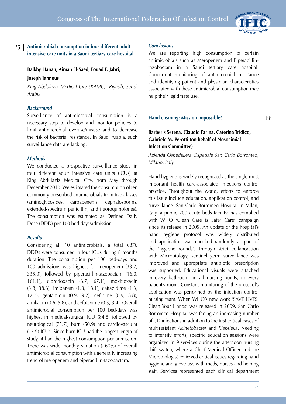

# **Antimicrobial consumption in four different adult intensive care units in a Saudi tertiary care hospital**

#### **Balkhy Hanan, Aiman El-Saed, Fouad F. Jabri,**

#### **Joseph Tannous**

P5

*King Abdulaziz Medical City (KAMC), Riyadh, Saudi Arabia*

#### *Background*

Surveillance of antimicrobial consumption is a necessary step to develop and monitor policies to limit antimicrobial overuse/misuse and to decrease the risk of bacterial resistance. In Saudi Arabia, such surveillance data are lacking.

#### *Methods*

We conducted a prospective surveillance study in four different adult intensive care units (ICUs) at King Abdulaziz Medical City, from May through December 2010. We estimated the consumption of ten commonly prescribed antimicrobials from five classes (aminoglycosides, carbapenems, cephalosporins, extended-spectrum penicillin, and fluoroquinolones). The consumption was estimated as Defined Daily Dose (DDD) per 100 bed-days/admission.

#### *Results*

Considering all 10 antimicrobials, a total 6876 DDDs were consumed in four ICUs during 8 months duration. The consumption per 100 bed-days and 100 admissions was highest for meropenem (33.2, 335.0), followed by piperacillin-tazobactam (16.0, 161.1), ciprofloxacin (6.7, 67.1), moxifloxacin (3.8, 38.6), imipenem (1.8, 18.1), ceftazidime (1.3, 12.7), gentamicin (0.9, 9.2), cefipime (0.9, 8.8), amikacin (0.6, 5.8), and cefotaxime (0.3, 3.4). Overall antimicrobial consumption per 100 bed-days was highest in medical-surgical ICU (84.8) followed by neurological (75.7), burn (50.9) and cardiovascular (13.9) ICUs. Since burn ICU had the longest length of study, it had the highest consumption per admission. There was wide monthly variation (~60%) of overall antimicrobial consumption with a generally increasing trend of meropenem and piperacillin-tazobactam.

#### *Conclusions*

We are reporting high consumption of certain antimicrobials such as Meropenem and Piperacillintazobactam in a Saudi tertiary care hospital. Concurrent monitoring of antimicrobial resistance and identifying patient and physician characteristics associated with these antimicrobial consumption may help their legitimate use.

#### **Hand cleaning: Mission impossible?**

# P6

# **Barberis Serena, Claudio Farina, Caterina Tridico, Gabriele M. Perotti (on behalf of Nosocimial Infection Committee)**

*Azienda Ospedaliera Ospedale San Carlo Borromeo, Milano, Italy*

Hand hygiene is widely recognized as the single most important health care-associated infections control practice. Throughout the world, efforts to enforce this issue include education, application control, and surveillance. San Carlo Borromeo Hospital in Milan, Italy, a public 700 acute beds facility, has complied with WHO 'Clean Care is Safer Care' campaign since its release in 2005. An update of the hospital's hand hygiene protocol was widely distributed and application was checked randomly as part of the 'hygiene rounds'. Through strict collaboration with Microbiology, sentinel germ surveillance was improved and appropriate antibiotic prescription was supported. Educational visuals were attached in every bathroom, in all nursing points, in every patient's room. Constant monitoring of the protocol's application was performed by the infection control nursing team. When WHO's new work 'SAVE LIVES: Clean Your Hands' was released in 2009, San Carlo Borromeo Hospital was facing an increasing number of CD infections in addition to the first critical cases of multiresistant *Acinetobacter* and *Klebsiella*. Needing to intensify efforts, specific education sessions were organized in 9 services during the afternoon nursing shift switch, where a Chief Medical Officer and the Microbiologist reviewed critical issues regarding hand hygiene and glove use with meds, nurses and helping staff. Services represented each clinical department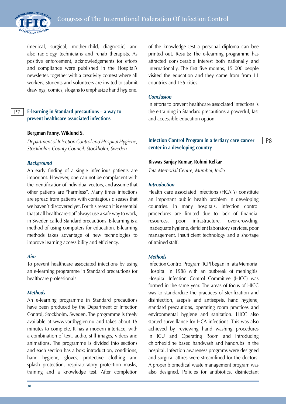

(medical, surgical, mother-child, diagnostic) and also radiology technicians and rehab therapists. As positive enforcement, acknowledgements for efforts and compliance were published in the Hospital's newsletter, together with a creativity contest where all workers, students and volunteers are invited to submit drawings, comics, slogans to emphasize hand hygiene.

#### **E-learning in Standard precautions – a way to prevent healthcare associated infections** P7

#### **Bergman Fanny, Wiklund S.**

*Department of Infection Control and Hospital Hygiene, Stockholms County Council, Stockholm, Sweden*

#### *Background*

An early finding of a single infectious patients are important. However, one can not be complacent with the identification of individual vectors, and assume that other patients are "harmless". Many times infections are spread from patients with contagious diseases that we haven´t discovered yet. For this reason it is essential that at all healthcare staff always use a safe way to work, in Sweden called Standard precautions. E-learning is a method of using computers for education. E-learning methods takes advantage of new technologies to improve learning accessibility and efficiency.

#### *Aim*

To prevent healthcare associated infections by using an e-learning programme in Standard precautions for healthcare professionals.

#### *Methods*

An e-learning programme in Standard precautions have been produced by the Department of Infection Control, Stockholm, Sweden. The programme is freely available at www.vardhygien.nu and takes about 15 minutes to complete. It has a modern interface, with a combination of text, audio, still images, videos and animations. The programme is divided into sections and each section has a box; introduction, conditions, hand hygiene, gloves, protective clothing and splash protection, respiratoratory protection masks, training and a knowledge test. After completion of the knowledge test a personal diploma can bee printed out. Results: The e-learning programme has attracted considerable interest both nationally and internationally. The first five months, 15 000 people visited the education and they came from from 11 countries and 155 cities.

#### *Conclusion*

In efforts to prevent healthcare associated infections is the e-training in Standard precautions a powerful, fast and accessible education option.

## **Infection Control Program in a tertiary care cancer center in a developing country**

P8

#### **Biswas Sanjay Kumar, Rohini Kelkar**

*Tata Memorial Centre, Mumbai, India*

#### *Introduction*

Health care associated infections (HCAI's) constitute an important public health problem in developing countries. In many hospitals, infection control procedures are limited due to lack of financial resources, poor infrastructure, over-crowding, inadequate hygiene, deficient laboratory services, poor management, insufficient technology and a shortage of trained staff.

#### *Methods*

Infection Control Program (ICP) began in Tata Memorial Hospital in 1988 with an outbreak of meningitis. Hospital Infection Control Committee (HICC) was formed in the same year. The areas of focus of HICC was to standardize the practices of sterilization and disinfection, asepsis and antisepsis, hand hygiene, standard precautions, operating room practices and environmental hygiene and sanitation. HICC also started surveillance for HCA infections. This was also achieved by reviewing hand washing procedures in ICU and Operating Room and introducing chlorhexidine based handwash and handrubs in the hospital. Infection awareness programs were designed and surgical attires were streamlined for the doctors. A proper biomedical waste management program was also designed. Policies for antibiotics, disinfectant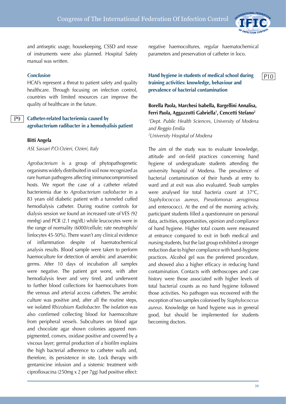

P10

and antiseptic usage, housekeeping, CSSD and reuse of instruments were also planned. Hospital Safety manual was written.

#### *Conclusion*

HCAI's represent a threat to patient safety and quality healthcare. Through focusing on infection control, countries with limited resources can improve the quality of healthcare in the future.

#### **Catheter-related bacteriemia caused by agrobacterium radibacter in a hemodyalisis patient** P9

#### **Bitti Angela**

*ASL Sassari P.O.Ozieri, Ozieri, Italy*

*Agrobacterium* is a group of phytopathogenetic organisms widely distribuited in soil now recognized as rare human pathogens affecting immunocompromised hosts. We report the case of a catheter related bacteriemia due to *Agrobacterium radiobacter* in a 83 years old diabetic patient with a tunneled cuffed hemodialysis catheter. During routine controls for dialysis session we found an increased rate of VES (92 mmhg) and PCR (2.1 mg/dL) while leucocytes were in the range of normality (6000/cellule; rate neutrophils/ linfocytes 45-50%). There wasn't any clinical evidence of inflammation despite of haematochemical analysis results. Blood sample were taken to perform haemoculture for detection of aerobic and anaerobic germs. After 10 days of incubation all samples were negative. The patient got worst, with after hemodialysis fever and very tired, and underwent to further blood collections for haemocultures from the venous and arterial access catheters. The aerobic culture was positive and, after all the routine steps, we isolated *Rhizobium Radiobacter.* The isolation was also confirmed collecting blood for haemocolture from peripheral vessels. Subcultures on blood agar and chocolate agar shown colonies appared nonpigmented, convex, oxidase positive and covered by a viscous layer; germal production of a biofilm explains the high bacterial adherence to catheter walls and, therefore, its persistence in site. Lock therapy with gentamicine infusion and a sistemic treatment with ciprofloxacina (250mg x 2 per 7gg) had positive effect:

negative haemocoltures, regular haematochemical parameters and preservation of catheter in loco.

# **Hand hygiene in students of medical school during training activities: knowledge, behaviour and prevalence of bacterial contamination**

# **Borella Paola, Marchesi Isabella, Bargellini Annalisa, Ferri Paola, Aggazzotti Gabriella1 , Cencetti Stefano2**

*1 Dept. Public Health Sciences, University of Modena and Reggio Emilia 2 University Hospital of Modena*

The aim of the study was to evaluate knowledge, attitude and on-field practices concerning hand hygiene of undergraduate students attending the university hospital of Modena. The prevalence of bacterial contamination of their hands at entry to ward and at exit was also evaluated. Swab samples were analysed for total bacteria count at 37°C, *Staphylococcus aureus*, *Pseudomonas aeruginosa* and enterococci. At the end of the morning activity, participant students filled a questionnaire on personal data, activities, opportunities, opinion and compliance of hand hygiene. Higher total counts were measured at entrance compared to exit in both medical and nursing students, but the last group exhibited a stronger reduction due to higher compliance with hand-hygiene practices. Alcohol gel was the preferred procedure, and showed also a higher efficacy in reducing hand contamination. Contacts with stethoscopes and case history were those associated with higher levels of total bacterial counts as no hand hygiene followed those activities. No pathogen was recovered with the exception of two samples colonised by *Staphylococcus aureus*. Knowledge on hand hygiene was in general good, but should be implemented for students becoming doctors.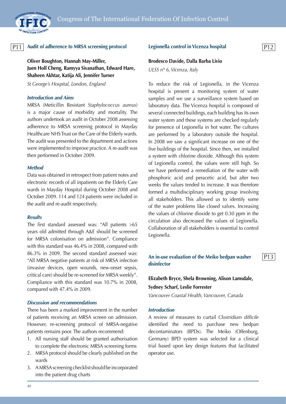

# <u>P11 |</u> Audit of adherence to MRSA screening protocol Legionella control in Vicenza hospital <u>P12</u>

**Oliver Boughton, Hannah May-Miller, Juen Holl Cheng, Ramyya Sivanathan, Edward Hare, Shaheen Akhtar, Katija Ali, Jennifer Turner**

*St George's Hospital, London, England*

#### *Introduction and Aims*

MRSA (Meticillin Resistant *Staphylococcus aureus*) is a major cause of morbidity and mortality. The authors undertook an audit in October 2008 assessing adherence to MRSA screening protocol in Mayday Healthcare NHS Trust on the Care of the Elderly wards. The audit was presented to the department and actions were implemented to improve practice. A re-audit was then performed in October 2009.

#### *Method*

Data was obtained in retrospect from patient notes and electronic records of all inpatients on the Elderly Care wards in Mayday Hospital during October 2008 and October 2009. 114 and 124 patients were included in the audit and re-audit respectively.

#### *Results*

The first standard assessed was: "All patients >65 years old admitted through A&E should be screened for MRSA colonisation on admission". Compliance with this standard was 46.4% in 2008, compared with 86.3% in 2009. The second standard assessed was: "All MRSA negative patients at risk of MRSA infection (invasive devices, open wounds, new-onset sepsis, critical care) should be re-screened for MRSA weekly". Compliance with this standard was 10.7% in 2008, compared with 47.4% in 2009.

#### *Discussion and recommendations*

There has been a marked improvement in the number of patients receiving an MRSA screen on admission. However, re-screening protocol of MRSA-negative patients remains poor. The authors recommend:

- 1. All nursing staff should be granted authorisation to complete the electronic MRSA screening forms
- 2. MRSA protocol should be clearly published on the wards
- 3. A MRSA screening checklist should be incorporated into the patient drug charts

#### **Legionella control in Vicenza hospital**

P13

#### **Brodesco Davide, Dalla Barba Livio**

*ULSS n° 6, Vicenza, Italy*

To reduce the risk of Legionella, in the Vicenza hospital is present a monitoring system of water samples and we use a surveillance system based on laboratory data. The Vicenza hospital is composed of several connected buildings, each building has its own water system and these systems are checked regularly for presence of Legionella in hot water. The cultures are performed by a laboratory outside the hospital. In 2008 we saw a significant increase on one of the five buildings of the hospital. Since then, we installed a system with chlorine dioxide. Although this system of Legionella control, the values were still high. So we have performed a remediation of the water with phosphoric acid and peracetic acid, but after two weeks the values tended to increase. It was therefore formed a multidisciplinary working group involving all stakeholders. This allowed us to identify some of the water problems like closed valves. Increasing the values of chlorine dioxide to get 0.30 ppm in the circulation also decreased the values of Legionella. Collaboration of all stakeholders is essential to control Legionella.

# **An in-use evaluation of the Meiko bedpan washer disinfector**

# **Elizabeth Bryce, Shela Browning, Alison Lamsdale, Sydney Scharf, Leslie Forrester**

*Vancouver Coastal Health, Vancouver, Canada*

#### *Introduction*

A review of measures to curtail *Clostridium difficile* identified the need to purchase new bedpan decontaminators (BPDs). The Meiko (Offenburg, Germany) BPD system was selected for a clinical trial based upon key design features that facilitated operator use.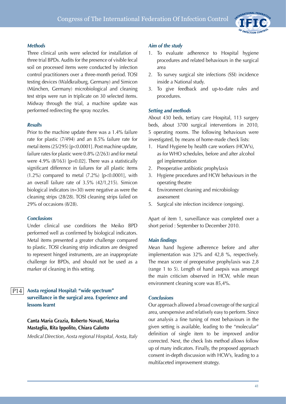## *Methods*

Three clinical units were selected for installation of three trial BPDs. Audits for the presence of visible fecal soil on processed items were conducted by infection control practitioners over a three-month period. TOSI testing devices (Waldkraiburg, Germany) and Simicon (München, Germany) microbiological and cleaning test strips were run in triplicate on 30 selected items. Midway through the trial, a machine update was performed redirecting the spray nozzles.

# *Results*

Prior to the machine update there was a 1.4% failure rate for plastic (7/494) and an 8.5% failure rate for metal items (25/295) [p<0.0001]. Post machine update, failure rates for plastic were 0.8% (2/263) and for metal were 4.9%  $(8/163)$  [p=0.02]. There was a statistically significant difference in failures for all plastic items (1.2%) compared to metal (7.2%) [p<0.0001], with an overall failure rate of 3.5% (42/1,215). Simicon biological indicators (n=30) were negative as were the cleaning strips (28/28). TOSI cleaning strips failed on 29% of occasions (8/28).

## *Conclusions*

Under clinical use conditions the Meiko BPD performed well as confirmed by biological indicators. Metal items presented a greater challenge compared to plastic. TOSI cleaning strip indicators are designed to represent hinged instruments, are an inappropriate challenge for BPDs, and should not be used as a marker of cleaning in this setting.

## P14

**Aosta regional Hospital: "wide spectrum" surveillance in the surgical area. Experience and lessons learnt**

# **Canta Maria Grazia, Roberto Novati, Marisa Mastaglia, Rita Ippolito, Chiara Galotto**

*Medical Direction, Aosta regional Hospital, Aosta, Italy*

# *Aim of the study*

- 1. To evaluate adherence to Hospital hygiene procedures and related behaviours in the surgical area
- 2. To survey surgical site infections (SSI) incidence inside a National study.
- 3. To give feedback and up-to-date rules and procedures.

# *Setting and methods*

About 430 beds, tertiary care Hospital, 113 surgery beds, about 3700 surgical interventions in 2010, 5 operating rooms. The following behaviours were investigated, by means of home-made check lists:

- 1. Hand Hygiene by health care workers (HCW's), as for WHO schedules, before and after alcohol gel implementation
- 2. Preoperative antibiotic prophylaxis
- 3. Hygiene procedures and HCW behaviours in the operating theatre
- 4. Environment cleaning and microbiology assessment
- 5. Surgical site infection incidence (ongoing).

Apart of item 1, surveillance was completed over a short period : September to December 2010.

## *Main findings*

Mean hand hygiene adherence before and after implementation was 32% and 42,8 %, respectively. The mean score of preoperative prophylaxis was 2,8 (range 1 to 5). Length of hand asepsis was amongst the main criticism observed in HCW, while mean environment cleaning score was 85,4%.

# *Conclusions*

Our approach allowed a broad coverage of the surgical area, unexpensive and relatively easy to perform. Since our analysis a fine tuning of most behaviours in the given setting is available, leading to the "molecular" definition of single item to be improved and/or corrected. Next, the check lists method allows follow up of many indicators. Finally, the proposed approach consent in-depth discussion with HCW's, leading to a multifaceted improvement strategy.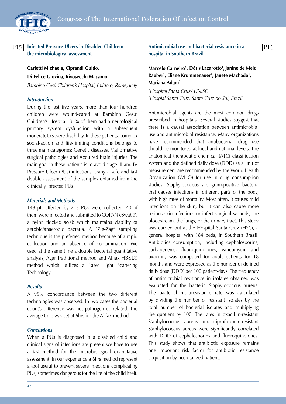

# <u>P15 Infected Pressure Ulcers in Disabled Children:</u> Antimicrobial use and bacterial resistance in a 2016 **the microbiological assessment**

**Carletti Michaela, Ciprandi Guido, Di Felice Giovina, Rivosecchi Massimo**

*Bambino Gesù Children's Hospital, Palidoro, Rome, Italy*

#### *Introduction*

During the last five years, more than four hundred children were wound-cared at Bambino Gesu' Children's Hospital. 35% of them had a neurological primary system dysfunction with a subsequent moderate to severe disability. In these patients, complex social/action and life-limiting conditions belongs to three main categories: Genetic diseases, Malformative surgical pathologies and Acquired brain injuries. The main goal in these patients is to avoid stage III and IV Pressure Ulcer (PUs) infections, using a safe and fast double assessment of the samples obtained from the clinically infected PUs.

#### *Materials and Methods*

148 pts affected by 245 PUs were collected. 40 of them were infected and submitted to COPAN eSwab®, a nylon flocked swab which maintains viability of aerobic/anaerobic bacteria. A "Zig-Zag" sampling technique is the preferred method because of a rapid collection and an absence of contamination. We used at the same time a double bacterial quantitative analysis, Agar Traditional method and Alifax HB&L® method which utilizes a Laser Light Scattering Technology.

#### *Results*

A 95% concordance between the two different technologies was observed. In two cases the bacterial count's difference was not pathogen correlated. The average time was set at 6hrs for the Alifax method.

#### *Conclusions*

When a PUs is diagnosed in a disabled child and clinical signs of infections are present we have to use a fast method for the microbiological quantitative assessment. In our experience a 6hrs method represent a tool useful to prevent severe infections complicating PUs, sometimes dangerous for the life of the child itself.

# **Antimicrobial use and bacterial resistance in a hospital in Southern Brazil**

# **Marcelo Carneiro1 , Dóris Lazarotto1 ,Janine de Melo**  Rauber<sup>2</sup>, Eliane Krummenauer<sup>2</sup>, Janete Machado<sup>2</sup>, **Mariana Adam2**

*1 Hospital Santa Cruz/ UNISC 2 Hospial Santa Cruz, Santa Cruz do Sul, Brazil*

Antimicrobial agents are the most common drugs prescribed in hospitals. Several studies suggest that there is a causal association between antimicrobial use and antimicrobial resistance. Many organizations have recommended that antibacterial drug use should be monitored at local and national levels. The anatomical therapeutic chemical (ATC) classification system and the defined daily dose (DDD) as a unit of measurement are recommended by the World Health Organization (WHO) for use in drug consumption studies. Staphylococcus are gram-positive bacteria that causes infections in different parts of the body, with high rates of mortality. Most often, it causes mild infections on the skin, but it can also cause more serious skin infections or infect surgical wounds, the bloodstream, the lungs, or the urinary tract. This study was carried out at the Hospital Santa Cruz (HSC), a general hospital with 184 beds, in Southern Brazil. Antibiotics consumption, including cephalosporins, carbapenems, fluoroquinolones, vancomycin and oxacilin, was computed for adult patients for 18 months and were expressed as the number of defined daily dose (DDD) per 100 patient-days. The frequency of antimicrobial resistance in isolates obtained was evaluated for the bacteria Staphylococcus aureus. The bacterial multiresistance rate was calculated by dividing the number of resistant isolates by the total number of bacterial isolates and multiplying the quotient by 100. The rates in oxacillin-resistant Staphylococcus aureus and ciprofloxacin-resistant Staphylococcus aureus were significantly correlated with DDD of cephalosporins and fluoroquinolones. This study shows that antibiotic exposure remains one important risk factor for antibiotic resistance acquisition by hospitalized patients.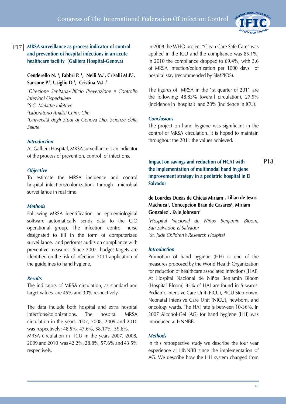

P18

#### **MRSA surveillance as process indicator of control and prevention of hospital infections in an acute healthcare facility (Galliera Hospital-Genova)** P17

# **Cenderello N. 1 , Fabbri P. 1 , Nelli M.1 , Crisalli M.P.2 , Sansone P.3 , Usiglio D.3 , Cristina M.L.4**

 *Direzione Sanitaria-Ufficio Prevenzione e Controllo Infezioni Ospedaliere S.C. Malattie Infettive Laboratorio Analisi Chim. Clin. Università degli Studi di Genova Dip. Scienze della Salute*

## *Introduction*

At Galliera Hospital, MRSA surveillance is an indicator of the process of prevention, control of infections.

## *Objective*

To estimate the MRSA incidence and control hospital infections/colonizations through microbial surveillance in real time.

#### *Methods*

Following MRSA identification, an epidemiological software automatically sends data to the CIO operational group. The infection control nurse designated to fill in the form of computerized surveillance, and performs audits on compliance with preventive measures. Since 2007, budget targets are identified on the risk of infection: 2011 application of the guidelines to hand hygiene.

## *Results*

The indicators of MRSA circulation, as standard and target values, are 45% and 30% respectively.

The data include both hospital and extra hospital infections/colonizations. The hospital MRSA circulation in the years 2007, 2008, 2009 and 2010 was respectively: 48.5%, 47.6%, 58.17%, 59.6%. MRSA circulation in ICU in the years 2007, 2008, 2009 and 2010 was 42.2%, 28.8%, 57.6% and 43.5% respectively.

In 2008 the WHO project "Clean Care Safe Care" was applied in the ICU and the compliance was 85.1%; in 2010 the compliance dropped to 69.4%, with 3.6 of MRSA infection/colonization per 1000 days of hospital stay (recommended by SIMPIOS).

The figures of MRSA in the 1st quarter of 2011 are the following: 48.83% (overall circulation), 27.9% (incidence in hospital) and 20% (incidence in ICU).

#### *Conclusions*

The project on hand hygiene was significant in the control of MRSA circulation. It is hoped to maintain throughout the 2011 the values achieved.

**Impact on savings and reduction of HCAI with the implementation of multimodal hand hygiene improvement strategy in a pediatric hospital in El Salvador**

**de Lourdes Dueas de Chicas Miriam1 , Lilian de Jesus Machuca1 , Concepcion Bran de Casares1 , Miriam Gonzalez1 , Kyle Johnson2**

*1 Hospital Nacional de Niños Benjamin Bloom, San Salvador, El Salvador 2 St. Jude Children's Research Hospital*

#### *Introduction*

Promotion of hand hygiene (HH) is one of the measures proposed by the World Health Organization for reduction of healthcare associated infections (HAI). At Hospital Nacional de Niños Benjamin Bloom (Hospital Bloom) 85% of HAI are found in 5 wards: Pediatric Intensive Care Unit (PICU), PICU Step-down, Neonatal Intensive Care Unit (NICU), newborn, and oncology wards. The HAI rate is between 10-36%. In 2007 Alcohol-Gel (AG) for hand hygiene (HH) was introduced at HNNBB.

#### *Methods*

In this retrospective study we describe the four year experience at HNNBB since the implementation of AG. We describe how the HH system changed from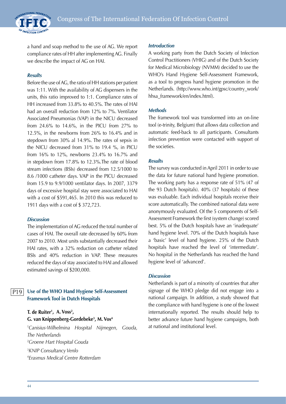INTERNATIONAL FEDERATION OF INFECTION CONTROL

a hand and soap method to the use of AG. We report compliance rates of HH after implementing AG. Finally we describe the impact of AG on HAI.

#### *Results*

Before the use of AG, the ratio of HH stations per patient was 1:11. With the availability of AG dispensers in the units, this ratio improved to 1:1. Compliance rates of HH increased from 33.8% to 40.5%. The rates of HAI had an overall reduction from 12% to 7%. Ventilator Associated Pneumonias (VAP) in the NICU decreased from 24.6% to 14.6%, in the PICU from 27% to 12.5%, in the newborns from 26% to 16.4% and in stepdown from 30% al 14.9%. The rates of sepsis in the NICU decreased from 31% to 19.4 %, in PICU from 16% to 12%, newborns 23.4% to 16.7% and in stepdown from 17.8% to 12.3%.The rate of blood stream infections (BSIs) decreased from 12.5/1000 to 8.6 /1000 catheter days. VAP in the PICU decreased from 15.9 to 9.9/1000 ventilator days. In 2007, 3379 days of excessive hospital stay were associated to HAI with a cost of \$591,465. In 2010 this was reduced to 1911 days with a cost of \$ 372,723.

#### *Discussion*

The implementation of AG reduced the total number of cases of HAI. The overall rate decreased by 60% from 2007 to 2010. Most units substantially decreased their HAI rates, with a 32% reduction on catheter related BSIs and 40% reduction in VAP. These measures reduced the days of stay associated to HAI and allowed estimated savings of \$200,000.

#### **Use of the WHO Hand Hygiene Self-Assessment Framework Tool in Dutch Hospitals** P19

# **T. de Ruiter1 , A. Voss2 , G. van Knippenberg-Gordebeke3 , M. Vos4**

 *Canisius-Wilhelmina Hospital Nijmegen, Gouda, The Netherlands Groene Hart Hospital Gouda KNIP Consultancy Venlo Erasmus Medical Centre Rotterdam*

#### *Introduction*

A working party from the Dutch Society of Infection Control Practitioners (VHIG) and of the Dutch Society for Medical Microbiology (NVMM) decided to use the WHO's Hand Hygiene Self-Assessment Framework, as a tool to progress hand hygiene promotion in the Netherlands. (http://www.who.int/gpsc/country\_work/ hhsa\_framework/en/index.html).

#### *Methods*

The framework tool was transformed into an on-line tool (e-trinity, Belgium) that allows data collection and automatic feed-back to all participants. Consultants infection prevention were contacted with support of the societies.

#### *Results*

The survey was conducted in April 2011 in order to use the data for future national hand hygiene promotion. The working party has a response rate of 51% (47 of the 93 Dutch hospitals). 40% (37 hospitals) of these was evaluable. Each individual hospitals receive their score automatically. The combined national data were anonymously evaluated. Of the 5 components of Self-Assessment Framework the first (system change) scored best. 5% of the Dutch hospitals have an 'inadequate' hand hygiene level. 70% of the Dutch hospitals have a 'basic' level of hand hygiene. 25% of the Dutch hospitals have reached the level of 'intermediate'. No hospital in the Netherlands has reached the hand hygiene level of 'advanced'.

#### *Discussion*

Netherlands is part of a minority of countries that after signage of the WHO pledge did not engage into a national campaign. In addition, a study showed that the compliance with hand hygiene is one of the lowest internationally reported. The results should help to better advance future hand hygiene campaigns, both at national and institutional level.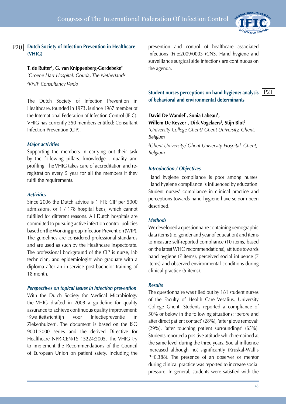

#### **Dutch Society of Infection Prevention in Healthcare (VHIG)**  $P20$

## **T. de Ruiter1 , G. van Knippenberg-Gordebeke2**

*1 Groene Hart Hospital, Gouda, The Netherlands 2 KNIP Consultancy Venlo*

The Dutch Society of Infection Prevention in Healthcare, founded in 1973, is since 1987 member of the International Federation of Infection Control (IFIC). VHIG has currently 350 members entitled: Consultant Infection Prevention (CIP).

#### *Major activities*

Supporting the members in carrying out their task by the following pillars: knowledge , quality and profiling. The VHIG takes care of accreditation and reregistration every 5 year for all the members if they fulfil the requirements.

#### *Activities*

Since 2006 the Dutch advice is 1 FTE CIP per 5000 admissions, or 1 / 178 hospital beds, which cannot fulfilled for different reasons. All Dutch hospitals are committed to pursuing active infection control policies based on the Working group Infection Prevention (WIP). The guidelines are considered professional standards and are used as such by the Healthcare Inspectorate. The professional background of the CIP is nurse, lab technician, and epidemiologist who graduate with a diploma after an in-service post-bachelor training of 18 month.

#### *Perspectives on topical issues in infection prevention*

With the Dutch Society for Medical Microbiology the VHIG drafted in 2008 a guideline for quality assurance to achieve continuous quality improvement: 'Kwaliteitsrichtlijn voor Infectiepreventie in Ziekenhuizen'. The document is based on the ISO 9001:2000 series and the derived Directive for Healthcare NPR-CEN/TS 15224:2005. The VHIG try to implement the Recommendations of the Council of European Union on patient safety, including the prevention and control of healthcare associated infections (File:2009/0003 (CNS. Hand hygiene and surveillance surgical side infections are continuous on the agenda.

**Student nurses perceptions on hand hygiene: analysis**  P21 **of behavioral and environmental determinants**

# David De Wandel<sup>1</sup>, Sonia Labeau<sup>1</sup>, **Willem De Keyzer1 , Dirk Vogelaers2 , Stijn Blot2**

*1 University College Ghent/ Ghent University, Ghent, Belgium*

*2 Ghent University/ Ghent University Hospital, Ghent, Belgium*

#### *Introduction / Objectives*

Hand hygiene compliance is poor among nurses. Hand hygiene compliance is influenced by education. Student nurses' compliance in clinical practice and perceptions towards hand hygiene have seldom been described.

#### *Methods*

We developed a questionnaire containing demographic data items (i.e. gender and year of education) and items to measure self-reported compliance (10 items, based on the latest WHO recommendations), attitude towards hand hygiene (7 items), perceived social influence (7 items) and observed environmental conditions during clinical practice (5 items).

#### *Results*

The questionnaire was filled out by 181 student nurses of the Faculty of Health Care Vesalius, University College Ghent. Students reported a compliance of 50% or below in the following situations: 'before and after direct patient contact' (28%), 'after glove removal' (29%), 'after touching patient surroundings' (65%). Students reported a positive attitude which remained at the same level during the three years. Social influence increased although not significantly (Kruskal-Wallis P=0.388). The presence of an observer or mentor during clinical practice was reported to increase social pressure. In general, students were satisfied with the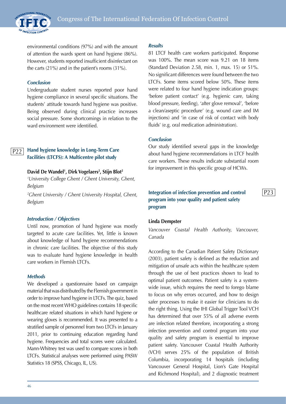

environmental conditions (97%) and with the amount of attention the wards spent on hand hygiene (86%). However, students reported insufficient disinfectant on the carts (21%) and in the patient's rooms (31%).

#### *Conclusion*

Undergraduate student nurses reported poor hand hygiene compliance in several specific situations. The students' attitude towards hand hygiene was positive. Being observed during clinical practice increases social pressure. Some shortcomings in relation to the ward environment were identified.

#### **Hand hygiene knowledge in Long-Term Care Facilities (LTCFS): A Multicentre pilot study** P22

#### **David De Wandel1 , Dirk Vogelaers2 , Stijn Blot2**

*1 University College Ghent / Ghent University, Ghent, Belgium*

*2 Ghent University / Ghent University Hospital, Ghent, Belgium*

#### *Introduction / Objectives*

Until now, promotion of hand hygiene was mostly targeted to acute care facilities. Yet, little is known about knowledge of hand hygiene recommendations in chronic care facilities. The objective of this study was to evaluate hand hygiene knowledge in health care workers in Flemish LTCFs.

#### *Methods*

We developed a questionnaire based on campaign material that was distributed by the Flemish government in order to improve hand hygiene in LTCFs. The quiz, based on the most recent WHO guidelines contains 18 specific healthcare related situations in which hand hygiene or wearing gloves is recommended. It was presented to a stratified sample of personnel from two LTCFs in January 2011, prior to continuing education regarding hand hygiene. Frequencies and total scores were calculated. Mann-Whitney test was used to compare scores in both LTCFs. Statistical analyses were performed using PASW Statistics 18 (SPSS, Chicago, IL, US).

#### *Results*

81 LTCF health care workers participated. Response was 100%. The mean score was 9.21 on 18 items (Standard Deviation 2.58, min. 1, max. 15) or 51%. No significant differences were found between the two LTCFs. Some items scored below 50%. These items were related to four hand hygiene indication groups: 'before patient contact' (e.g. hygienic care, taking blood pressure, feeding), 'after glove removal', 'before a clean/aseptic procedure' (e.g. wound care and IM injections) and 'in case of risk of contact with body fluids' (e.g. oral medication administration).

#### *Conclusion*

Our study identified several gaps in the knowledge about hand hygiene recommendations in LTCF health care workers. These results indicate substantial room for improvement in this specific group of HCWs.

# **Integration of infection prevention and control program into your quality and patient safety program**

P23

#### **Linda Dempster**

*Vancouver Coastal Health Authority, Vancouver, Canada*

According to the Canadian Patient Safety Dictionary (2003), patient safety is defined as the reduction and mitigation of unsafe acts within the healthcare system through the use of best practices shown to lead to optimal patient outcomes. Patient safety is a systemwide issue, which requires the need to forego blame to focus on why errors occurred, and how to design safer processes to make it easier for clinicians to do the right thing. Using the IHI Global Trigger Tool VCH has determined that over 55% of all adverse events are infection related therefore, incorporating a strong infection prevention and control program into your quality and safety program is essential to improve patient safety. Vancouver Coastal Health Authority (VCH) serves 25% of the population of British Columbia, incorporating 14 hospitals (including Vancouver General Hospital, Lion's Gate Hospital and Richmond Hospital), and 2 diagnostic treatment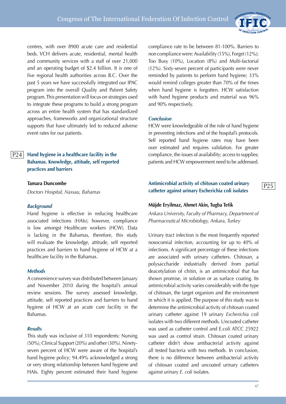

P25

centres, with over 8900 acute care and residential beds. VCH delivers acute, residential, mental health and community services with a staff of over 21,000 and an operating budget of \$2.4 billion. It is one of five regional health authorities across B.C. Over the past 5 years we have successfully integrated our IPAC program into the overall Quality and Patient Safety program. This presentation will focus on strategies used to integrate these programs to build a strong program across an entire health system that has standardized approaches, frameworks and organizational structure supports that have ultimately led to reduced adverse event rates for our patients.

**Hand hygiene in a healthcare facility in the Bahamas. Knowledge, attitude, self reported practices and barriers** P24

#### **Tamara Duncombe**

*Doctors Hospital, Nassau, Bahamas*

#### *Background*

Hand hygiene is effective in reducing healthcare associated infections (HAIs); however, compliance is low amongst Healthcare workers (HCW). Data is lacking in the Bahamas, therefore, this study will evaluate the knowledge, attitude, self reported practices and barriers to hand hygiene of HCW at a healthcare facility in the Bahamas.

#### *Methods*

A convenience survey was distributed between January and November 2010 during the hospital's annual review sessions. The survey assessed knowledge, attitude, self reported practices and barriers to hand hygiene of HCW at an acute care facility in the Bahamas.

#### *Results*

This study was inclusive of 310 respondents: Nursing (50%), Clinical Support (20%) and other (30%). Ninetyseven percent of HCW were aware of the hospital's hand hygiene policy; 94.49% acknowledged a strong or very strong relationship between hand hygiene and HAIs. Eighty percent estimated their hand hygiene compliance rate to be between 81-100%. Barriers to non compliance were: Availability (15%), Forget (12%); Too Busy (10%), Location (8%) and Multi-factorial (12%). Sixty-seven percent of participants were never reminded by patients to perform hand hygiene; 33% would remind colleges greater than 70% of the times when hand hygiene is forgotten. HCW satisfaction with hand hygiene products and material was 96% and 90% respectively.

#### *Conclusion*

HCW were knowledgeable of the role of hand hygiene in preventing infections and of the hospital's protocols. Self reported hand hygiene rates may have been over estimated and requires validation. For greater compliance, the issues of availability; access to supplies; patients and HCW empowerment need to be addressed.

# **Antimicrobial activity of chitosan coated urinary catheter against urinary Escherichia coli isolates**

#### **Müjde Eryilmaz, Ahmet Akin, Tugba Tetik**

*Ankara University, Faculty of Pharmacy, Department of Pharmaceutical Microbiology, Ankara, Turkey*

Urinary tract infection is the most frequently reported nosocomial infection, accounting for up to 40% of infections. A significant percentage of these infections are associated with urinary catheters. Chitosan, a polysaccharide industrially derived from partial deacetylation of chitin, is an antimicrobial that has shown promise, in solution or as surface coating. Its antimicrobial activity varies considerably with the type of chitosan, the target organism and the environment in which it is applied. The purpose of this study was to determine the antimicrobial activity of chitosan coated urinary catheter against 19 urinary *Escherichia coli* isolates with two different methods. Uncoated catheter was used as catheter control and E.coli ATCC 25922 was used as control strain. Chitosan coated urinary catheter didn't show antibacterial activity against all tested bacteria with two methods. In conclusion, there is no difference between antibacterial activity of chitosan coated and uncoated urinary catheters against urinary *E. coli* isolates.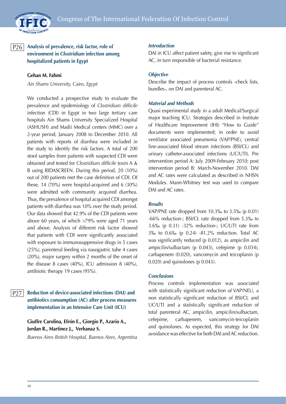

#### **Analysis of prevalence, risk factor, role of environment in** *Clostridium* **infection among hospitalized patients in Egypt**  P26

#### **Gehan M. Fahmi**

*Ain Shams University, Cairo, Egypt*

We conducted a prospective study to evaluate the prevalence and epidemiology of *Clostridium difficile*  infection (CDI) in Egypt in two large tertiary care hospitals Ain Shams University Specialized Hospital (ASHUSH) and Madii Medical centers (MMC) over a 2-year period, January 2008 to December 2010. All patients with reports of diarrhea were included in the study to identify the risk factors. A total of 200 stool samples from patients with suspected CDI were obtained and tested for *Clostridium difficile* toxin A & B using RIDASCREEN. During this period, 20 (10%) out of 200 patients met the case definition of CDI. Of these, 14 (70%) were hospital-acquired and 6 (30%) were admitted with community acquired diarrhea. Thus, the prevalence of hospital acquired CDI amongst patients with diarrhea was 10% over the study period. Our data showed that 42.9% of the CDI patients were above 60 years, of which >79% were aged 71 years and above. Analysis of different risk factor showed that patients with CDI were significantly associated with exposure to immunosuppressive drugs in 5 cases (25%), parenteral feeding via nasogastric tube 4 cases (20%), major surgery within 2 months of the onset of the disease 8 cases (40%), ICU admission 8 (40%), antibiotic therapy 19 cases (95%).

#### **Reduction of device-associated infections (DAI) and antibiotics consumption (AC) after process measures implementation in an Intensive Care Unit (ICU)**  P27

**Giuffre Carolina, Efrón E., Giorgio P., Azario A., Jordan R., Martinez J., Verbanaz S.**

*Buenos Aires British Hospital, Buenos Aires, Argentina*

#### *Introduction*

DAI in ICU affect patient safety, give rise to significant AC, in turn responsible of bacterial resistance.

#### *Objective*

Describe the impact of process controls -check lists, bundles-, on DAI and parenteral AC.

#### *Material and Methods*

Quasi experimental study in a adult Medical/Surgical major teaching ICU. Strategies described in Institute of Healthcare Improvement (IHI) "How to Guide" documents were implemented; in order to avoid ventilator associated pneumonia (VAP/PNE), central line-associated blood stream infections (BSI/CL) and urinary catheter-associated infections (UC/UTI). Pre intervention period A: July 2009-February 2010; post intervention period B: March-November 2010. DAI and AC rates were calculated as described in NHSN Modules. Mann-Whitney test was used to compare DAI and AC rates.

#### *Results*

VAP/PNE rate dropped from 10.3‰ to 3.5‰ (p 0.01) -66% reduction-; BSI/CL rate dropped from 5.3‰ to 3.6‰ (p 0.31) -32% reduction-; UC/UTI rate from 3‰ to 0.6‰ (p 0.24) -81.2% reduction. Total AC was significantly reduced (p 0.012), as ampicilin and ampicilin/sulbactam (p 0.043), cefepime (p 0.034), carbapenem (0.020), vancomycin and teicoplanin (p 0.020) and quinolones (p 0.043).

#### *Conclusions*

Process controls implementation was associated with statistically significant reduction of VAP/NEU, a non statistically significant reduction of BSI/CL and UC/UTI and a statistically significant reduction of total parenteral AC, ampicilin, ampicilin/sulbactam, cefepime, carbapenem, vancomycin-teicoplanin and quinolones. As expected, this strategy for DAI avoidance was effective for both DAI and AC reduction.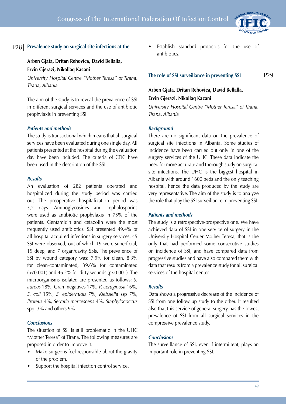

#### **Prevalence study on surgical site infections at the** P28

# **Arben Gjata, Dritan Rehovica, David Bellalla, Ervin Gjerazi, Nikollaq Kacani**

*University Hospital Centre "Mother Teresa" of Tirana, Tirana, Albania*

The aim of the study is to reveal the prevalence of SSI in different surgical services and the use of antibiotic prophylaxis in preventing SSI.

#### *Patients and methods*

The study is transactional which means that all surgical services have been evaluated during one single day. All patients presented at the hospital during the evaluation day have been included. The criteria of CDC have been used in the description of the SSI .

#### *Results*

An evaluation of 282 patients operated and hospitalized during the study period was carried out. The preoperative hospitalization period was 3,2 days. Aminoglycosides and cephalosporins were used as antibiotic prophylaxis in 75% of the patients. Gentamicin and cefazolin were the most frequently used antibiotics. SSI presented 49.4% of all hospital acquired infections in surgery services. 45 SSI were observed, out of which 19 were superficial, 19 deep, and 7 organ/cavity SSIs. The prevalence of SSI by wound category was: 7.9% for clean, 8.3% for clean-contaminated, 39.6% for contaminated  $(p<0.001)$  and 46.2% for dirty wounds  $(p<0.001)$ . The microorganisms isolated are presented as follows: *S. aureus* 18%, Gram negatives 17%, *P. aeruginosa* 16%, *E. coli* 15%, *S. epidermidis* 7%, *Klebsiella* ssp 7%, *Proteus* 4%, *Serratia marcescens* 4%, *Staphylococcus* spp. 3% and others 9%.

#### *Conclusions*

The situation of SSI is still problematic in the UHC "Mother Teresa" of Tirana. The following measures are proposed in order to improve it:

- Make surgeons feel responsible about the gravity of the problem.
- Support the hospital infection control service.

Establish standard protocols for the use of antibiotics.

#### **The role of SSI surveillance in preventing SSI**

P29

# **Arben Gjata, Dritan Rehovica, David Bellalla, Ervin Gjerazi, Nikollaq Kacani**

*University Hospital Centre "Mother Teresa" of Tirana, Tirana, Albania*

## *Background*

There are no significant data on the prevalence of surgical site infections in Albania. Some studies of incidence have been carried out only in one of the surgery services of the UHC. These data indicate the need for more accurate and thorough study on surgical site infections. The UHC is the biggest hospital in Albania with around 1600 beds and the only teaching hospital, hence the data produced by the study are very representative. The aim of the study is to analyze the role that play the SSI surveillance in preventing SSI.

#### *Patients and methods*

The study is a retrospective-prospective one. We have achieved data of SSI in one service of surgery in the University Hospital Center Mother Teresa, that is the only that had performed some consecutive studies on incidence of SSI, and have compared data from progressive studies and have also compared them with data that results from a prevalence study for all surgical services of the hospital center.

#### *Results*

Data shows a progressive decrease of the incidence of SSI from one follow up study to the other. It resulted also that this service of general surgery has the lowest prevalence of SSI from all surgical services in the compressive prevalence study.

#### *Conclusions*

The surveillance of SSI, even if intermittent, plays an important role in preventing SSI.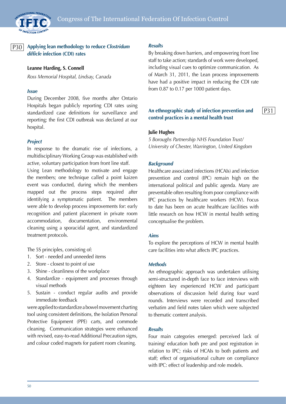

# P30

**Applying lean methodology to reduce** *Clostridum difficle* **infection (CDI) rates**

**Leanne Harding, S. Connell** 

*Ross Memorial Hospital, Lindsay, Canada*

#### *Issue*

During December 2008, five months after Ontario Hospitals began publicly reporting CDI rates using standardized case definitions for surveillance and reporting; the first CDI outbreak was declared at our hospital.

#### *Project*

In response to the dramatic rise of infections, a multidisciplinary Working Group was established with active, voluntary participation from front line staff.

Using Lean methodology to motivate and engage the members; one technique called a point kaizen event was conducted, during which the members mapped out the process steps required after identifying a symptomatic patient. The members were able to develop process improvements for: early recognition and patient placement in private room accommodation, documentation, environmental cleaning using a sporacidal agent, and standardized treatment protocols.

The 5S principles, consisting of:

- 1. Sort needed and unneeded items
- 2. Store closest to point of use
- 3. Shine cleanliness of the workplace
- 4. Standardize equipment and processes through visual methods
- 5. Sustain conduct regular audits and provide immediate feedback

were applied to standardize a bowel movement charting tool using consistent definitions, the Isolation Personal Protective Equipment (PPE) carts, and commode cleaning. Communication strategies were enhanced with revised, easy-to-read Additional Precaution signs, and colour coded magnets for patient room cleaning.

#### *Results*

By breaking down barriers, and empowering front line staff to take action; standards of work were developed, including visual cues to optimize communication. As of March 31, 2011, the Lean process improvements have had a positive impact in reducing the CDI rate from 0.87 to 0.17 per 1000 patient days.

# **An ethnographic study of infection prevention and control practices in a mental health trust**

P31

#### **Julie Hughes**

*5 Boroughs Partnership NHS Foundation Trust/ University of Chester, Warrington, United Kingdom*

#### *Background*

Healthcare associated infections (HCAIs) and infection prevention and control (IPC) remain high on the international political and public agenda. Many are preventable often resulting from poor compliance with IPC practices by healthcare workers (HCW). Focus to date has been on acute healthcare facilities with little research on how HCW in mental health setting conceptualise the problem.

#### *Aims*

To explore the perceptions of HCW in mental health care facilities into what affects IPC practices.

#### *Methods*

An ethnographic approach was undertaken utilising semi-structured in-depth face to face interviews with eighteen key experienced HCW and participant observations of discussion held during four ward rounds. Interviews were recorded and transcribed verbatim and field notes taken which were subjected to thematic content analysis.

## *Results*

Four main categories emerged: perceived lack of training/ education both pre and post registration in relation to IPC; risks of HCAIs to both patients and staff; effect of organisational culture on compliance with IPC: effect of leadership and role models.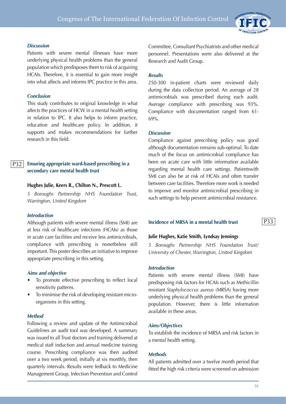

#### *Discussion*

Patients with severe mental illnesses have more underlying physical health problems than the general population which predisposes them to risk of acquiring HCAIs. Therefore, it is essential to gain more insight into what affects and informs IPC practice in this area.

#### *Conclusion*

This study contributes to original knowledge in what affects the practices of HCW in a mental health setting in relation to IPC. It also helps to inform practice, education and healthcare policy. In addition, it supports and makes recommendations for further research in this field.

#### **Ensuring appropriate ward-based prescribing in a secondary care mental health trust**  P32

#### **Hughes Julie, Keers R., Chilton N., Prescott L.**

*5 Boroughs Partnership NHS Foundation Trust, Warrington, United Kingdom*

#### *Introduction*

Although patients with severe mental illness (SMI) are at less risk of healthcare infections (HCAIs) as those in acute care facilities and receive less antimicrobials, compliance with prescribing is nonetheless still important. This poster describes an initiative to improve appropriate prescribing in this setting.

#### *Aims and objective*

- To promote effective prescribing to reflect local sensitivity patterns.
- To minimise the risk of developing resistant microorganisms in this setting.

#### *Method*

Following a review and update of the Antimicrobial Guidelines an audit tool was developed. A summary was issued to all Trust doctors and training delivered at medical staff induction and annual medicine training course. Prescribing compliance was then audited over a two week period, initially at six monthly, then quarterly intervals. Results were fedback to Medicine Management Group, Infection Prevention and Control Committee, Consultant Psychiatrists and other medical personnel. Presentations were also delivered at the Research and Audit Group.

#### *Results*

250-300 in-patient charts were reviewed daily during the data collection period. An average of 28 antimicrobials was prescribed during each audit. Average compliance with prescribing was 93%. Compliance with documentation ranged from 61- 69%.

#### *Discussion*

Compliance against prescribing policy was good although documentation remains sub-optimal. To date much of the focus on antimicrobial compliance has been on acute care with little information available regarding mental health care settings. Patientswith SMI can also be at risk of HCAIs and often transfer between care facilities. Therefore more work is needed to improve and monitor antimicrobial prescribing in such settings to help prevent antimicrobial resistance.

#### **Incidence of MRSA in a mental health trust**

#### **Julie Hughes, Katie Smith, Lyndsay Jennings**

*5 Boroughs Partnership NHS Foundation Trust/ University of Chester, Warrington, United Kingdom*

#### *Introduction*

Patients with severe mental illness (SMI) have predisposing risk factors for HCAIs such as Methicillin resistant *Staphylococcus aureus* (MRSA) having more underlying physical health problems than the general population. However, there is little information available in these areas.

#### *Aims/Objectives*

To establish the incidence of MRSA and risk factors in a mental health setting.

#### *Methods*

All patients admitted over a twelve month period that fitted the high risk criteria were screened on admission

P33

51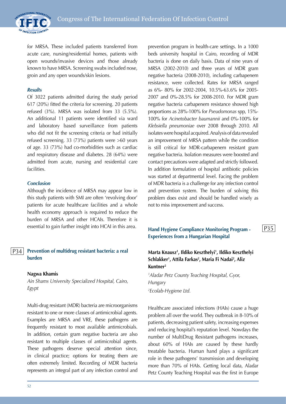

for MRSA. These included patients transferred from acute care, nursing/residential homes, patients with open wounds/invasive devices and those already known to have MRSA. Screening swabs included nose, groin and any open wounds/skin lesions.

#### *Results*

Of 3022 patients admitted during the study period 617 (20%) fitted the criteria for screening. 20 patients refused (3%). MRSA was isolated from 33 (5.5%). An additional 11 patients were identified via ward and laboratory based surveillance from patients who did not fit the screening criteria or had initially refused screening. 33 (73%) patients were >60 years of age. 33 (73%) had co-morbidities such as cardiac and respiratory disease and diabetes. 28 (64%) were admitted from acute, nursing and residential care facilities.

#### *Conclusion*

Although the incidence of MRSA may appear low in this study patients with SMI are often 'revolving door' patients for acute healthcare facilities and a whole health economy approach is required to reduce the burden of MRSA and other HCAIs. Therefore it is essential to gain further insight into HCAI in this area.

#### **Prevention of multidrug resistant bacteria: a real burden**  P34

#### **Nagwa Khamis**

*Ain Shams University Specialized Hospital, Cairo, Egypt*

Multi-drug resistant (MDR) bacteria are microorganisms resistant to one or more classes of antimicrobial agents. Examples are MRSA and VRE, these pathogens are frequently resistant to most available antimicrobials. In addition, certain gram negative bacteria are also resistant to multiple classes of antimicrobial agents. These pathogens deserve special attention since, in clinical practice; options for treating them are often extremely limited. Recording of MDR bacteria represents an integral part of any infection control and

prevention program in health-care settings. In a 1000 beds university hospital in Cairo, recording of MDR bacteria is done on daily basis. Data of nine years of MRSA (2002-2010) and three years of MDR gram negative bacteria (2008-2010), including carbapenem resistance, were collected. Rates for MRSA ranged as 6%- 80% for 2002-2004, 10.5%-63.6% for 2005- 2007 and 0%-28.5% for 2008-2010. For MDR gram negative bacteria carbapenem resistance showed high proportions as 28%-100% for *Pseudomonas* spp, 15%- 100% for *Acinetobacter baumannii* and 0%-100% for *Klebsiella pneumoniae* over 2008 through 2010. All isolates were hospital acquired. Analysis of data revealed an improvement of MRSA pattern while the condition is still critical for MDR-carbapenem resistant gram negative bacteria. Isolation measures were boosted and contact precautions were adapted and strictly followed. In addition formulation of hospital antibiotic policies was started at departmental level. Facing the problem of MDR bacteria is a challenge for any infection control and prevention system. The burden of solving this problem does exist and should be handled wisely as not to miss improvement and success.

# **Hand Hygiene Compliance Monitoring Program - Experiences from a Hungarian Hospital**

# **Marta Knausz1 , Ildiko Keszthelyi1 , Ildiko Keszthelyi Schlakker1 , Attila Farkas2 , Maria Fi Nadai2 , Aliz Kuntner2**

*1 Aladar Petz County Teaching Hospital, Gyor, Hungary 2 Ecolab-Hygiene Ltd.*

Healthcare associated infections (HAIs) cause a huge problem all over the world. They outbreak in 8-10% of patients, decreasing patient safety, increasing expenses and reducing hospital's reputation level. Nowdays the number of MultiDrug Resistant pathogens increases, about 60% of HAIs are caused by these hardly treatable bacteria. Human hand plays a significant role in these pathogens' transmission and developing more than 70% of HAIs. Getting local data, Aladar Petz County Teaching Hospital was the first in Europe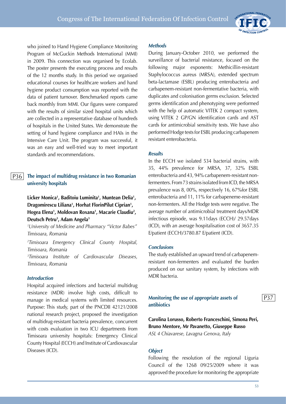

who joined to Hand Hygiene Compliance Monitoring Program of McGuckin Methods International (MMI) in 2009. This connection was organised by Ecolab. The poster presents the executing process and results of the 12 months study. In this period we organised educational courses for healthcare workers and hand hygiene product consumption was reported with the data of patient turnover. Benchmarked reports came back monthly from MMI. Our figures were compared with the results of similar sized hospital units which are collected in a representative database of hundreds of hospitals in the United States. We demonstrate the setting of hand hygiene compliance and HAIs in the Intensive Care Unit. The program was successful, it was an easy and well-tried way to meet important standards and recommendations.

#### **The impact of multidrug resistance in two Romanian university hospitals** P36

**Licker Monica1 , Baditoiu Luminita1 , Muntean Delia1 , Dragomirescu Liliana1 , Horhat FlorinPilut Ciprian1 , Hogea Elena1 , Moldovan Roxana1 , Macarie Claudiu2 , Deutsch Petru3 , Adam Angela3**

*1 University of Medicine and Pharmacy "Victor Babes" Timisoara, Romania*

*2 Timisoara Emergency Clinical County Hospital, Timisoara, Romania*

<sup>3</sup>Timisoara Institute *Timisoara Institute of Cardiovascular Diseases, Timisoara, Romania*

## *Introduction*

Hospital acquired infections and bacterial multidrug resistance (MDR) involve high costs, difficult to manage in medical systems with limited resources. Purpose: This study, part of the PNCDII 42121/2008 national research project, proposed the investigation of multidrug-resistant bacteria prevalence, concurrent with costs evaluation in two ICU departments from Timisoara university hospitals: Emergency Clinical County Hospital (ECCH) and Institute of Cardiovascular Diseases (ICD).

#### *Methods*

During January-October 2010, we performed the surveillance of bacterial resistance, focused on the following major exponents: Methicillin-resistant Staphylococcus aureus (MRSA), extended spectrum beta-lactamase (ESBL) producing enterobacteria and carbapenem-resistant non-fermentative bacteria, with duplicates and colonisation germs exclusion. Selected germs identification and phenotyping were performed with the help of automatic VITEK 2 compact system, using VITEK 2 GP/GN identification cards and AST cards for antimicrobial sensitivity tests. We have also performed Hodge tests for ESBL producing carbapenem resistant enterobacteria.

#### *Results*

In the ECCH we isolated 534 bacterial strains, with 35, 44% prevalence for MRSA, 37, 32% ESBL enterobacteria and 43, 94% carbapenem-resistant nonfermenters. From 73 strains isolated from ICD, the MRSA prevalence was 8, 00%, respectively 16, 67%for ESBL enterobacteria and 11, 11% for carbapeneme-resistant non-fermenters. All the Hodge tests were negative. The average number of antimicrobial treatment days/MDR infectious episode, was 9.11days (ECCH)/ 29.57days (ICD), with an average hospitalisation cost of 3657.35 E/patient (ECCH)/3780.87 E/patient (ICD).

#### *Conclusions*

The study established an upward trend of carbapenemresistant non-fermenters and evaluated the burden produced on our sanitary system, by infections with MDR bacteria.

## **Monitoring the use of appropriate assets of antibiotics**

**Carolina Lorusso, Roberto Franceschini, Simona Peri, Bruno Mentore, Mr Pavanetto, Giuseppe Russo** *ASL 4 Chiavarese, Lavagna Genova, Italy*

#### *Object*

Following the resolution of the regional Liguria Council of the 1268 09/25/2009 where it was approved the procedure for monitoring the appropriate P37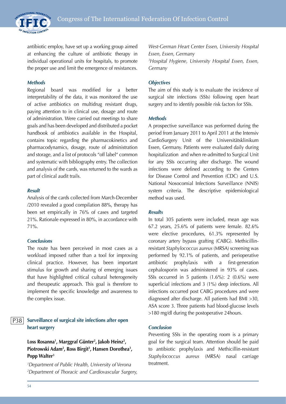

antibiotic employ, have set up a working group aimed at enhancing the culture of antibiotic therapy in individual operational units for hospitals, to promote the proper use and limit the emergence of resistances.

#### *Methods*

Regional board was modified for a better interpretability of the data, it was monitored the use of active antibiotics on multidrug resistant drugs, paying attention to in clinical use, dosage and route of administration. Were carried out meetings to share goals and has been developed and distributed a pocket handbook of antibiotics available in the Hospital, contains topic regarding the pharmacokinetics and pharmacodynamics, dosage, route of administration and storage, and a list of protocols "off label" common and systematic with bibliography entry. The collection and analysis of the cards, was returned to the wards as part of clinical audit trails.

#### *Result*

Analysis of the cards collected from March-December /2010 revealed a good compilation 88%, therapy has been set empirically in 76% of cases and targeted 21%. Rationale expressed in 80%, in accordance with 71%.

#### *Conclusions*

The route has been perceived in most cases as a workload imposed rather than a tool for improving clinical practice. However, has been important stimulus for growth and sharing of emerging issues that have highlighted critical cultural heterogeneity and therapeutic approach. This goal is therefore to implement the specific knowledge and awareness to the complex issue.

#### **Surveillance of surgical site infections after open heart surgery** P38

# **Loss Rosanna1 , Marggraf Günter2 , Jakob Heinz2 ,**  Piotrowski Adam<sup>2</sup>, Ross Birgit<sup>3</sup>, Hansen Dorothea<sup>3</sup>, **Popp Walter3**

*1 Department of Public Health, University of Verona 2 Department of Thoracic and Cardiovascular Surgery,*  *West-German Heart Center Essen, University Hospital Essen, Essen, Germany 3 Hospital Hygiene, University Hospital Essen, Essen, Germany*

#### *Objectives*

The aim of this study is to evaluate the incidence of surgical site infections (SSIs) following open heart surgery and to identify possible risk factors for SSIs.

#### *Methods*

A prospective surveillance was performed during the period from January 2011 to April 2011 at the Intensiv CardioSurgery Unit of the Universitätsklinikum Essen, Germany. Patients were evaluated daily during hospitalization and when re-admitted to Surgical Unit for any SSIs occurring after discharge. The wound infections were defined according to the Centers for Disease Control and Prevention (CDC) and U.S. National Nosocomial Infections Surveillance (NNIS) system criteria. The descriptive epidemiological method was used.

#### *Results*

In total 305 patients were included, mean age was 67.2 years, 25.6% of patients were female. 82.6% were elective procedures, 61.3% represented by coronary artery bypass grafting (CABG). Methicillinresistant *Staphylococcus aureus* (MRSA) screening was performed by 92.1% of patients, and perioperative antibiotic prophylaxis with a first-generation cephalosporin was administered in 93% of cases. SSIs occurred in 5 patients (1.6%): 2 (0.6%) were superficial infections and 3 (1%) deep infections. All infections occurred post CABG procedures and were diagnosed after discharge. All patients had BMI >30, ASA score 3. Three patients had blood-glucose levels >180 mg/dl during the postoperative 24hours.

#### *Conclusion*

Preventing SSIs in the operating room is a primary goal for the surgical team. Attention should be paid to antibiotic prophylaxis and Methicillin-resistant *Staphylococcus aureus* (MRSA) nasal carriage treatment.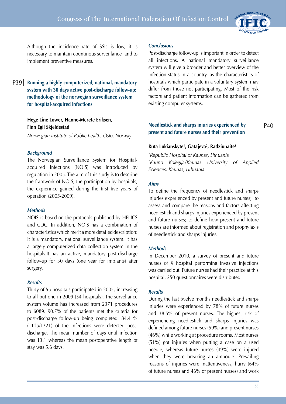

Although the incidence rate of SSIs is low, it is necessary to maintain countinous surveillance and to implement preventive measures.

P39

**Running a highly computerized, national, mandatory system with 30 days active post-discharge follow-up: methodology of the norwegian surveillance system for hospital-acquired infections**

# **Hege Line Løwer, Hanne-Merete Eriksen, Finn Egil Skjeldestad**

*Norwegian Institute of Public health, Oslo, Norway*

#### *Background*

The Norwegian Surveillance System for Hospitalacquired Infections (NOIS) was introduced by regulation in 2005. The aim of this study is to describe the framwork of NOIS, the participation by hospitals, the expierince gained during the first five years of operation (2005-2009).

#### *Methods*

NOIS is based on the protocols published by HELICS and CDC. In addition, NOIS has a combination of characteristics which merit a more detailed description: It is a mandatory, national surveillance system. It has a largely computerized data collection system in the hospitals.It has an active, mandatory post-discharge follow-up for 30 days (one year for implants) after surgery.

#### *Results*

Thirty of 55 hospitals participated in 2005, increasing to all but one in 2009 (54 hospitals). The survellance system volume has increased from 2371 procedures to 6089. 90.7% of the patients met the criteria for post-discharge follow-up being completed. 84.4 % (1115/1321) of the infections were detected postdischarge. The mean number of days until infection was 13.1 whereas the mean postoperative length of stay was 5.6 days.

#### *Conclusions*

Post-discharge follow-up is important in order to detect all infections. A national mandatory surveillance system will give a broader and better overview of the infection status in a country, as the characteristics of hospitals which participate in a voluntary system may differ from those not participating. Most of the risk factors and patient information can be gathered from existing computer systems.

# **Needlestick and sharps injuries experienced by present and future nurses and their prevention**

#### **Ruta Lukianskyte1 , Gatajeva2 , Radziunaite1**

*1 Republic Hospital of Kaunas, Lithuania 2 Kauno Kolegija/Kaunas University of Applied Sciences, Kaunas, Lithuania* 

#### *Aims*

To define the frequency of needlestick and sharps injuries experienced by present and future nurses; to assess and compare the reasons and factors affecting needlestick and sharps injuries experienced by present and future nurses; to define how present and future nurses are informed about registration and prophylaxis of needlestick and sharps injuries.

#### *Methods*

In December 2010, a survey of present and future nurses of X hospital performing invasive injections was carried out. Future nurses had their practice at this hospital. 250 questionnaires were distributed.

#### *Results*

During the last twelve months needlestick and sharps injuries were experienced by 78% of future nurses and 38.5% of present nurses. The highest risk of experiencing needlestick and sharps injuries was defined among future nurses (59%) and present nurses (46%) while working at procedure rooms. Most nurses (51%) got injuries when putting a case on a used needle, whereas future nurses (49%) were injured when they were breaking an ampoule. Prevailing reasons of injuries were inattentiveness, hurry (64% of future nurses and 46% of present nurses) and work

55

P40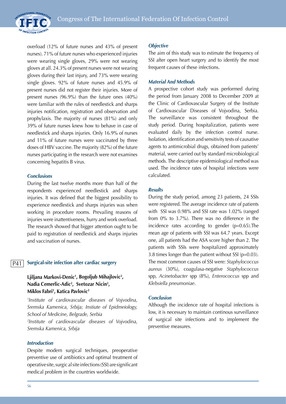

overload (12% of future nurses and 43% of present nurses). 71% of future nurses who experienced injuries were wearing single gloves, 29% were not wearing gloves at all. 24.3% of present nurses were not wearing gloves during their last injury, and 73% were wearing single gloves. 92% of future nurses and 45.9% of present nurses did not register their injuries. More of present nurses (96.9%) than the future ones (40%) were familiar with the rules of needlestick and sharps injuries notification, registration and observation and prophylaxis. The majority of nurses (81%) and only 39% of future nurses knew how to behave in case of needlestick and sharps injuries. Only 16.9% of nurses and 11% of future nurses were vaccinated by three doses of HBV vaccine. The majority (82%) of the future nurses participating in the research were not examines concerning hepatitis B virus.

## *Conclusions*

During the last twelve months more than half of the respondents experienced needlestick and sharps injuries. It was defined that the biggest possibility to experience needlestick and sharps injuries was when working in procedure rooms. Prevailing reasons of injuries were inattentiveness, hurry and work overload. The research showed that bigger attention ought to be paid to registration of needlestick and sharps injuries and vaccination of nurses.

#### **Surgical-site infection after cardiac surgery** P41

# **Ljiljana Markovi-Denic1 , Bogoljub Mihajlovic2 , Nadia Cemerlic-Adic2 , Svetozar Nicin2 , Miklos Fabri2 , Katica Pavlovic2**

*1 Institute of cardiovascular diseases of Vojvodina, Sremska Kamenica, Srbija; Instiute of Epidmeiology, School of Medicine, Belgrade, Serbia 2 Institute of cardiovascular diseases of Vojvodina, Sremska Kamenica, Srbija*

## *Introduction*

Despite modern surgical techniques, preoperative preventive use of antibiotics and optimal treatment of operative site, surgic al site infections (SSI) are significant medical problem in the countries worldwide.

#### *Objective*

The aim of this study was to estimate the frequency of SSI after open heart surgery and to identify the most frequent causes of these infections.

## *Material And Methods*

A prospective cohort study was performed during the period from January 2008 to December 2009 at the Clinic of Cardiovascular Surgery of the Institute of Cardiovascular Diseases of Vojvodina, Serbia. The surveillance was consistent throughout the study period. During hospitalization, patients were evaluated daily by the infection control nurse. Isolation, identification and sensitivity tests of causative agents to antimicrobial drugs, obtained from patients' material, were carried out by standard microbiological methods. The descriptive epidemiological method was used. The incidence rates of hospital infections were calculated.

#### *Results*

During the study period, among 23 patients, 24 SSIs were registered. The average incidence rate of patients with SSI was 0.98% and SSI rate was 1.02% (ranged from 0% to 3.7%). There was no difference in the incidence rates according to gender (p=0.65).The mean age of patients with SSI was 64.7 years. Except one, all patients had the ASA score higher than 2. The patients with SSIs were hospitalized approximately 3.8 times longer than the patient without SSI (p=0.03). The most common causes of SSI were: *Staphylococcus aureus* (30%), coagulasa-negative *Staphylococcus* spp, *Acinetobacter* spp (8%), *Enterococcus* spp and *Klebsiella pneumoniae*.

## *Conclusion*

Although the incidence rate of hospital infections is low, it is necessary to maintain continous surveillance of surgical site infections and to implement the preventive measures.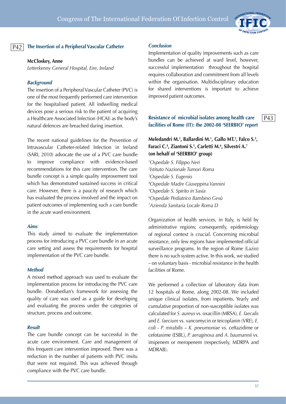

# **The Insertion of a Peripheral Vascular Catheter** P42 *Conclusion*

#### **McCloskey, Anne**

*Letterkenny General Hospital, Eire, Ireland*

#### *Background*

The insertion of a Peripheral Vascular Catheter (PVC) is one of the most frequently performed care intervention for the hospitalised patient. All indwelling medical devices pose a serious risk to the patient of acquiring a Healthcare Associated Infection (HCAI) as the body's natural defences are breached during insertion.

The recent national guidelines for the Prevention of Intravascular Catheter-related Infection in Ireland (SARI, 2010) advocate the use of a PVC care bundle to improve compliance with evidence-based recommendations for this care intervention. The care bundle concept is a simple quality improvement tool which has demonstrated sustained success in critical care. However, there is a paucity of research which has evaluated the process involved and the impact on patient outcomes of implementing such a care bundle in the acute ward environment.

#### *Aims*

This study aimed to evaluate the implementation process for introducing a PVC care bundle in an acute care setting and assess the requirements for hospital implementation of the PVC care bundle.

#### *Method*

A mixed method approach was used to evaluate the implementation process for introducing the PVC care bundle. Donabedian's framework for assessing the quality of care was used as a guide for developing and evaluating the process under the categories of structure, process and outcome.

#### *Result*

The care bundle concept can be successful in the acute care environment. Care and management of this frequent care intervention improved. There was a reduction in the number of patients with PVC insitu that were not required. This was achieved through compliance with the PVC care bundle.

Implementation of quality improvements such as care bundles can be achieved at ward level, however, successful implementation throughout the hospital requires collaboration and commitment from all levels within the organisation. Multidisciplinary education for shared interventions is important to achieve improved patient outcomes.

#### **Resistance of microbial isolates among health care facilities of Rome (IT): the 2002-08 'SEERBIO' report** P43

**Meledandri M.1 , Ballardini M.1 , Gallo MT.2 , Falco S.3 , Faraci C.4 , Ziantoni S.5 , Carletti M.6 , Silvestri A.7 (on behalf of 'SEERBIO' group)**

 *Ospedale S. Filippo Neri Istituto Nazionale Tumori Roma Ospedale S. Eugenio Ospedale Madre Giuseppina Vannini Ospedale S. Spirito in Saxia Ospedale Pediatrico Bambino Gesù Azienda Sanitaria Locale Roma D*

Organization of health services, in Italy, is held by administrative regions; consequently, epidemiology of regional context is crucial. Concerning microbial resistance, only few regions have implemented official surveillance programs. In the region of Rome (Lazio) there is no such system active. In this work, we studied – on voluntary basis - microbial resistance in the health facilities of Rome.

We performed a collection of laboratory data from 12 hospitals of Rome, along 2002-08. We included unique clinical isolates, from inpatients. Yearly and cumulative proportion of non-susceptible isolates was calculated for *S. aureus* vs. oxacillin (MRSA), *E. faecalis*  and *E. faecium* vs. vancomycin or teicoplanin (VRE), *E. coli* - *P. mirabilis* – *K. pneumoniae* vs. ceftazidime or cefotaxime (ESBL), *P. aeruginosa* and *A. baumannii* vs. imipenem or meropenem (respectively, MDRPA and MDRAB).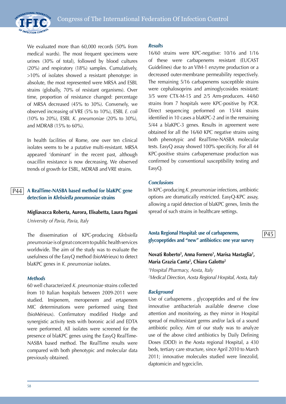



We evaluated more than 60,000 records (50% from medical wards). The most frequent specimens were urines (30% of total), followed by blood cultures (20%) and respiratory (18%) samples. Cumulatively, >10% of isolates showed a resistant phenotype: in absolute, the most represented were MRSA and ESBL strains (globally, 70% of resistant organisms). Over time, proportion of resistance changed: percentage of MRSA decreased (45% to 30%). Conversely, we observed increasing of VRE (5% to 10%), ESBL *E. coli*  (10% to 20%), ESBL *K. pneumoniae* (20% to 30%), and MDRAB (15% to 60%).

In health facilities of Rome, one over ten clinical isolates seems to be a putative multi-resistant. MRSA appeared 'dominant' in the recent past, although oxacillin resistance is now decreasing. We observed trends of growth for ESBL, MDRAB and VRE strains.

#### **A RealTime-NASBA based method for blaKPC gene detection in** *Klebsiella pneumoniae* **strains** P44

#### **Migliavacca Roberta, Aurora, Elisabetta, Laura Pagani**

*University of Pavia, Pavia, Italy*

The dissemination of KPC-producing *Klebsiella pneumoniae* is of great concern to public health services worldwide. The aim of the study was to evaluate the usefulness of the EasyQ method (bioMérieux) to detect blaKPC genes in *K. pneumoniae* isolates.

#### *Methods*

60 well characterized *K. pneumoniae* strains collected from 10 Italian hospitals between 2009-2011 were studied. Imipenem, meropenem and ertapenem MIC determinations were performed using Etest (bioMérieux). Confirmatory modified Hodge and synergistic activity tests with boronic acid and EDTA were performed. All isolates were screened for the presence of blaKPC genes using the EasyQ RealTime-NASBA based method. The RealTime results were compared with both phenotypic and molecular data previously obtained.

#### *Results*

16/60 strains were KPC-negative: 10/16 and 1/16 of these were carbapenems resistant (EUCAST Guidelines) due to an VIM-1 enzyme production or a decreased outer-membrane permeability respectively. The remaining 5/16 carbapenems susceptible strains were cephalosoprins and aminoglycosides resistant: 3/5 were CTX-M-15 and 2/5 Arm-producers. 44/60 strains from 7 hospitals were KPC-positive by PCR. Direct sequencing performed on 15/44 strains identified in 10 cases a blaKPC-2 and in the remaining 5/44 a blaKPC-3 genes. Results in agreement were obtained for all the 16/60 KPC negative strains using both phenotypic and RealTime-NASBA molecular tests. EasyQ assay showed 100% specificity. For all 44 KPC-positive strains carbapenemase production was confirmed by conventional susceptibility testing and EasyQ.

#### *Conclusions*

In KPC-producing *K. pneumoniae* infections, antibiotic options are dramatically restricted. EasyQ-KPC assay, allowing a rapid detection of blaKPC genes, limits the spread of such strains in healthcare settings.

**Aosta Regional Hospital: use of carbapenems, glycopeptides and "new" antibiotics: one year survey**

P45

## Novati Roberto<sup>2</sup>, Anna Fornero<sup>1</sup>, Marisa Mastaglia<sup>2</sup>, **Maria Grazia Canta2 , Chiara Galotto2**

*1 Hospital Pharmacy, Aosta, Italy 2 Medical Direction, Aosta Regional Hospital, Aosta, Italy*

#### *Background*

Use of carbapenems , glycopeptides and of the few innovative antibacterials available deserve close attention and monitoring, as they mirror in Hospital spread of multiresistant germs and/or lack of a sound antibiotic policy. Aim of our study was to analyze use of the above cited antibiotics by Daily Defining Doses (DDD) in the Aosta regional Hospital, a 430 beds, tertiary care structure, since April 2010 to March 2011; innovative molecules studied were linezolid, daptomicin and tygeciclin.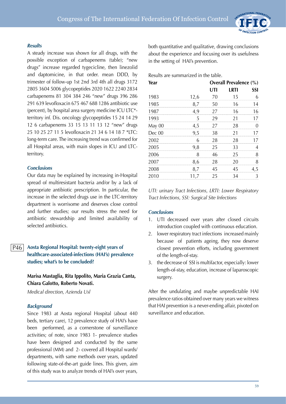#### *Results*

A steady increase was shown for all drugs, with the possible exception of carbapenems (table); "new drugs" increase regarded tygecicline, then linezolid and daptomicine, in that order. mean DDD, by trimester of follow-up 1st 2nd 3rd 4th all drugs 3172 2805 3604 5006 glycopeptides 2020 1622 2240 2834 carbapenems 81 304 384 246 "new" drugs 396 286 291 639 levofloxacin 675 467 688 1286 antibiotic use (percent), by hospital area surgery medicine ICU LTC\* territory inf. Dis. oncology glycopeptides 15 24 14 29 12 6 carbapenems 33 15 13 11 13 12 "new" drugs 25 10 25 27 11 5 levofloxacin 21 34 6 14 18 7 \*LTC: long-term care. The increasing trend was confirmed for all Hospital areas, with main slopes in ICU and LTCterritory.

## *Conclusions*

Our data may be explained by increasing in-Hospital spread of multiresistant bacteria and/or by a lack of appropriate antibiotic prescription. In particular, the increase in the selected drugs use in the LTC-territory department is worrisome and deserves close control and further studies; our results stress the need for antibiotic stewardship and limited availability of selected antibiotics.

#### **Aosta Regional Hospital: twenty-eight years of healthcare-associated-infections (HAI's) prevalence studies; what's to be concluded?** P46

# **Marisa Mastaglia, Rita Ippolito, Maria Grazia Canta, Chiara Galotto, Roberto Novati.**

*Medical direction, Azienda Usl*

## *Background*

Since 1983 at Aosta regional Hospital (about 440 beds, tertiary care), 12 prevalence study of HAI's have been performed, as a cornerstone of surveillance activities; of note, since 1983 1- prevalence studies have been designed and conducted by the same professional (MM) and 2- covered all Hospital wards/ departments, with same methods over years, updated following state-of-the-art guide lines. This given, aim of this study was to analyze trends of HAI's over years,

both quantitative and qualitative, drawing conclusions about the experience and focusing over its usefulness in the setting of HAI's prevention.

#### Results are summarized in the table.

| Year   |      | <b>Overall Prevalence (%)</b> |      |            |
|--------|------|-------------------------------|------|------------|
|        |      | UTI                           | LRTI | <b>SSI</b> |
| 1983   | 12,6 | 70                            | 15   |            |
| 1985   | 8,7  | 50                            | 16   | 14         |
| 1987   | 4,9  | 27                            | 16   | 16         |
| 1993   | 5    | 29                            | 21   | 17         |
| May 00 | 4,5  | 27                            | 28   |            |
| Dec 00 | 9,5  | 38                            | 21   | 17         |
| 2002   | 6    | 28                            | 28   | 17         |
| 2005   | 9,8  | 25                            | 33   |            |
| 2006   | 8    | 46                            | 25   |            |
| 2007   | 8,6  | 28                            | 20   | 8          |
| 2008   | 8,7  | 45                            | 45   | 4,5        |
| 2010   | 11,7 | 25                            | 34   | 3          |

*UTI: urinary Tract Infections, LRTI: Lower Respiratory Tract Infections, SSI: Surgical Site Infections*

## *Conclusions*

- 1. UTI decreased over years after closed circuits introduction coupled with continuous education.
- 2. lower respiratory tract infections increased mainly because of patients ageing, they now deserve closest prevention efforts, including government of the length-of-stay.
- 3. the decrease of SSI is multifactor, especially: lower length-of-stay, education, increase of laparoscopic surgery.

After the undulating and maybe unpredictable HAI prevalence ratios obtained over many years we witness that HAI prevention is a never-ending affair, pivoted on surveillance and education.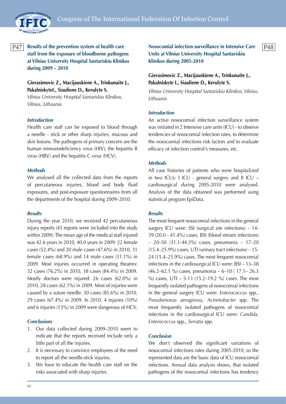

<u>P47 Results of the prevention system of health care Postal and Suspensial infection surveillance in Intensive Care P48 P48</u> **staff from the exposure of bloodborne pathogens at Vilnius University Hospital Santariskiu Klinikos during 2009 – 2010**

# **Gierasimovic Z., Macijauskiene A., Trinkunaite J., PakalniskyteI., Siauliene D., Kerulyte S.**

*Vilnius University Hospital Santariskiu Klinikos, Vilnius, Lithuania*

## *Introduction*

Health care staff can be exposed to blood through a needle - stick or other sharp injuries, mucous and skin lesions. The pathogens of primary concern are the human immunodeficiency virus (HIV), the hepatitis B virus (HBV) and the hepatitis C virus (HCV).

#### *Methods*

We analysed all the collected data from the reports of percutaneous injuries, blood and body fluid exposures, and post-exposure questionnaires from all the departments of the hospital during 2009–2010.

#### *Results*

During the year 2010, we received 42 percutaneous injury reports (45 reports were included into the study within 2009). The mean age of the medical staff injured was 42.6 years in 2010, 40.0 years in 2009: 22 female cases (52.4%) and 20 male cases (47.6%) in 2010, 31 female cases (68.9%) and 14 male cases (31.1%) in 2009. Most injuries occurred in operating theatres: 32 cases (76.2%) in 2010, 38 cases (84.4%) in 2009. Mostly doctors were injured: 26 cases (62.0%) in 2010, 28 cases (62.1%) in 2009. Most of injuries were caused by a suture needle: 30 cases (85.6%) in 2010, 29 cases (67.4%) in 2009. In 2010, 4 injuries (10%) and 6 injuries (13%) in 2009 were dangerous of HCV.

#### *Conclusions*

- 1. Our data collected during 2009–2010 seem to indicate that the reports received include only a little part of all the injuries.
- 2. It is necessary to convince employees of the need to report all the needle-stick injuries.
- 3. We have to educate the health care staff on the risks associated with sharp injuries.

**Nosocomial infection surveillance in Intensive Care Units at Vilnius University Hospital Santariskiu Klinikos during 2005-2010**

# **Gierasimovic Z., Macijauskiene A., Trinkunaite J., Pakalniskyte I., Siauliene D., Kerulyte S.**

*Vilnius University Hospital Santariskiu Klinikos, Vilnius, Lithuania*

#### *Introduction*

An active nosocomial infection surveillance system was initiated in 2 Intensive care units (ICU) - to observe tendencies of nosocomial infection rates, to determine the nosocomial infections risk factors and to evaluate efficacy of infection control's measures, etc.

#### *Methods*

All case histories of patients who were hospitalized in two ICUs: I ICU - general surgery and II ICU – cardiosurgical during 2005-2010 were analysed. Analysis of the data obtained was performed using statistical program EpiData.

#### *Results*

The most frequent nosocomial infections in the general surgery ICU were: SSI (surgical site infections) – 14- 39 (20.0 - 41.4%) cases, BSI (blood stream infections) – 20–50 (31.1-44.3%) cases, pneumonia – 17–20  $(15.4–25.9%)$  cases, UTI (urinary tract infections) – 15-24 (15.4–25.9%) cases. The most frequent nosocomial infections in the cardiosurgical ICU were: BSI – 13–38 (46.2–62.1 %) cases, pneumonia – 6–10 ( 17.1– 26.3 %) cases, UTI – 5-13 (15.2–19.2 %) cases. The most frequently isolated pathogens of nosocomial infections in the general surgery ICU were: *Enterococcus* spp., *Pseudomonas aeruginosa*, *Acinetobacter* spp. The most frequently isolated pathogens of nosocomial infections in the cardiosurgical ICU were: *Candida*, *Enterococcus* spp., *Serratia* spp.

#### *Conclusion*

We don't observed the significant variations of nosocomial infections rates during 2005-2010, so the represented data are the basic data of ICU nosocomial infections. Annual data analysis shows, that isolated pathogens of the nosocomial infections has tendency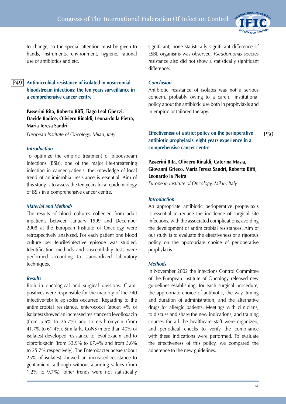

 $P50$ 

to change, so the special attention must be given to hands, instruments, environment, hygiene, rational use of antibiotics and etc.

# P49

**Antimicrobial resistance of isolated in nosocomial bloodstream infections: the ten years surveillance in a comprehensive cancer centre**

**Passerini Rita, Roberto Biffi, Tiago Leal Ghezzi, Davide Radice, Oliviero Rinaldi, Leonardo la Pietra, Maria Teresa Sandri**

*European Institute of Oncology, Milan, Italy*

#### *Introduction*

To optimize the empiric treatment of bloodstream infections (BSIs), one of the major life-threatening infection in cancer patients, the knowledge of local trend of antimicrobial resistance is essential. Aim of this study is to assess the ten years local epidemiology of BSIs in a comprehensive cancer centre.

#### *Material and Methods*

The results of blood cultures collected from adult inpatients between January 1999 and December 2008 at the European Institute of Oncology were retrospectively analyzed. For each patient one blood culture per febrile/infective episode was studied. Identification methods and susceptibility tests were performed according to standardized laboratory techniques.

## *Results*

Both in oncological and surgical divisions, Grampositives were responsible for the majority of the 740 infective/febrile episodes occurred. Regarding to the antimicrobial resistance, enterococci (about 4% of isolates) showed an increased resistance to levofloxacin (from 5.6% to 25.7%) and to erythromycin (from 41.7% to 61.4%). Similarly, CoNS (more than 40% of isolates) developed resistance to levofloxacin and to ciprofloxacin (from 33.9% to 67.4% and from 5.6% to 25.7% respectively). The Enterobacteriaceae (about 25% of isolates) showed an increased resistance to gentamicin, although without alarming values (from 1,2% to 9,7%); other trends were not statistically

significant, none statistically significant difference of ESBL organisms was observed, *Pseudomonas* species resistance also did not show a statistically significant difference.

#### *Conclusion*

Antibiotic resistance of isolates was not a serious concern, probably owing to a careful institutional policy about the antibiotic use both in prophylaxis and in empiric or tailored therapy.

# **Effectiveness of a strict policy on the perioperative antibiotic prophylaxis: eight years experience in a comprehensive cancer centre**

# **Passerini Rita, Oliviero Rinaldi, Caterina Masia, Giovanni Grieco, Maria Teresa Sandri, Roberto Biffi, Leonardo la Pietra**

*European Institute of Oncology, Milan, Italy*

#### *Introduction*

An appropriate antibiotic perioperative prophylaxis is essential to reduce the incidence of surgical site infections, with the associated complications, avoiding the development of antimicrobial resistances. Aim of our study is to evaluate the effectiveness of a rigorous policy on the appropriate choice of perioperative prophylaxis.

#### *Methods*

In November 2002 the Infections Control Committee of the European Institute of Oncology released new guidelines establishing, for each surgical procedure, the appropriate choice of antibiotic, the way, timing and duration of administration, and the alternative drugs for allergic patients. Meetings with clinicians, to discuss and share the new indications, and training courses for all the healthcare staff were organized, and periodical checks to verify the compliance with these indications were performed. To evaluate the effectiveness of this policy, we compared the adherence to the new guidelines.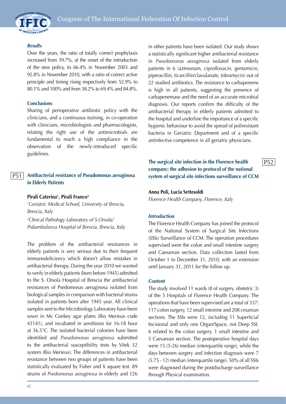

#### *Results*

Over the years, the ratio of totally correct prophylaxis increased from 39.7%, at the onset of the introduction of the new policy, to 66.4% in November 2003 and 92.8% in November 2010, with a ratio of correct active principle and timing rising respectively from 52.9% to 80.1% and 100% and from 38.2% to 69.4% and 84.8%.

#### **Conclusions**

Sharing of perioperative antibiotic policy with the clinicians, and a continuous training, in co-operation with clinicians, microbiologists and pharmacologists, relating the right use of the antimicrobials are fundamental to reach a high compliance in the observation of the newly-introduced specific guidelines.

#### **Antibacterial resistance of Pseudomonas aeruginosa in Elderly Patients** P51

#### **Pirali Caterina1 , Pirali Franco2**

*1 Geriatric Medical School, University of Brescia, Brescia, Italy*

*2 Clinical Pathology Laboratory of S.Orsola/ Poliambulanza Hospital of Brescia, Brescia, Italy*

The problem of the antibacterial resistances in elderly patients is very serious due to their frequent immunodeficiency which doesn't allow mistakes in antibacterial therapy. During the year 2010 we wanted to verify in elderly patients (born before 1945) admitted to the S. Orsola Hospital of Brescia the antibacterial resistances of Psedomonas aeruginosa isolated from biological samples in comparison with bacterial strains isolated in patients born after 1945 year. All clinical samples sent to the Microbiology Laboratory have been sown in Mc Conkey agar plates (Bio Merieux code 43141), and incubated in aerobiosis for 16-18 hour at 36.5°C. The isolated bacterial colonies have been identified and *Pseudomonas aeruginosa* submitted to the antibacterial susceptibility tests by Vitek 32 system (Bio Merieux). The differences in antibacterial resistance between two groups of patients have been statistically evaluated by Fisher and X square test. 89 strains of *Psedomonas aeruginosa* in elderly and 126 in other patients have been isolated. Our study shows a statistically significant higher antibacterial resistance in *Pseudomonas aeruginosa* isolated from elderly patients in 6 (aztreonam, ciprofloxacin, gentamicin, piperacillin, ticarcillin/clavulanate, tobramycin) out of 22 studied antibiotics. The resistance to carbapenems is high in all patients, suggesting the presence of carbapenemase and the need of an accurate microbial diagnosis. Our reports confirm the difficulty of the antibacterial therapy in elderly patients admitted to the hospital and underline the importance of a specific hygienic behaviour to avoid the spread of poliresistant bacteria in Geriatric Department and of a specific antinfective competence in all geriatric physicians.

**The surgical site infection in the Florence health company: the adhesion to protocol of the national system of surgical site infections surveillance of CCM** P52

#### **Anna Poli, Lucia Settesoldi**

*Florence Health Company, Florence, Italy*

#### *Introduction*

The Florence Health Company has joined the protocol of the National System of Surgical Site Infections (SSIs) Surveillance of CCM. The operation procedures supervised were the colon and small intestine surgery and Caesarean section. Data collection lasted from October 1 to December 31, 2010, with an extension until January 31, 2011 for the follow up.

#### *Content*

The study involved 11 wards (8 of surgery, obstetric 3) of the 5 Hospitals of Florence Health Company. The operations that have been supervised are a total of 337: 117 colon surgery, 12 small intestine and 208 cesarean sections. The SSIs were 12, including 11 Superficial Incisional and only one Organ/Space, not Deep SSI, 6 related to the colon surgery, 1 small intestine and 5 Caesarean section. The postoperative hospital days were 15 (5-26) median (interquartile range), while the days between surgery and infection diagnosis were 7 (5.75 - 12) median (interquartile range). 50% of all SSIs were diagnosed during the postdischarge surveillance through Physical examination.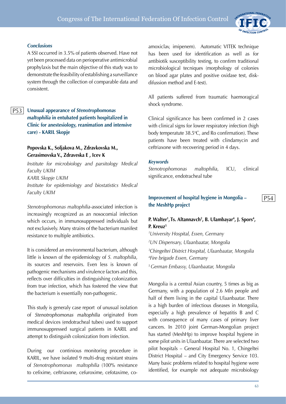

# *Conclusions*

A SSI occurred in 3.5% of patients observed. Have not yet been processed data on perioperative antimicrobial prophylaxis but the main objective of this study was to demonstrate the feasibility of establishing a surveillance system through the collection of comparable data and consistent.

# P53

**Unusual appearance of** *Stenotrophomonas maltophilia* **in entubated patients hospitalized in Clinic for anestesiology, reanimation and intensive care) - KARIL Skopje**

# **Popovska K., Soljakova M., Zdravkovska M., Gerasimovska V., Zdraveska E , Icev K**

*Institute for microbiology and parsitology Medical Faculty UKIM KARIL Skopje UKIM Institute for epidemiology and biostatistics Medical Faculty UKIM*

*Stenotrophomonas maltophilia*-associated infection is increasingly recognized as an nosocomial infection which occurs, in immunosuppressed individuals but not exclusively. Many strains of the bacterium manifest resistance to multiple antibiotics.

It is considered an environmental bacterium, although little is known of the epidemiology of *S. maltophilia*, its sources and reservoirs. Even less is known of pathogenic mechanisms and virulence factors and this, reflects over difficulties in distinguishing colonization from true infection, which has fostered the view that the bacterium is essentially non-pathogenic.

This study is generaly case report of unusual isolation of Stenotrophomonas maltophilia originated from medical devices (endotracheal tubes) used to support immunosuppressed surgical patients in KARIL and attempt to distinguish colonization from infection.

During our continious monitoring procedure in KARIL, we have isolated 9 multi-drug resistant strains of *Stenotrophomonas maltophilia* (100% resistance to cefixime, ceftriaxone, cefuroxime, cefotaxime, coamoxiclav, imipenem). Automatic VITEK technique has been used for identification as well as for antibiotik susceptibility testing, to confirm traditional microbiological tecniques (morphology of colonies on blood agar plates and positive oxidase test, diskdifussion method and E-test).

All patients suffered from traumatic haemoragical shock syndrome.

Clinical significance has been confirmed in 2 cases with clinical signs for lower respiratory infection (high body temperatute 38.5°C, and Ro confirmation). These patients have been treated with clindamycin and ceftriaxone with recovering period in 4 days.

#### *Keywords*

*Stenotrophomonas maltophilia*, ICU, clinical significance, endotracheal tube

# **Improvement of hospital hygiene in Mongolia – the MeshHp project**

**P.** Walter<sup>1</sup>, Ts. Altannavch<sup>2</sup>, B. Ulambayar<sup>4</sup>, J. Spors<sup>4</sup>, **P. Kreuz5**

 *University Hospital, Essen, Germany UN Dispensary, Ulaanbaatar, Mongolia Chingeltei District Hospital, Ulaanbaatar, Mongolia Fire brigade Essen, Germany 5 German Embassy, Ulaanbaatar, Mongolia*

Mongolia is a central Asian country, 5 times as big as Germany, with a population of 2.6 Mln people and half of them living in the capital Ulaanbaatar. There is a high burden of infectious diseases in Mongolia, especially a high prevalence of hepatitis B and C with consequence of many cases of primary liver cancers. In 2010 joint German-Mongolian project has started (MeshHp) to improve hospital hygiene in some pilot units in Ulaanbaatar. There are selected two pilot hospitals – General Hospital No. 1, Chingeltei District Hospital – and City Emergency Service 103. Many basic problems related to hospital hygiene were identified, for example not adequate microbiology

P54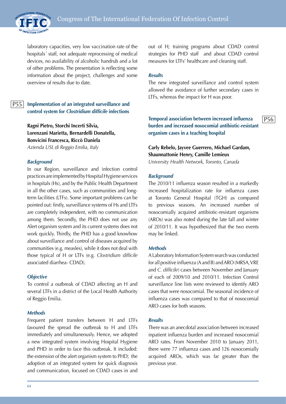

laboratory capacities, very low vaccination rate of the hospitals´ staff, not adequate reprocessing of medical devices, no availability of alcoholic handrub and a lot of other problems. The presentation is reflecting some information about the project, challenges and some overview of results due to date.

#### **Implementation of an integrated surveillance and control system for** *Clostridium difficile* **infections** P55

**Ragni Pietro, Storchi Incerti Silvia, Lorenzani Marietta, Bernardelli Donatella, Bonvicini Francesca, Riccò Daniela** *Azienda USL di Reggio Emilia, Italy*

## *Background*

In our Region, surveillance and infection control practices are implemented by Hospital Hygiene services in hospitals (Hs), and by the Public Health Department in all the other cases, such as communities and longterm facilities (LTFs). Some important problems can be pointed out: firstly, surveillance systems of Hs and LTFs are completely independent, with no communication among them. Secondly, the PHD does not use any Alert organism system and its current systems does not work quickly. Thirdly, the PHD has a good knowhow about surveillance and control of diseases acquired by communities (e.g. measles), while it does not deal with those typical of H or LTFs (e.g. *Clostridium difficile* associated diarrhea- CDAD).

#### *Objective*

To control a outbreak of CDAD affecting an H and several LTFs in a district of the Local Health Authority of Reggio Emilia.

#### *Methods*

Frequent patient transfers between H and LTFs favoured the spread the outbreak to H and LTFs immediately and simultaneously. Hence, we adopted a new integrated system involving Hospital Hygiene and PHD in order to face this outbreak. It included: the extension of the alert organism system to PHD; the adoption of an integrated system for quick diagnosis and communication, focused on CDAD cases in and

out of H; training programs about CDAD control strategies for PHD staff and about CDAD control measures for LTFs' healthcare and cleaning staff.

#### *Results*

The new integrated surveillance and control system allowed the avoidance of further secondary cases in LTFs, whereas the impact for H was poor.

**Temporal association between increased influenza burden and increased nosocomial antibiotic-resistant organism cases in a teaching hospital**

# **Carly Rebelo, Jayvee Guerrero, Michael Gardam, Shaunnattonie Henry, Camille Lemieux** *University Health Network, Toronto, Canada*

#### *Background*

The 2010/11 influenza season resulted in a markedly increased hospitalization rate for influenza cases at Toronto General Hospital (TGH) as compared to previous seasons. An increased number of nosocomially acquired antibiotic-resistant organisms (AROs) was also noted during the late fall and winter of 2010/11. It was hypothesized that the two events may be linked.

#### *Methods*

A Laboratory Information System search was conducted for all positive influenza (A and B) and ARO (MRSA, VRE and *C. difficile*) cases between November and January of each of 2009/10 and 2010/11. Infection Control surveillance line lists were reviewed to identify ARO cases that were nosocomial. The seasonal incidence of influenza cases was compared to that of nosocomial ARO cases for both seasons.

#### *Results*

There was an anecdotal association between increased inpatient influenza burden and increased nosocomial ARO rates. From November 2010 to January 2011, there were 77 influenza cases and 126 nosocomially acquired AROs, which was far greater than the previous year.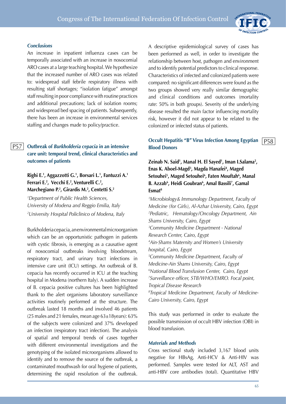

## *Conclusions*

An increase in inpatient influenza cases can be temporally associated with an increase in nosocomial ARO cases at a large teaching hospital. We hypothesize that the increased number of ARO cases was related to: widespread staff febrile respiratory illness with resulting staff shortages; "isolation fatigue" amongst staff resulting in poor compliance with routine practices and additional precautions; lack of isolation rooms; and widespread bed spacing of patients. Subsequently, there has been an increase in environmental services staffing and changes made to policy/practice.

#### **Outbreak of** *Burkholderia cepacia* **in an intensive care unit: temporal trend, clinical characteristics and outcomes of patients**  P57

# **Righi E.1 , Aggazzotti G.1 , Borsari L.1 , Fantuzzi A.1 Ferrari E.2 , Vecchi E.2 , Venturelli C.2 , Marchegiano P.2 , Girardis M.2 , Centetti S.2**

*1 Department of Public Health Sciences, University of Modena and Reggio Emilia, Italy 2 University Hospital Policlinico of Modena, Italy*

Burkholderia cepacia, an environmental microorganism which can be an opportunistic pathogen in patients with cystic fibrosis, is emerging as a causative agent of nosocomial outbreaks involving bloodstream, respiratory tract, and urinary tract infections in intensive care unit (ICU) settings. An outbreak of B. cepacia has recently occurred in ICU at the teaching hospital in Modena (northern Italy). A sudden increase of B. cepacia positive cultures has been highlighted thank to the alert organisms laboratory surveillance activities routinely performed at the structure. The outbreak lasted 18 months and involved 46 patients (25 males and 21 females, mean age  $63\pm18$ years):  $63\%$ of the subjects were colonized and 37% developed an infection (respiratory tract infection). The analysis of spatial and temporal trends of cases together with different environmental investigations and the genotyping of the isolated microorganisms allowed to identify and to remove the source of the outbreak, a contaminated mouthwash for oral hygiene of patients, determining the rapid resolution of the outbreak.

A descriptive epidemiological survey of cases has been performed as well, in order to investigate the relationship between host, pathogen and environment and to identify potential predictors to clinical response. Characteristics of infected and colonized patients were compared: no significant differences were found as the two groups showed very really similar demographic and clinical conditions and outcomes (mortality rate: 50% in both groups). Severity of the underlying disease resulted the main factor influencing mortality risk, however it did not appear to be related to the colonized or infected status of patients.

#### **Occult Hepatitis "B" Virus Infection Among Egyptian Blood Donors** P58

**Zeinab N. Said1 , Manal H. El Sayed1 , Iman I.Salama2 , Enas K. Aboel-Magd3 , Magda Hanafei4 , Maged Setouhei5 , Maged Setouhei6 , Faten Mouftah6 , Manal B. Azzab6 , Heidi Goubran6 , Amal Bassili7 , Gamal Esmat8**

*1 Microbiology& Immunology Department, Faculty of Medicine (for Girls), Al-Azhar University, Cairo, Egypt 2 Pediatric, Hematology/Oncology Department, Ain Shams University, Cairo, Egypt 3 Community Medicine Department - National Research Center, Cairo, Egypt 4 Ain-Shams Maternity and Women's University hospital, Cairo, Egypt 5 Community Medicine Department, Faculty of Medicine-Ain Shams University, Cairo, Egypt 6 National Blood Transfusion Center, Cairo, Egypt 7 Surveillance officer, STB/WHO/EMRO. Focal point, Tropical Disease Research 8 Tropical Medicine Department, Faculty of Medicine-Cairo University, Cairo, Egypt*

This study was performed in order to evaluate the possible transmission of occult HBV infection (OBI) in blood transfusion.

#### *Materials and Methods*

Cross sectional study included 3,167 blood units negative for HBsAg, Anti-HCV & Anti-HIV was performed. Samples were tested for ALT, AST and anti-HBV core antibodies (total). Quantitative HBV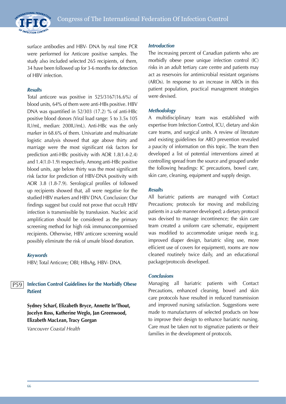

surface antibodies and HBV- DNA by real time PCR were performed for Anticore positive samples. The study also included selected 265 recipients, of them, 34 have been followed up for 3-6 months for detection of HBV infection.

#### *Results*

Total anticore was positive in 525/3167(16.6%) of blood units, 64% of them were anti-HBs positive. HBV DNA was quantified in 52/303 (17.2) % of anti-HBc positive blood donors (Viral load range: 5 to 3.5x 105 IU/mL, median: 200IU/mL). Anti-HBc was the only marker in 68.6% of them. Univariate and multivariate logistic analysis showed that age above thirty and marriage were the most significant risk factors for prediction anti-HBc positivity with AOR 1.8(1.4-2.4) and 1.4(1.0-1.9) respectively. Among anti-HBc positive blood units, age below thirty was the most significant risk factor for prediction of HBV-DNA positivity with AOR 3.8 (1.8-7.9). Serological profiles of followed up recipients showed that, all were negative for the studied HBV markers and HBV DNA. Conclusion: Our findings suggest but could not prove that occult HBV infection is transmissible by transfusion. Nucleic acid amplification should be considered as the primary screening method for high risk immunocompormised recipients. Otherwise, HBV anticore screening would possibly eliminate the risk of unsafe blood donation.

#### *Keywords*

HBV; Total Anticore; OBI; HBsAg, HBV- DNA.

#### **Infection Control Guidelines for the Morbidly Obese Patient**  P59

**Sydney Scharf, Elizabeth Bryce, Annette In'Thout, Jocelyn Ross, Katherine Weglo, Jan Greenwood, Elizabeth MacLean, Tracy Gorgan**

*Vancouver Coastal Health*

#### *Introduction*

The increasing percent of Canadian patients who are morbidly obese pose unique infection control (IC) risks in an adult tertiary care centre and patients may act as reservoirs for antimicrobial resistant organisms (AROs). In response to an increase in AROs in this patient population, practical management strategies were devised.

#### *Methodology*

A multidisciplinary team was established with expertise from Infection Control, ICU, dietary and skin care teams, and surgical units. A review of literature and existing guidelines for ARO prevention revealed a paucity of information on this topic. The team then developed a list of potential interventions aimed at controlling spread from the source and grouped under the following headings: IC precautions, bowel care, skin care, cleaning, equipment and supply design.

#### *Results*

All bariatric patients are managed with Contact Precautions; protocols for moving and mobilizing patients in a safe manner developed; a dietary protocol was devised to manage incontinence; the skin care team created a uniform care schematic, equipment was modified to accommodate unique needs (e.g. improved diaper design, bariatric sling use, more efficient use of covers for equipment), rooms are now cleaned routinely twice daily, and an educational package/protocols developed.

#### *Conclusions*

Managing all bariatric patients with Contact Precautions, enhanced cleaning, bowel and skin care protocols have resulted in reduced transmission and improved nursing satisfaction. Suggestions were made to manufacturers of selected products on how to improve their design to enhance bariatric nursing. Care must be taken not to stigmatize patients or their families in the development of protocols.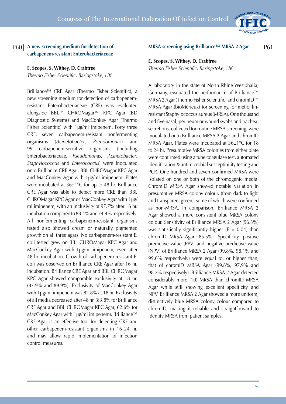

# **A new screening medium for detection of carbapenem-resistant Enterobacteriaceae**

**E. Scopes, S. Withey, D. Crabtree** *Thermo Fisher Scientific, Basingstoke, UK*

Brilliance™ CRE Agar (Thermo Fisher Scientific), a new screening medium for detection of carbapenemresistant Enterobacteriaceae (CRE) was evaluated alongside BBL™ CHROMagar™ KPC Agar (BD Diagnostic Systems) and MacConkey Agar (Thermo Fisher Scientific) with 1µg/ml imipenem. Forty three CRE, seven carbapenem-resistant nonfermenting organisms (*Acinetobacter*, *Pseudomonas*) and 99 carbapenem-sensitive organisms (including Enterobacteriaceae, *Pseudomonas*, *Acinetobacter*, *Staphylococcus* and *Enterococcus*) were inoculated onto Brilliance CRE Agar, BBL CHROMagar KPC Agar and MacConkey Agar with 1µg/ml imipenem. Plates were incubated at 36±1°C for up to 48 hr. Brilliance CRE Agar was able to detect more CRE than BBL CHROMagar KPC Agar or MacConkey Agar with 1µg/ ml imipenem, with an inclusivity of 97.7% after 16 hr. incubation compared to 88.4% and 74.4% respectively. All nonfermenting carbapenem-resistant organisms tested also showed cream or naturally pigmented growth on all three agars. No carbapenem-resistant E. coli tested grew on BBL CHROMagar KPC Agar and MacConkey Agar with 1µg/ml imipenem, even after 48 hr. incubation. Growth of carbapenem-resistant E. coli was observed on Brilliance CRE Agar after 16 hr. incubation. Brilliance CRE Agar and BBL CHROMagar KPC Agar showed comparable exclusivity at 18 hr. (87.9% and 89.9%). Exclusivity of MacConkey Agar with 1µg/ml imipenem was 82.8% at 18 hr. Exclusivity of all media decreased after 48 hr. (83.8% for Brilliance CRE Agar and BBL CHROMagar KPC Agar, 62.6% for MacConkey Agar with 1µg/ml imipenem). Brilliance™ CRE Agar is an effective tool for detecting CRE and other carbapenem-resistant organisms in 16–24 hr. and may allow rapid implementation of infection control measures.

P60 A new screening medium for detection of MRSA screening using Brilliance™ MRSA 2 Agar P61

# **E. Scopes, S. Withey, D. Crabtree**

*Thermo Fisher Scientific, Basingstoke, UK*

A laboratory in the state of North Rhine-Westphalia, Germany, evaluated the performance of Brilliance™ MRSA 2 Agar (Thermo Fisher Scientific) and chromID™ MRSA Agar (bioMérieux) for screening for meticillinresistant Staphylococcus aureus (MRSA). One thousand and five nasal, perineum or wound swabs and tracheal secretions, collected for routine MRSA screening, were inoculated onto Brilliance MRSA 2 Agar and chromID MRSA Agar. Plates were incubated at 36±1°C for 18 to 24 hr. Presumptive MRSA colonies from either plate were confirmed using a tube coagulase test, automated identification & antimicrobial susceptibility testing and PCR. One hundred and seven confirmed MRSA were isolated on one or both of the chromogenic media. ChromID MRSA Agar showed notable variation in presumptive MRSA colony colour, (from dark to light and transparent green), some of which were confirmed as non-MRSA. In comparison, Brilliance MRSA 2 Agar showed a more consistent blue MRSA colony colour. Sensitivity of Brilliance MRSA 2 Agar (96.3%) was statistically significantly higher ( $P = 0.04$ ) than chromID MRSA Agar (85.5%). Specificity, positive predictive value (PPV) and negative predictive value (NPV) of Brilliance MRSA 2 Agar (99.8%, 98.1% and 99.6% respectively) were equal to, or higher than, that of chromID MRSA Agar (99.8%, 97.9% and 98.2% respectively). Brilliance MRSA 2 Agar detected considerably more (10) MRSA than chromID MRSA Agar while still showing excellent specificity and NPV. Brilliance MRSA 2 Agar showed a more uniform, distinctively blue MRSA colony colour compared to chromID, making it reliable and straightforward to identify MRSA from patient samples.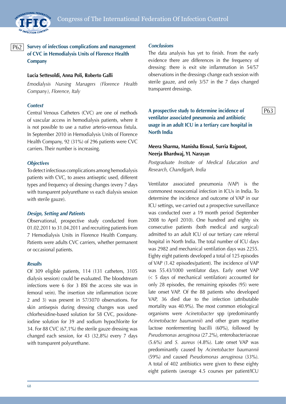

#### **Survey of infectious complications and management of CVC in Hemodialysis Units of Florence Health Company** P62

# **Lucia Settesoldi, Anna Poli, Roberto Galli**

*Emodialysis Nursing Managers (Florence Health Company), Florence, Italy*

# *Context*

Central Venous Catheters (CVC) are one of methods of vascular access in hemodialysis patients, where it is not possible to use a native arterio-venous fistula. In September 2010 in Hemodialysis Units of Florence Health Company, 92 (31%) of 296 patients were CVC carriers. Their number is increasing.

# *Objectives*

To detect infectious complications among hemodialysis patients with CVC, to assess antiseptic used, different types and frequency of dressing changes (every 7 days with transparent polyurethane vs each dialysis session with sterile gauze).

# *Design, Setting and Patients*

Observational, prospective study conducted from 01.02.2011 to 31.04.2011 and recruiting patients from 7 Hemodialysis Units in Florence Health Company. Patients were adults CVC carriers, whether permanent or occasional patients.

## *Results*

Of 309 eligible patients, 114 (131 catheters, 3105 dialysis session) could be evaluated. The bloodstream infections were 6 (for 3 BSI the access site was in femoral vein). The insertion site inflammation (score 2 and 3) was present in 57/3070 observations. For skin antisepsis during dressing changes was used chlorhexidine-based solution for 58 CVC, povidoneiodine solution for 39 and sodium hypochlorite for 34. For 88 CVC (67,1%) the sterile gauze dressing was changed each session, for 43 (32,8%) every 7 days with transparent polyurethane.

#### *Conclusions*

The data analysis has yet to finish. From the early evidence there are differences in the frequency of dressing: there is exit site inflammation in 54/57 observations in the dressings change each session with sterile gauze, and only 3/57 in the 7 days changed transparent dressings.

**A prospective study to determine incidence of ventilator associated pneumonia and antibiotic usage in an adult ICU in a tertiary care hospital in North India**

# **Meera Sharma, Manisha Biswal, Surria Rajpoot, Neerja Bhardwaj, YL Narayan**

*Postgraduate Institute of Medical Education and Research, Chandigarh, India*

Ventilator associated pneumonia (VAP) is the commonest nosocomial infection in ICUs in India. To determine the incidence and outcome of VAP in our ICU settings, we carried out a prospective surveillance was conducted over a 19 month period (September 2008 to April 2010). One hundred and eighty six consecutive patients (both medical and surgical) admitted to an adult ICU of our tertiary care referral hospital in North India. The total number of ICU days was 2982 and mechanical ventilation days was 2255. Eighty eight patients developed a total of 125 episodes of VAP (1.42 episodes/patient). The incidence of VAP was 55.43/1000 ventilator days. Early onset VAP (< 5 days of mechanical ventilation) accounted for only 28 episodes, the remaining episodes (95) were late onset VAP. Of the 88 patients who developed VAP, 36 died due to the infection (attributable mortality was 40.9%). The most common etiological organisms were *Acinetobacter* spp (predominantly *Acinetobacter baumannii*) and other gram negative lactose nonfermenting bacilli (60%), followed by *Pseudomonas aeruginosa* (27.2%), enterobacteriaceae (5.6%) and *S. aureus* (4.8%). Late onset VAP was predominantly caused by *Acinetobacter baumannii* (59%) and caused *Pseudomonas aeruginosa* (33%). A total of 402 antibiotics were given to these eighty eight patients (average 4.5 courses per patient/ICU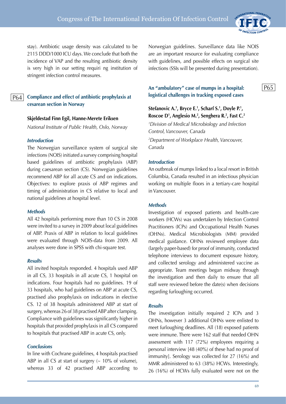

P65

stay). Antibiotic usage density was calculated to be 2115 DDD/1000 ICU days. We conclude that both the incidence of VAP and the resulting antibiotic density is very high in our setting requiri ng institution of stringent infection control measures.

# P64

**Compliance and effect of antibiotic prophylaxis at cesarean section in Norway**

#### **Skjeldestad Finn Egil, Hanne-Merete Eriksen**

*National Institute of Public Health, Oslo, Norway*

#### *Introduction*

The Norwegian surveillance system of surgical site infections (NOIS) initiated a survey comprising hospital based guidelines of antibiotic prophylaxis (ABP) during caesarean section (CS). Norwegian guidelines recommend ABP for all acute CS and on indications. Objectives: to explore praxis of ABP regimes and timing of administration in CS relative to local and national guidelines at hospital level.

#### *Methods*

All 42 hospitals performing more than 10 CS in 2008 were invited to a survey in 2009 about local guidelines of ABP. Praxis of ABP in relation to local guidelines were evaluated through NOIS-data from 2009. All analyses were done in SPSS with chi-square test.

## *Results*

All invited hospitals responded. 4 hospitals used ABP in all CS, 33 hospitals in all acute CS, 1 hospital on indications. Four hospitals had no guidelines. 19 of 33 hospitals, who had guidelines on ABP at acute CS, practised also prophylaxis on indications in elective CS. 12 of 38 hospitals administered ABP at start of surgery, whereas 26 of 38 practised ABP after clamping. Compliance with guidelines was significantly higher in hospitals that provided prophylaxis in all CS compared to hospitals that practised ABP in acute CS, only.

#### *Conclusions*

In line with Cochrane guidelines, 4 hospitals practised ABP in all CS at start of surgery  $($   $\sim$  10% of volume), whereas 33 of 42 practised ABP according to Norwegian guidelines. Surveillance data like NOIS are an important resource for evaluating compliance with guidelines, and possible effects on surgical site infections (SSIs will be presented during presentation).

# **An "ambulatory" case of mumps in a hospital: logistical challenges in tracking exposed cases**

# Stefanovic A.<sup>1</sup>, Bryce E.<sup>1</sup>, Scharf S.<sup>1</sup>, Doyle P.<sup>1</sup>, **Roscoe D1 , Anglesio M.2 , Senghera R.2 , Fast C.2**

*1 Division of Medical Microbiology and Infection Control, Vancouver, Canada 2 Department of Workplace Health, Vancouver, Canada*

#### *Introduction*

An outbreak of mumps linked to a local resort in British Columbia, Canada resulted in an infectious physician working on multiple floors in a tertiary-care hospital in Vancouver.

#### *Methods*

Investigation of exposed patients and health-care workers (HCWs) was undertaken by Infection Control Practitioners (ICPs) and Occupational Health Nurses (OHNs). Medical Microbiologists (MM) provided medical guidance. OHNs reviewed employee data (largely paper-based) for proof of immunity, conducted telephone interviews to document exposure history, and collected serology and administered vaccine as appropriate. Team meetings began midway through the investigation and then daily to ensure that all staff were reviewed before the date(s) when decisions regarding furloughing occurred.

#### *Results*

The investigation initially required 2 ICPs and 3 OHNs, however 3 additional OHNs were enlisted to meet furloughing deadlines. All (18) exposed patients were immune. There were 162 staff that needed OHN assessment with 117 (72%) employees requiring a personal interview [48 (40%) of these had no proof of immunity]. Serology was collected for 27 (16%) and MMR administered to 63 (38%) HCWs. Interestingly, 26 (16%) of HCWs fully evaluated were not on the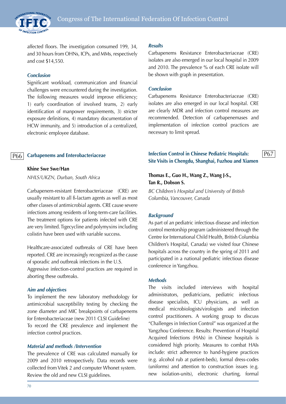

affected floors. The investigation consumed 199, 34, and 30 hours from OHNs, ICPs, and MMs, respectively and cost \$14,550.

#### *Conclusion*

Significant workload, communication and financial challenges were encountered during the investigation. The following measures would improve efficiency; 1) early coordination of involved teams, 2) early identification of manpower requirements, 3) stricter exposure definitions, 4) mandatory documentation of HCW immunity, and 5) introduction of a centralized, electronic employee database.

#### **Carbapenems and Enterobacteriaceae**

#### **Khine Swe Swe/Han**

*NHLS/UKZN, Durban, South Africa*

Carbapenem-resistant Enterobacteriaceae (CRE) are usually resistant to all ß-lactam agents as well as most other classes of antimicrobial agents. CRE cause severe infections among residents of long-term-care facilities. The treatment options for patients infected with CRE are very limited. Tigecycline and polymyxins including colistin have been used with variable success.

Healthcare-associated outbreaks of CRE have been reported. CRE are increasingly recognized as the cause of sporadic and outbreak infections in the U.S. Aggressive infection-control practices are required in aborting these outbreaks.

#### *Aim and objectives*

To implement the new laboratory methodology for antimicrobial susceptibility testing by checking the zone diameter and MIC breakpoints of carbapenems for Enterobacteriaceae (new 2011 CLSI Guideline) To record the CRE prevalence and implement the infection control practices.

#### *Material and methods /Intervention*

The prevalence of CRE was calculated manually for 2009 and 2010 retrospectively. Data records were collected from Vitek 2 and computer Whonet system. Review the old and new CLSI guidelines.

#### *Results*

Carbapenems Resistance Enterobacteriaceae (CRE) isolates are also emerged in our local hospital in 2009 and 2010. The prevalence % of each CRE isolate will be shown with graph in presentation.

#### *Conclusion*

Carbapenems Resistance Enterobacteriaceae (CRE) isolates are also emerged in our local hospital. CRE are clearly MDR and infection control measures are recommended. Detection of carbapenemases and implementation of infection control practices are necessary to limit spread.

#### **P66** Carbapenems and Enterobacteriaceae **Reserves Infection Control in Chinese Pediatric Hospitals:** P67 **Site Visits in Chengdu, Shanghai, Fuzhou and Xiamen**

# **Thomas E., Guo H., Wang Z., Wang J-S., Tan R., Dobson S.**

*BC Children's Hospital and University of British Columbia, Vancouver, Canada*

#### *Background*

As part of an pediatric infectious disease and infection control mentorship program (administered through the Centre for International Child Health, British Columbia Children's Hospital, Canada) we visited four Chinese hospitals across the country in the spring of 2011 and participated in a national pediatric infectious disease conference in Yangzhou.

#### *Methods*

The visits included interviews with hospital administrators, pediatricians, pediatric infectious disease specialists, ICU physicians, as well as medical microbiologists/virologists and infection control practitioners. A working group to discuss "Challenges in Infection Control" was organized at the Yangzhou Conference. Results: Prevention of Hospital Acquired Infections (HAIs) in Chinese hospitals is considered high priority. Measures to combat HAIs include: strict adherence to hand-hygiene practices (e.g. alcohol rub at patient-beds), formal dress-codes (uniforms) and attention to construction issues (e.g. new isolation-units), electronic charting, formal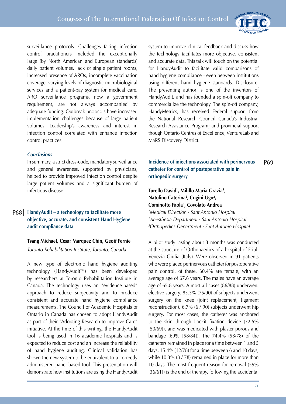surveillance protocols. Challenges facing infection control practitioners included the exceptionally large (by North American and European standards) daily patient volumes, lack of single patient rooms, increased presence of AROs, incomplete vaccination coverage, varying levels of diagnostic microbiological services and a patient-pay system for medical care. ARO surveillance programs, now a government requirement, are not always accompanied by adequate funding. Outbreak protocols have increased implementation challenges because of large patient volumes. Leadership's awareness and interest in infection control correlated with enhance infection control practices.

#### *Conclusions*

In summary, a strict dress-code, mandatory surveillance and general awareness, supported by physicians, helped to provide improved infection control despite large patient volumes and a significant burden of infectious disease.

#### **HandyAudit – a technology to facilitate more objective, accurate, and consistent Hand Hygiene audit compliance data** P68

## **Tsang Michael, Cesar Marquez Chin, Geoff Fernie**

*Toronto Rehabilitation Institute, Toronto, Canada*

A new type of electronic hand hygiene auditing technology (HandyAudit™) has been developed by researchers at Toronto Rehabilitation Institute in Canada. The technology uses an "evidence-based" approach to reduce subjectivity and to produce consistent and accurate hand hygiene compliance measurements. The Council of Academic Hospitals of Ontario in Canada has chosen to adopt HandyAudit as part of their "Adopting Research to Improve Care" initiative. At the time of this writing, the HandyAudit tool is being used in 16 academic hospitals and is expected to reduce cost and an increase the reliability of hand hygiene auditing. Clinical validation has shown the new system to be equivalent to a correctly administered paper-based tool. This presentation will demonstrate how institutions are using the HandyAudit

system to improve clinical feedback and discuss how the technology facilitates more objective, consistent and accurate data. This talk will touch on the potential for HandyAudit to facilitate valid comparisons of hand hygiene compliance - even between institutions using different hand hygiene standards. Disclosure: The presenting author is one of the inventors of HandyAudit, and has founded a spin-off company to commercialize the technology. The spin-off company, HandyMetrics, has received Federal support from the National Research Council Canada's Industrial Research Assistance Program; and provincial support though Ontario Centres of Excellence, VentureLab and MaRS Discovery District.

# **Incidence of infections associated with perinervous catheter for control of postoperative pain in orthopedic surgery**

# **Turello David1 , Milillo Maria Grazia1 , Natolino Caterina2 , Cugini Ugo2 , Cominotto Paola3 , Covolato Andrea3** *1 Medical Direction - Sant Antonio Hospital 2 Anesthesia Department - Sant Antonio Hospital 3 Orthopedics Department - Sant Antonio Hospital*

A pilot study lasting about 3 months was conducted at the structure of Orthopaedics of a hospital of Friuli Venezia Giulia (Italy). Were observed in 91 patients who were placed perinervous catheter for postoperative pain control, of these, 60.4% are female, with an average age of 67.6 years. The males have an average age of 65.8 years. Almost all cases (86/88) underwent elective surgery. 83.3% (75/90) of subjects underwent surgery on the knee (joint replacement, ligament reconstruction), 6.7% (6 / 90) subjects underwent hip surgery. For most cases, the catheter was anchored to the skin through Lockit fixation device (72.5% [50/69]), and was medicated with plaster porous and bandage (69% [58/84]). The 74.4% (58/78) of the catheters remained in place for a time between 1 and 5 days, 15.4% (12/78) for a time between 6 and 10 days, while 10.3% (8 / 78) remained in place for more than 10 days. The most frequent reason for removal (59% [36/61]) is the end of therapy, following the accidental

P69

INTERNATIONAL FEDERATIO

**INFECTION CONTRO**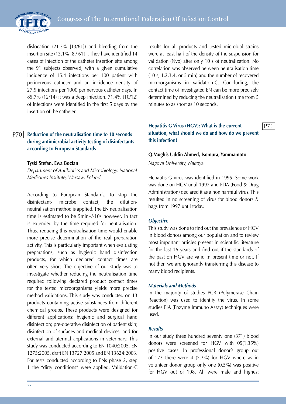

dislocation (21.3% [13/61]) and bleeding from the insertion site (13.1% [8 / 61] ). They have identified 14 cases of infection of the catheter insertion site among the 91 subjects observed, with a given cumulative incidence of 15.4 infections per 100 patient with perinervous catheter and an incidence density of 27.9 infections per 1000 perinervous catheter days. In 85.7% (12/14) it was a deep infection. 71.4% (10/12) of infections were identified in the first 5 days by the insertion of the catheter.

#### **Reduction of the neutralisation time to 10 seconds during antimicrobial activity testing of disinfectants according to European Standards**  P70

#### **Tyski Stefan, Ewa Bocian**

*Department of Antibiotics and Microbiology, National Medicines Institute, Warsaw, Poland*

According to European Standards, to stop the disinfectant- microbe contact, the dilutionneutralisation method is applied. The EN neutralisation time is estimated to be 5min+/-10s however, in fact is extended by the time required for neutralisation. Thus, reducing this neutralisation time would enable more precise determination of the real preparation activity. This is particularly important when evaluating preparations, such as hygienic hand disinfection products, for which declared contact times are often very short. The objective of our study was to investigate whether reducing the neutralisation time required following declared product contact times for the tested microorganisms yields more precise method validations. This study was conducted on 13 products containing active substances from different chemical groups. These products were designed for different applications: hygienic and surgical hand disinfection; pre-operative disinfection of patient skin; disinfection of surfaces and medical devices; and for external and uterinal applications in veterinary. This study was conducted according to EN 1040:2005, EN 1275:2005, draft EN 13727:2005 and EN 13624:2003. For tests conducted according to ENs phase 2, step 1 the "dirty conditions" were applied. Validation-C results for all products and tested microbial strains were at least half of the density of the suspension for validation (Nvo) after only 10 s of neutralization. No correlation was observed between neutralisation time (10 s, 1,2,3,4, or 5 min) and the number of recovered microorganisms in validation-C. Concluding, the contact time of investigated EN can be more precisely determined by reducing the neutralisation time from 5 minutes to as short as 10 seconds.

## **Hepatitis G Virus (HGV): What is the current situation, what should we do and how do we prevent this infection?**

P71

#### **Q.Mughis Uddin Ahmed, Isomura, Yammamoto**

*Nagoya University, Nagoya*

Hepatitis G virus was identified in 1995. Some work was done on HGV until 1997 and FDA (Food & Drug Administration) declared it as a non harmful virus. This resulted in no screening of virus for blood donors & bags from 1997 until today.

#### *Objective*

This study was done to find out the prevalence of HGV in blood donors among our population and to review most important articles present in scientific literature for the last 16 years and find out if the standards of the past on HGV are valid in present time or not. If not then we are ignorantly transferring this disease to many blood recipients.

#### *Materials and Methods*

In the majority of studies PCR (Polymerase Chain Reaction) was used to identify the virus. In some studies EIA (Enzyme Immuno Assay) techniques were used.

#### *Results*

In our study three hundred seventy one (371) blood donors were screened for HGV with 05(1.35%) positive cases. In professional donor's group out of 173 there were 4 (2.3%) for HGV where as in volunteer donor group only one (0.5%) was positive for HGV out of 198. All were male and highest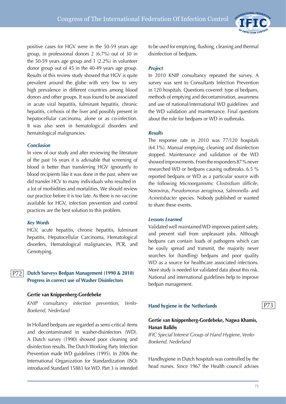

#### *Conclusion*

In view of our study and after reviewing the literature of the past 16 years it is advisable that screening of blood is better than transferring HGV ignorantly to blood recipients like it was done in the past, where we did transfer HCV to many individuals who resulted in a lot of morbidities and mortalities. We should review our practice before it is too late. As there is no vaccine available for HGV, infection prevention and control practices are the best solution to this problem.

#### *Key Words*

HGV, acute hepatitis, chronic hepatitis, fulminant hepatitis, Hepatocellular Carcinoma, Hematological disorders, Hematological malignancies, PCR, and Genotyping.

#### **Dutch Surveys Bedpan Management (1990 & 2010) Progress in correct use of Washer Disinfectors** P72

#### **Gertie van Knippenberg-Gordebeke**

*KNIP consultancy infection prevention, Venlo-Boekend, Nederland*

In Holland bedpans are regarded as semi-critical items and decontaminated in washer-disinfectors (WD). A Dutch survey (1990) showed poor cleaning and disinfection results. The Dutch Working Party Infection Prevention made WD guidelines (1995). In 2006 the International Organization for Standardization (ISO) introduced Standard 15883 for WD. Part 3 is intended to be used for emptying, flushing, cleaning and thermal disinfection of bedpans.

INTERNATIONAL FEDERATION

#### *Project*

In 2010 KNIP consultancy repeated the survey. A survey was sent to Consultants Infection Prevention in 120 hospitals. Questions covered: type of bedpans, methods of emptying and decontamination, awareness and use of national/international WD guidelines and the WD validation and maintenance. Final questions about the role for bedpans or WD in outbreaks.

#### *Results*

The response rate in 2010 was 77/120 hospitals (64.1%). Manual emptying, cleaning and disinfection stopped. Maintenance and validation of the WD showed improvements. From the responders 87 % never researched WD or bedpans causing outbreaks. 6.5 % reported bedpans or WD as a particular source with the following Microorganisms: *Clostridium difficile*, Norovirus, *Pseudomonas aeruginosa*, *Salmonella*- and *Acinetobacter* species. Nobody published or wanted to share these events.

#### *Lessons Learned*

Validated well maintained WD improves patient safety, and prevent staff from unpleasant jobs. Although bedpans can contain loads of pathogens which can be easily spread and transmit, the majority never searches for (handling) bedpans and poor quality WD as a source for healthcare associated infections. More study is needed for validated data about this risk. National and international guidelines help to improve bedpan management.

#### **Hand hygiene in the Netherlands**

P73

## **Gertie van Knippenberg-Gordebeke, Nagwa Khamis, Hanan Balkhy**

*IFIC Special Interest Group of Hand Hygiene, Venlo-Boekend, Nederland*

Handhygiene in Dutch hospitals was controlled by the head nurses. Since 1967 the Health council advises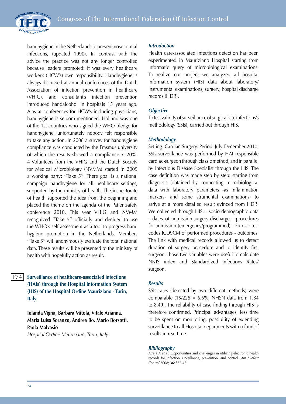



handhygiene in the Netherlands to prevent nosocomial infections, (updated 1990). In contrast with the advice the practice was not any longer controlled because leaders promoted: it was every healthcare worker's (HCW's) own responsibility. Handhygiene is always discussed at annual conferences of the Dutch Association of infection prevention in healthcare (VHIG), and consultant's infection prevention introduced handalcohol in hospitals 15 years ago. Alas at conferences for HCW's including physicians, handhygiene is seldom mentioned. Holland was one of the 1st countries who signed the WHO pledge for handhygiene, unfortunately nobody felt responsible to take any action. In 2008 a survey for handhygiene compliance was conducted by the Erasmus university of which the results showed a compliance < 20%. 4 Volunteers from the VHIG and the Dutch Society for Medical Microbiology (NVMM) started in 2009 a working party: ''Take 5''. There goal is a national campaign handhygiene for all healthcare settings, supported by the ministry of health. The inspectorate of health supported the idea from the beginning and placed the theme on the agenda of the Patientsafety conference 2010. This year VHIG and NVMM recognized ''Take 5'' officially and decided to use the WHO's self-assessment as a tool to progress hand hygiene promotion in the Netherlands. Members ''Take 5'' will anonymously evaluate the total national data. These results will be presented to the ministry of health with hopefully action as result.

#### **Surveillance of healthcare-associated infections (HAIs) through the Hospital Information System (HIS) of the Hospital Ordine Mauriziano - Turin, Italy**  P74

**Iolanda Vigna, Barbara Mitola, Vitale Arianna, Maria Luisa Soranzo, Andrea Bo, Mario Borsotti, Paola Malvasio**

*Hospital Ordine Mauriziano, Turin, Italy*

#### *Introduction*

Health care-associated infections detection has been experimented in Mauriziano Hospital starting from informatic query of microbiological examinations. To realize our project we analyzed all hospital information system (HIS) data about laboratory/ instrumental examinations, surgery, hospital discharge records (HDR).

### *Objective*

To test validity of surveillance of surgical site infections's methodology (SSIs), carried out through HIS.

### *Methodology*

Setting: Cardiac Surgery. Period: July-December 2010. SSIs surveillance was performed by HAI responsible cardiac-surgeon through classic method, and in parallel by Infectious Disease Specialist through the HIS. The case definition was made step by step: starting from diagnosis (obtained by connecting microbiological data with laboratory parameters -as inflammation markers- and some strumental examinations) to arrive at a more detailed result evinced from HDR. We collected through HIS: - socio-demographic data - dates of admission-surgery-discharge - procedures for admission (emergency/programmed) - Euroscore codes ICD9CM of performed procedures - outcomes. The link with medical records allowed us to detect duration of surgery procedure and to identify first surgeon: those two variables were useful to calculate NNIS index and Standardized Infections Rates/ surgeon.

#### *Results*

SSIs rates (detected by two different methods) were comparable  $(15/225 = 6.6\%;$  NHSN data from 1.84 to 8.49). The reliability of case finding through HIS is therefore confirmed. Principal advantages: less time to be spent on monitoring, possibility of extending surveillance to all Hospital departments with refund of results in real time.

#### *Bibliography*

Atreja A *et al.* Opportunities and challenges in utilizing electronic health records for infection surveillance, prevention, and control. *Am J Infect Control* 2008; **36:** S37-46.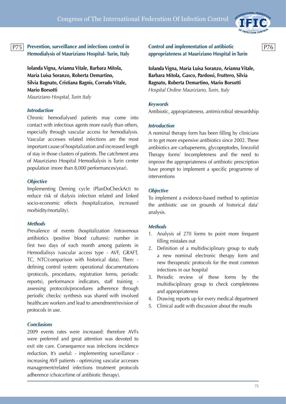

# P75 Prevention, surveillance and infections control in **Control and implementation of antibiotic** P76 **Hemodialysis of Mauriziano Hospital- Turin, Italy**

**Iolanda Vigna, Arianna Vitale, Barbara Mitola, Maria Luisa Soranzo, Roberta Demartino, Silvia Bagnato, Cristiana Bagnis, Corrado Vitale, Mario Borsotti**

*Mauriziano Hospital, Turin Italy*

### *Introduction*

Chronic hemodialysed patients may come into contact with infectious agents more easily than others, especially through vascular access for hemodialysis. Vascular accesses related infections are the most important cause of hospitalization and increased length of stay in those clusters of patients. The catchment area of Mauriziano Hospital Hemodialysis is Turin center population (more than 8,000 performances/year).

#### *Objective*

Implementing Deming cycle (PlanDoCheckAct) to reduce risk of dialysis infection related and linked socio-economic effects (hospitalization, increased morbidity/mortality).

## *Methods*

Prevalence of events (hospitalization /intravenous antibiotics /positive blood cultures): number in first two days of each month among patients in Hemodialisys (vascular access type - AVF, GRAFT, TC, NTC/comparison with historical data). Then: defining control system: operational documentations (protocols, procedures, registration forms, periodic reports), performance indicators, staff training assessing protocols/procedures adherence through periodic checks: synthesis was shared with involved healthcare workers and lead to amendment/revision of protocols in use.

#### *Conclusions*

2009 events rates were increased: therefore AVFs were preferred and great attention was devoted to exit site care. Consequence was infections incidence reduction. It's useful: - implementing surveillance increasing AVF patients - optimizing vascular accesses management/related infections treatment protocols adherence (choice/time of antibiotic therapy).

**Control and implementation of antibiotic appropriateness at Mauriziano Hospital in Turin**

**Iolanda Vigna, Maria Luisa Soranzo, Arianna Vitale, Barbara Mitola, Gasco, Pardossi, Fruttero, Silvia Bagnato, Roberta Demartino, Mario Borsotti** *Hospital Ordine Mauriziano, Turin, Italy*

#### *Keywords*

Antibiotic, appropriateness, antimicrobial stewardship

#### *Introduction*

A nominal therapy form has been filling by clinicians in to get more expensive antibiotics since 2002. These antibiotics are carbapenems, glycopeptodes, linezolid Therapy forms' Incompleteness and the need to improve the appropriateness of antibiotic prescription have prompt to implement a specific programme of interventions

#### *Objective*

To implement a evidence-based method to optimize the antibiotic use on grounds of historical data' analysis.

#### *Methods*

- 1. Analysis of 270 forms to point more frequent filling mistakes out
- 2. Definition of a multidisciplinary group to study a new nominal electronic therapy form and new therapeutic protocols for the most common infections in our hospital
- 3. Periodic review of these forms by the multidisciplinary group to check completeness and appropriateness
- 4. Drawing reports up for every medical department
- 5. Clinical audit with discussion about the results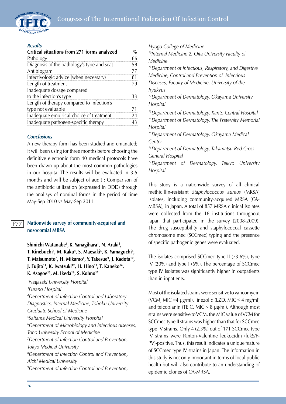

#### *Results*

| Critical situations from 271 forms analyzed | $\frac{0}{0}$ |
|---------------------------------------------|---------------|
| Pathology                                   | 66            |
| Diagnosis of the pathology's type and seat  | 58            |
| Antibiogram                                 | 77            |
| Infectivologic advice (when necessary)      | 81            |
| Length of treatment                         | 79            |
| Inadequate dosage compared                  |               |
| to the infection's type                     | 33            |
| Length of therapy compared to infection's   |               |
| type not evaluable                          | 71            |
| Inadequate empirical choice of treatment    | 24            |
| Inadequate pathogen-specific therapy        | 43            |

#### *Conclusions*

A new therapy form has been studied and emanated; it will been using for three months before choosing the definitive electronic form 40 medical protocols have been drawn up about the most common pathologies in our hospital The results will be evaluated in 3-5 months and will be subject of audit : Comparison of the antibiotic utilization (expressed in DDD) through the analisys of nominal forms in the period of time May-Sep 2010 vs May-Sep 2011

#### **Nationwide survey of community-acquired and nosocomial MRSA** P77

**Shinichi Watanabe1 , K. Yanagihara1 , N. Araki2 ,**  T. Kinebuchi<sup>3</sup>, M. Kaku<sup>4</sup>, S. Maesaki<sup>5</sup>, K. Yamaguchi<sup>6</sup>, **T. Matsumoto7 , H. Mikamo8 , Y. Takesue9 , J. Kadota10, J. Fujita11, K. Iwatsuki12, H. Hino13, T. Kaneko14, K. Asagoe15, M. Ikeda16, S. Kohno17**

 *Nagasaki University Hospital Furano Hospital Department of Infection Control and Laboratory Diagnostics, Internal Medicine, Tohoku University Graduate School of Medicine Saitama Medical University Hospital Department of Microbiology and Infectious diseases, Toho University School of Medicine Department of Infection Control and Prevention, Tokyo Medical University Department of Infection Control and Prevention, Aichi Medical University Department of Infection Control and Prevention,* 

*Hyogo College of Medicine 10Internal Medicine 2, Oita University Faculty of Medicine 11Department of Infectious, Respiratory, and Digestive Medicine, Control and Prevention of Infectious Diseases, Faculty of Medicine, University of the Ryukyus 12Department of Dermatology, Okayama University Hospital 13Department of Dermatology, Kanto Central Hospital 14Department of Dermatology, The Fraternity Memorial Hospital 15Department of Dermatology, Okayama Medical Center 16Department of Dermatology, Takamatsu Red Cross General Hospital 17Department of Dermatology, Teikyo University Hospital*

This study is a nationwide survey of all clinical methicillin-resistant *Staphylococcus aureus* (MRSA) isolates, including community-acquired MRSA (CA-MRSA), in Japan. A total of 857 MRSA clinical isolates were collected from the 16 institutions throughout Japan that participated in the survey (2008-2009). The drug susceptibility and staphylococcal cassette chromosome mec (SCCmec) typing and the presence of specific pathogenic genes were evaluated.

The isolates comprised SCCmec type II (73.6%), type IV (20%) and type I (6%). The percentage of SCCmec type IV isolates was significantly higher in outpatients than in inpatients.

Most of the isolated strains were sensitive to vancomycin (VCM, MIC =4  $\mu$ g/ml), linezolid (LZD, MIC  $\leq$  4 mg/ml) and teicoplanin (TEIC, MIC  $\leq$  8 µg/ml). Although most strains were sensitive to VCM, the MIC value of VCM for SCCmec type II strains was higher than that for SCCmec type IV strains. Only 4 (2.3%) out of 171 SCCmec type IV strains were Panton-Valentine leukocidin (lukS/F-PV)-positive. Thus, this result indicates a unique feature of SCCmec type IV strains in Japan. The information in this study is not only important in terms of local public health but will also contribute to an understanding of epidemic clones of CA-MRSA.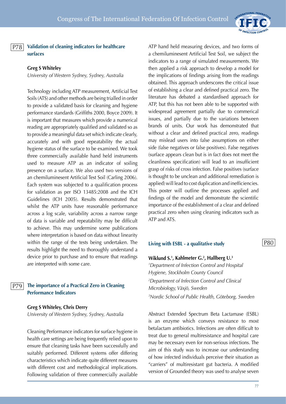

**Validation of cleaning indicators for healthcare surfaces**  P78

## **Greg S Whiteley**

*University of Western Sydney, Sydney, Australia*

Technology including ATP measurement, Artificial Test Soils (ATS) and other methods are being trialled in order to provide a validated basis for cleaning and hygiene performance standards (Griffiths 2000, Boyce 2009). It is important that measures which provide a numerical reading are appropriately qualified and validated so as to provide a meaningful data set which indicate clearly, accurately and with good repeatability the actual hygiene status of the surface to be examined. We took three commercially available hand held instruments used to measure ATP as an indicator of soiling presence on a surface. We also used two versions of an chemiluminesent Artificial Test Soil (Carling 2006). Each system was subjected to a qualification process for validation as per ISO 13485:2008 and the ICH Guidelines (ICH 2005). Results demonstrated that whilst the ATP units have reasonable performance across a log scale, variability across a narrow range of data is variable and repeatability may be difficult to achieve. This may undermine some publications where interpretation is based on data without linearity within the range of the tests being undertaken. The results highlight the need to thoroughly understand a device prior to purchase and to ensure that readings are interpreted with some care.

#### **The importance of a Practical Zero in Cleaning Performance Indicators** P79

**Greg S Whiteley, Chris Derry**

*University of Western Sydney, Sydney, Australia*

Cleaning Performance indicators for surface hygiene in health care settings are being frequently relied upon to ensure that cleaning tasks have been successfully and suitably performed. Different systems offer differing characteristics which indicate quite different measures with different cost and methodological implications. Following validation of three commercially available ATP hand held measuring devices, and two forms of a chemiluminesent Artificial Test Soil, we subject the indicators to a range of simulated measurements. We then applied a risk approach to develop a model for the implications of findings arising from the readings obtained. This approach underscores the critical issue of establishing a clear and defined practical zero. The literature has debated a standardised approach for ATP, but this has not been able to be supported with widespread agreement partially due to commerical issues, and partially due to the variations between brands of units. Our work has demonstrated that without a clear and defined practical zero, readings may mislead users into false assumptions on either side (false negatives or false positives). False negatives (surface appears clean but is in fact does not meet the cleanliness specification) will lead to an insufficient grasp of risks of cross infection. False positives (surface is thought to be unclean and additional remediation is applied) will lead to cost duplication and inefficiencies. This poster will outline the processes applied and findings of the model and demonstrate the scientific importance of the establishment of a clear and defined practical zero when using cleaning indicators such as ATP and ATS.

## **Living with ESBL - a qualitative study**

## **Wiklund S.1 , Kahlmeter G.2 , Hallberg U.3**

*1 Department of Infection Control and Hospital Hygiene, Stockholm County Council 2 Department of Infection Control and Clinical Microbiology, Växjö, Sweden 3 Nordic School of Public Health, Göteborg, Sweden*

Abstract Extended Spectrum Beta Lactamase (ESBL) is an enzyme which conveys resistance to most betalactam antibiotics. Infections are often difficult to treat due to general multiresistance and hospital care may be necessary even for non-serious infections. The aim of this study was to increase our understanding of how infected individuals perceive their situation as "carriers" of multiresistant gut bacteria. A modified version of Grounded theory was used to analyse seven

P80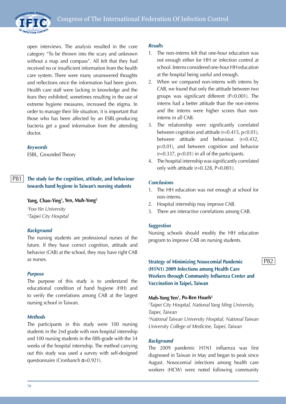

open interviews. The analysis resulted in the core category "To be thrown into the scary and unknown without a map and compass". All felt that they had received no or insufficient information from the health care system. There were many unanswered thoughts and reflections once the information had been given. Health care staff were lacking in knowledge and the fears they exhibited, sometimes resulting in the use of extreme hygiene measures, increased the stigma. In order to manage their life situation, it is important that those who has been affected by an ESBL-producing bacteria get a good information from the attending doctor.

# *Keywords*

ESBL, Grounded Theory

#### **The study for the cognition, attitude, and behaviour towards hand hygiene in Taiwan's nursing students** P81

# **Yang, Chao-Ying1 , Yen, Muh-Yong2**

*1 Foo-Yin University 2 Taipei City Hospital*

# *Background*

The nursing students are professional nurses of the future. If they have correct cognition, attitude and behavior (CAB) at the school, they may have right CAB as nurses.

## *Purpose*

The purpose of this study is to understand the educational condition of hand hygiene (HH) and to verify the correlations among CAB at the largest nursing school in Taiwan.

## *Methods*

The participants in this study were 100 nursing students in the 2nd grade with non-hospital internship and 100 nursing students in the fifth-grade with the 34 weeks of the hospital internship. The method carrying out this study was used a survey with self-designed questionnaire (Cronbanch α=0.921).

# *Results*

- 1. The non-interns felt that one-hour education was not enough either for HH or infection control at school. Interns considered one-hour HH education at the hospital being useful and enough.
- 2. When we compared non-interns with interns by CAB, we found that only the attitude between two groups was significant different (P<0.001). The interns had a better attitude than the non-interns and the interns were higher scores than noninterns in all CAB.
- 3. The relationship were significantly correlated between cognition and attitude (r=0.415, p<0.01), between attitude and behaviour. (r=0.432, p<0.01), and between cognition and behavior  $(r=0.337, p<0.01)$  in all of the participants.
- 4. The hospital internship was significantly correlated only with attitude (r=0.328, P=0.001).

# *Conclusions*

- 1. The HH education was not enough at school for non-interns.
- 2. Hospital internship may improve CAB.
- 3. There are interactive correlations among CAB.

## *Suggestion*

Nursing schools should modify the HH education program to improve CAB on nursing students.

# **Strategy of Minimizing Nosocomial Pandemic (H1N1) 2009 Infections among Health Care Workers through Community Influenza Center and Vaccination in Taipei, Taiwan**

# **Muh-Yong Yen1 , Po-Ren Hsueh2**

*1 Taipei City Hospital, National Yang Ming University, Taipei, Taiwan 2 National Taiwan University Hospital, National Taiwan University College of Medicine, Taipei, Taiwan*

## *Background*

The 2009 pandemic H1N1 influenza was first diagnosed in Taiwan in May and began to peak since August. Nosocomial infections among health care workers (HCW) were noted following community P82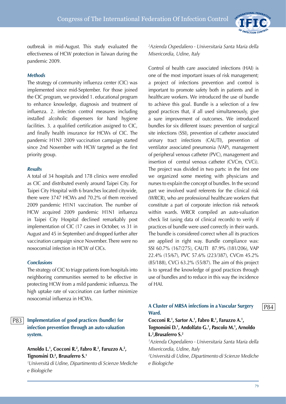

outbreak in mid-August. This study evaluated the effectiveness of HCW protection in Taiwan during the pandemic 2009.

# *Methods*

The strategy of community influenza center (CIC) was implemented since mid-September. For those joined the CIC program, we provided 1. educational program to enhance knowledge, diagnosis and treatment of influenza. 2. infection control measures including installed alcoholic dispensers for hand hygiene facilities. 3. a qualified certification assigned to CIC, and finally health insurance for HCWs of CIC. The pandemic H1N1 2009 vaccination campaign started since 2nd November with HCW targeted as the first priority group.

## *Results*

A total of 34 hospitals and 178 clinics were enrolled as CIC and distributed evenly around Taipei City. For Taipei City Hospital with 6 branches located citywide, there were 3747 HCWs and 70.2% of them received 2009 pandemic H1N1 vaccination. The number of HCW acquired 2009 pandemic H1N1 influenza in Taipei City Hospital declined remarkably post implementation of CIC (17 cases in October, vs 31 in August and 45 in September) and dropped further after vaccination campaign since November. There were no nosocomial infection in HCW of CICs.

## *Conclusions*

The strategy of CIC to triage patients from hospitals into neighboring communities seemed to be effective in protecting HCW from a mild pandemic influenza. The high uptake rate of vaccination can further minimize nosocomial influenza in HCWs.

#### **Implementation of good practices (bundle) for infection prevention through an auto-valuation system.** P83

# **Arnoldo L.1 , Cocconi R.2 , Fabro R.2 , Faruzzo A.2 , Tignonsini D.2 , Brusaferro S.1**

*1 Università di Udine, Dipartimento di Scienze Mediche e Biologiche*

*2 Azienda Ospedaliero - Universitaria Santa Maria della Misericordia, Udine, Italy* 

Control of health care associated infections (HAI) is one of the most important issues of risk management; a project of infections prevention and control is important to promote safety both in patients and in healthcare workers. We introduced the use of bundle to achieve this goal. Bundle is a selection of a few good practices that, if all used simultaneously, give a sure improvement of outcomes. We introduced bundles for six different issues: prevention of surgical site infections (SSI), prevention of catheter associated urinary tract infections (CAUTI), prevention of ventilator associated pneumonia (VAP), management of peripheral venous catheter (PVC), management and insertion of central venous catheter (CVCm, CVCi). The project was divided in two parts: in the first one we organized some meeting with physicians and nurses to explain the concept of bundles. In the second part we involved ward referents for the clinical risk (WRCR), who are professional healthcare workers that constitute a part of corporate infection risk network within wards. WRCR compiled an auto-valuation check list (using data of clinical records) to verify if practices of bundle were used correctly in their wards. The bundle is considered correct when all its practices are applied in right way. Bundle compliance was: SSI 60.7% (167/275), CAUTI 87.9% (181/206), VAP 22.4% (15/67), PVC 57.6% (223/387), CVCm 45.2% (85/188), CVCi 63.2% (55/87). The aim of this project is to spread the knowledge of good practices through use of bundles and to reduce in this way the incidence of HAI.

# **A Cluster of MRSA infections in a Vascular Surgery Ward.**

Cocconi R.<sup>1</sup>, Sartor A.<sup>1</sup>, Fabro R.<sup>1</sup>, Faruzzo A.<sup>1</sup>, **Tognonsini D.1 , Andolfato G.1 , Pascolo M.1 , Arnoldo L.2 ,Brusaferro S.2**

*1 Azienda Ospedaliero - Universitaria Santa Maria della Misericordia, Udine, Italy* 

*2 Università di Udine, Dipartimento di Scienze Mediche e Biologiche*